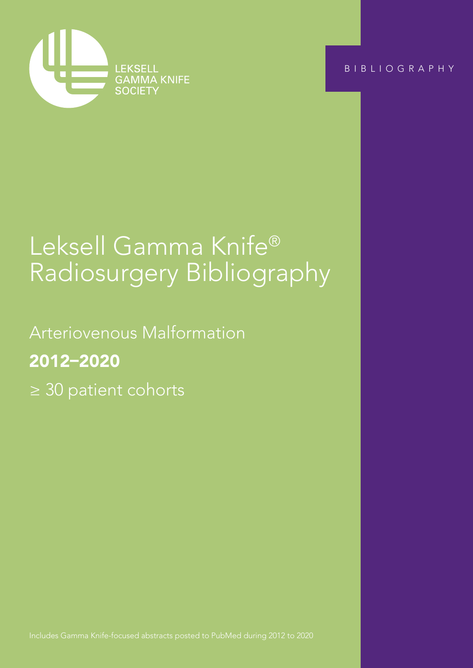

BIBLIOGRAPHY

Arteriovenous Malformation ≥ 30 patient cohorts

# Leksell Gamma Knife® Radiosurgery Bibliography

Arteriovenous Malformation 2012–2020 ≥ 30 patient cohorts

Includes Gamma Knife-focused abstracts posted to PubMed during 2012 to 2020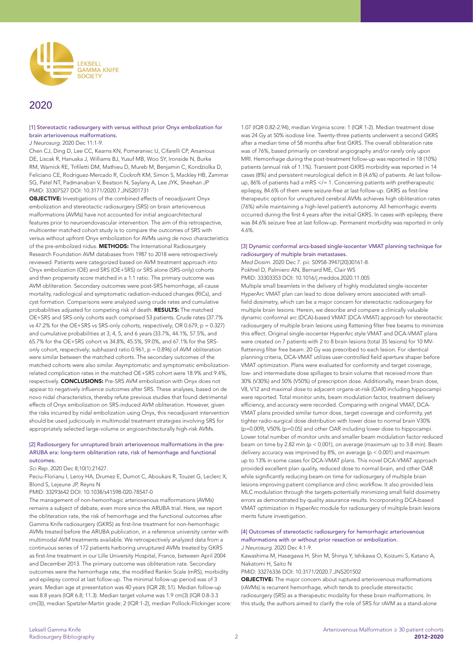

# 2020

# [1] Stereotactic radiosurgery with versus without prior Onyx embolization for brain arteriovenous malformations.

#### *J Neurosurg*. 2020 Dec 11:1-9.

Chen CJ, Ding D, Lee CC, Kearns KN, Pomeraniec IJ, Cifarelli CP, Arsanious DE, Liscak R, Hanuska J, Williams BJ, Yusuf MB, Woo SY, Ironside N, Burke RM, Warnick RE, Trifiletti DM, Mathieu D, Mureb M, Benjamin C, Kondziolka D, Feliciano CE, Rodriguez-Mercado R, Cockroft KM, Simon S, Mackley HB, Zammar SG, Patel NT, Padmanaban V, Beatson N, Saylany A, Lee JYK, Sheehan JP PMID: 33307527 DOI: 10.3171/2020.7.JNS201731

OBJECTIVE: Investigations of the combined effects of neoadjuvant Onyx embolization and stereotactic radiosurgery (SRS) on brain arteriovenous malformations (AVMs) have not accounted for initial angioarchitectural features prior to neuroendovascular intervention. The aim of this retrospective, multicenter matched cohort study is to compare the outcomes of SRS with versus without upfront Onyx embolization for AVMs using de novo characteristics of the pre-embolized nidus. METHODS: The International Radiosurgery Research Foundation AVM databases from 1987 to 2018 were retrospectively reviewed. Patients were categorized based on AVM treatment approach into Onyx embolization (OE) and SRS (OE+SRS) or SRS alone (SRS-only) cohorts and then propensity score matched in a 1:1 ratio. The primary outcome was AVM obliteration. Secondary outcomes were post-SRS hemorrhage, all-cause mortality, radiological and symptomatic radiation-induced changes (RICs), and cyst formation. Comparisons were analyzed using crude rates and cumulative probabilities adjusted for competing risk of death. RESULTS: The matched OE+SRS and SRS-only cohorts each comprised 53 patients. Crude rates (37.7% vs 47.2% for the OE+SRS vs SRS-only cohorts, respectively; OR 0.679, p = 0.327) and cumulative probabilities at 3, 4, 5, and 6 years (33.7%, 44.1%, 57.5%, and 65.7% for the OE+SRS cohort vs 34.8%, 45.5%, 59.0%, and 67.1% for the SRSonly cohort, respectively; subhazard ratio 0.961, p = 0.896) of AVM obliteration were similar between the matched cohorts. The secondary outcomes of the matched cohorts were also similar. Asymptomatic and symptomatic embolizationrelated complication rates in the matched OE+SRS cohort were 18.9% and 9.4%, respectively. CONCLUSIONS: Pre-SRS AVM embolization with Onyx does not appear to negatively influence outcomes after SRS. These analyses, based on de novo nidal characteristics, thereby refute previous studies that found detrimental effects of Onyx embolization on SRS-induced AVM obliteration. However, given the risks incurred by nidal embolization using Onyx, this neoadjuvant intervention should be used judiciously in multimodal treatment strategies involving SRS for appropriately selected large-volume or angioarchitecturally high-risk AVMs.

#### [2] Radiosurgery for unruptured brain arteriovenous malformations in the pre-ARUBA era: long-term obliteration rate, risk of hemorrhage and functional outcomes.

*Sci Rep*. 2020 Dec 8;10(1):21427.

Peciu-Florianu I, Leroy HA, Drumez E, Dumot C, Aboukais R, Touzet G, Leclerc X, Blond S, Lejeune JP, Reyns N

PMID: 33293642 DOI: 10.1038/s41598-020-78547-0

The management of non-hemorrhagic arteriovenous malformations (AVMs) remains a subject of debate, even more since the ARUBA trial. Here, we report the obliteration rate, the risk of hemorrhage and the functional outcomes after Gamma Knife radiosurgery (GKRS) as first-line treatment for non-hemorrhagic AVMs treated before the ARUBA publication, in a reference university center with multimodal AVM treatments available. We retrospectively analyzed data from a continuous series of 172 patients harboring unruptured AVMs treated by GKRS as first-line treatment in our Lille University Hospital, France, between April 2004 and December 2013. The primary outcome was obliteration rate. Secondary outcomes were the hemorrhage rate, the modified Rankin Scale (mRS), morbidity and epilepsy control at last follow-up. The minimal follow-up period was of 3 years. Median age at presentation was 40 years (IQR 28; 51). Median follow-up was 8.8 years (IQR 6.8; 11.3). Median target volume was 1.9 cm(3) (IQR 0.8-3.3 cm(3)), median Spetzler-Martin grade: 2 (IQR 1-2), median Pollock-Flickinger score: 1.07 (IQR 0.82-2.94), median Virginia score: 1 (IQR 1-2). Median treatment dose was 24 Gy at 50% isodose line. Twenty-three patients underwent a second GKRS after a median time of 58 months after first GKRS. The overall obliteration rate was of 76%, based primarily on cerebral angiography and/or rarely only upon MRI. Hemorrhage during the post-treatment follow-up was reported in 18 (10%) patients (annual risk of 1.1%). Transient post-GKRS morbidity was reported in 14 cases (8%) and persistent neurological deficit in 8 (4.6%) of patients. At last followup, 86% of patients had a mRS </= 1. Concerning patients with pretherapeutic epilepsy, 84.6% of them were seizure-free at last follow-up. GKRS as first-line therapeutic option for unruptured cerebral AVMs achieves high obliteration rates (76%) while maintaining a high-level patient's autonomy. All hemorrhagic events occurred during the first 4 years after the initial GKRS. In cases with epilepsy, there was 84.6% seizure free at last follow-up. Permanent morbidity was reported in only 4.6%.

#### [3] Dynamic conformal arcs-based single-isocenter VMAT planning technique for radiosurgery of multiple brain metastases.

*Med Dosim*. 2020 Dec 7. pii: S0958-3947(20)30161-8. Pokhrel D, Palmiero AN, Bernard ME, Clair WS PMID: 33303353 DOI: 10.1016/j.meddos.2020.11.005 Multiple small beamlets in the delivery of highly modulated single-isocenter HyperArc VMAT plan can lead to dose delivery errors associated with smallfield dosimetry, which can be a major concern for stereotactic radiosurgery for multiple brain lesions. Herein, we describe and compare a clinically valuable dynamic conformal arc (DCA)-based VMAT (DCA-VMAT) approach for stereotactic radiosurgery of multiple brain lesions using flattening filter free beams to minimize this effect. Original single-isocenter HyperArc style VMAT and DCA-VMAT plans were created on 7 patients with 2 to 8 brain lesions (total 35 lesions) for 10 MVflattening filter free beam. 20 Gy was prescribed to each lesion. For identical planning criteria, DCA-VMAT utilizes user-controlled field aperture shaper before VMAT optimization. Plans were evaluated for conformity and target coverage, low- and intermediate dose spillages to brain volume that received more than 30% (V30%) and 50% (V50%) of prescription dose. Additionally, mean brain dose, V8, V12 and maximal dose to adjacent organs-at-risk (OAR) including hippocampi were reported. Total monitor units, beam modulation factor, treatment delivery efficiency, and accuracy were recorded. Comparing with original VMAT, DCA-VMAT plans provided similar tumor dose, target coverage and conformity, yet tighter radio-surgical dose distribution with lower dose to normal brain V30% (p=0.009), V50% (p=0.05) and other OAR including lower dose to hippocampi. Lower total number of monitor units and smaller beam modulation factor reduced beam on time by 2.82 min (p < 0.001), on average (maximum up to 3.8 min). Beam delivery accuracy was improved by  $8\%$ , on average (p < 0.001) and maximum up to 13% in some cases for DCA-VMAT plans. This novel DCA-VMAT approach provided excellent plan quality, reduced dose to normal brain, and other OAR while significantly reducing beam-on time for radiosurgery of multiple brain lesions-improving patient compliance and clinic workflow. It also provided less MLC modulation through the targets-potentially minimizing small field dosimetry errors as demonstrated by quality assurance results. Incorporating DCA-based VMAT optimization in HyperArc module for radiosurgery of multiple brain lesions merits future investigation.

#### [4] Outcomes of stereotactic radiosurgery for hemorrhagic arteriovenous malformations with or without prior resection or embolization. *J Neurosurg*. 2020 Dec 4:1-9.

Kawashima M, Hasegawa H, Shin M, Shinya Y, Ishikawa O, Koizumi S, Katano A, Nakatomi H, Saito N

PMID: 33276336 DOI: 10.3171/2020.7.JNS201502

OBJECTIVE: The major concern about ruptured arteriovenous malformations (rAVMs) is recurrent hemorrhage, which tends to preclude stereotactic radiosurgery (SRS) as a therapeutic modality for these brain malformations. In this study, the authors aimed to clarify the role of SRS for rAVM as a stand-alone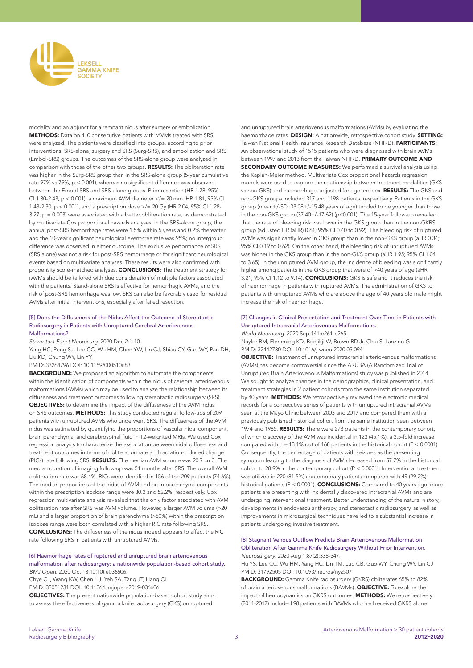

modality and an adjunct for a remnant nidus after surgery or embolization. METHODS: Data on 410 consecutive patients with rAVMs treated with SRS were analyzed. The patients were classified into groups, according to prior interventions: SRS-alone, surgery and SRS (Surg-SRS), and embolization and SRS (Embol-SRS) groups. The outcomes of the SRS-alone group were analyzed in comparison with those of the other two groups. RESULTS: The obliteration rate was higher in the Surg-SRS group than in the SRS-alone group (5-year cumulative rate 97% vs 79%, p < 0.001), whereas no significant difference was observed between the Embol-SRS and SRS-alone groups. Prior resection (HR 1.78, 95% CI 1.30-2.43, p < 0.001), a maximum AVM diameter </= 20 mm (HR 1.81, 95% CI 1.43-2.30, p < 0.001), and a prescription dose >/= 20 Gy (HR 2.04, 95% CI 1.28-  $3.27$ ,  $p = 0.003$ ) were associated with a better obliteration rate, as demonstrated by multivariate Cox proportional hazards analyses. In the SRS-alone group, the annual post-SRS hemorrhage rates were 1.5% within 5 years and 0.2% thereafter and the 10-year significant neurological event-free rate was 95%; no intergroup difference was observed in either outcome. The exclusive performance of SRS (SRS alone) was not a risk for post-SRS hemorrhage or for significant neurological events based on multivariate analyses. These results were also confirmed with propensity score-matched analyses. CONCLUSIONS: The treatment strategy for rAVMs should be tailored with due consideration of multiple factors associated with the patients. Stand-alone SRS is effective for hemorrhagic AVMs, and the risk of post-SRS hemorrhage was low. SRS can also be favorably used for residual AVMs after initial interventions, especially after failed resection.

#### [5] Does the Diffuseness of the Nidus Affect the Outcome of Stereotactic Radiosurgery in Patients with Unruptured Cerebral Arteriovenous Malformations?

*Stereotact Funct Neurosurg*. 2020 Dec 2:1-10.

Yang HC, Peng SJ, Lee CC, Wu HM, Chen YW, Lin CJ, Shiau CY, Guo WY, Pan DH, Liu KD, Chung WY, Lin YY

#### PMID: 33264796 DOI: 10.1159/000510683

BACKGROUND: We proposed an algorithm to automate the components within the identification of components within the nidus of cerebral arteriovenous malformations (AVMs) which may be used to analyze the relationship between its diffuseness and treatment outcomes following stereotactic radiosurgery (SRS). OBJECTIVES: to determine the impact of the diffuseness of the AVM nidus on SRS outcomes. METHODS: This study conducted regular follow-ups of 209 patients with unruptured AVMs who underwent SRS. The diffuseness of the AVM nidus was estimated by quantifying the proportions of vascular nidal component, brain parenchyma, and cerebrospinal fluid in T2-weighted MRIs. We used Cox regression analysis to characterize the association between nidal diffuseness and treatment outcomes in terms of obliteration rate and radiation-induced change (RICs) rate following SRS. RESULTS: The median AVM volume was 20.7 cm3. The median duration of imaging follow-up was 51 months after SRS. The overall AVM obliteration rate was 68.4%. RICs were identified in 156 of the 209 patients (74.6%). The median proportions of the nidus of AVM and brain parenchyma components within the prescription isodose range were 30.2 and 52.2%, respectively. Cox regression multivariate analysis revealed that the only factor associated with AVM obliteration rate after SRS was AVM volume. However, a larger AVM volume (>20 mL) and a larger proportion of brain parenchyma (>50%) within the prescription isodose range were both correlated with a higher RIC rate following SRS. CONCLUSIONS: The diffuseness of the nidus indeed appears to affect the RIC rate following SRS in patients with unruptured AVMs.

#### [6] Haemorrhage rates of ruptured and unruptured brain arteriovenous malformation after radiosurgery: a nationwide population-based cohort study. *BMJ Open*. 2020 Oct 13;10(10):e036606.

Chye CL, Wang KW, Chen HJ, Yeh SA, Tang JT, Liang CL

PMID: 33051231 DOI: 10.1136/bmjopen-2019-036606

OBJECTIVES: The present nationwide population-based cohort study aims to assess the effectiveness of gamma knife radiosurgery (GKS) on ruptured

and unruptured brain arteriovenous malformations (AVMs) by evaluating the haemorrhage rates. DESIGN: A nationwide, retrospective cohort study. SETTING: Taiwan National Health Insurance Research Database (NHIRD). PARTICIPANTS: An observational study of 1515 patients who were diagnosed with brain AVMs between 1997 and 2013 from the Taiwan NHIRD. PRIMARY OUTCOME AND SECONDARY OUTCOME MEASURES: We performed a survival analysis using the Kaplan-Meier method. Multivariate Cox proportional hazards regression models were used to explore the relationship between treatment modalities (GKS vs non-GKS) and haemorrhage, adjusted for age and sex. RESULTS: The GKS and non-GKS groups included 317 and 1198 patients, respectively. Patients in the GKS group (mean+/-SD, 33.08+/-15.48 years of age) tended to be younger than those in the non-GKS group (37.40+/-17.62) (p<0.001). The 15-year follow-up revealed that the rate of bleeding risk was lower in the GKS group than in the non-GKRS group (adjusted HR (aHR) 0.61; 95% CI 0.40 to 0.92). The bleeding risk of ruptured AVMs was significantly lower in GKS group than in the non-GKS group (aHR 0.34; 95% CI 0.19 to 0.62). On the other hand, the bleeding risk of unruptured AVMs was higher in the GKS group than in the non-GKS group (aHR 1.95; 95% CI 1.04 to 3.65). In the unruptured AVM group, the incidence of bleeding was significantly higher among patients in the GKS group that were of >40 years of age (aHR 3.21; 95% CI 1.12 to 9.14). CONCLUSIONS: GKS is safe and it reduces the risk of haemorrhage in patients with ruptured AVMs. The administration of GKS to patients with unruptured AVMs who are above the age of 40 years old male might increase the risk of haemorrhage.

#### [7] Changes in Clinical Presentation and Treatment Over Time in Patients with Unruptured Intracranial Arteriovenous Malformations. *World Neurosurg*. 2020 Sep;141:e261-e265.

Naylor RM, Flemming KD, Brinjikji W, Brown RD Jr, Chiu S, Lanzino G PMID: 32442730 DOI: 10.1016/j.wneu.2020.05.094

OBJECTIVE: Treatment of unruptured intracranial arteriovenous malformations (AVMs) has become controversial since the ARUBA (A Randomized Trial of Unruptured Brain Arteriovenous Malformations) study was published in 2014. We sought to analyze changes in the demographics, clinical presentation, and treatment strategies in 2 patient cohorts from the same institution separated by 40 years. METHODS: We retrospectively reviewed the electronic medical records for a consecutive series of patients with unruptured intracranial AVMs seen at the Mayo Clinic between 2003 and 2017 and compared them with a previously published historical cohort from the same institution seen between 1974 and 1985. RESULTS: There were 273 patients in the contemporary cohort, of which discovery of the AVM was incidental in 123 (45.1%), a 3.5-fold increase compared with the 13.1% out of 168 patients in the historical cohort (P < 0.0001). Consequently, the percentage of patients with seizures as the presenting symptom leading to the diagnosis of AVM decreased from 57.7% in the historical cohort to 28.9% in the contemporary cohort (P < 0.0001). Interventional treatment was utilized in 220 (81.5%) contemporary patients compared with 49 (29.2%) historical patients (P < 0.0001). **CONCLUSIONS:** Compared to 40 years ago, more patients are presenting with incidentally discovered intracranial AVMs and are undergoing interventional treatment. Better understanding of the natural history, developments in endovascular therapy, and stereotactic radiosurgery, as well as improvements in microsurgical techniques have led to a substantial increase in patients undergoing invasive treatment.

#### [8] Stagnant Venous Outflow Predicts Brain Arteriovenous Malformation Obliteration After Gamma Knife Radiosurgery Without Prior Intervention. *Neurosurgery*. 2020 Aug 1;87(2):338-347.

Hu YS, Lee CC, Wu HM, Yang HC, Lin TM, Luo CB, Guo WY, Chung WY, Lin CJ PMID: 31792505 DOI: 10.1093/neuros/nyz507

BACKGROUND: Gamma Knife radiosurgery (GKRS) obliterates 65% to 82% of brain arteriovenous malformations (BAVMs). OBJECTIVE: To explore the impact of hemodynamics on GKRS outcomes. METHODS: We retrospectively (2011-2017) included 98 patients with BAVMs who had received GKRS alone.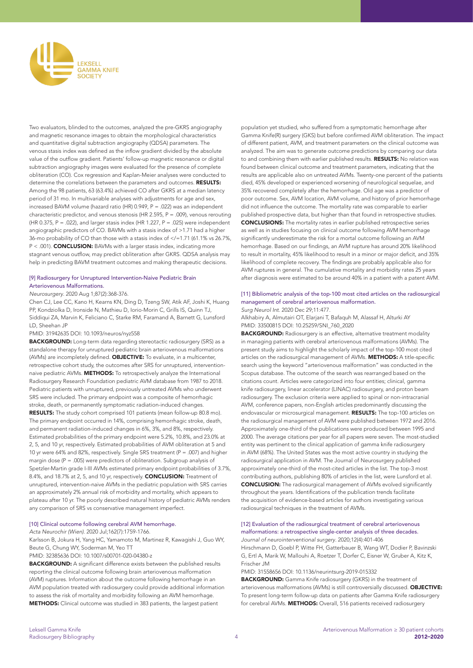

Two evaluators, blinded to the outcomes, analyzed the pre-GKRS angiography and magnetic resonance images to obtain the morphological characteristics and quantitative digital subtraction angiography (QDSA) parameters. The venous stasis index was defined as the inflow gradient divided by the absolute value of the outflow gradient. Patients' follow-up magnetic resonance or digital subtraction angiography images were evaluated for the presence of complete obliteration (CO). Cox regression and Kaplan-Meier analyses were conducted to determine the correlations between the parameters and outcomes. RESULTS: Among the 98 patients, 63 (63.4%) achieved CO after GKRS at a median latency period of 31 mo. In multivariable analyses with adjustments for age and sex, increased BAVM volume (hazard ratio (HR) 0.949, P = .022) was an independent characteristic predictor, and venous stenosis (HR 2.595,  $P = .009$ ), venous rerouting (HR 0.375,  $P = .022$ ), and larger stasis index (HR 1.227,  $P = .025$ ) were independent angiographic predictors of CO. BAVMs with a stasis index of >1.71 had a higher 36-mo probability of CO than those with a stasis index of </=1.71 (61.1% vs 26.7%, P < .001). **CONCLUSION:** BAVMs with a larger stasis index, indicating more stagnant venous outflow, may predict obliteration after GKRS. QDSA analysis may help in predicting BAVM treatment outcomes and making therapeutic decisions.

#### [9] Radiosurgery for Unruptured Intervention-Naive Pediatric Brain Arteriovenous Malformations.

#### *Neurosurgery*. 2020 Aug 1;87(2):368-376.

Chen CJ, Lee CC, Kano H, Kearns KN, Ding D, Tzeng SW, Atik AF, Joshi K, Huang PP, Kondziolka D, Ironside N, Mathieu D, Iorio-Morin C, Grills IS, Quinn TJ, Siddiqui ZA, Marvin K, Feliciano C, Starke RM, Faramand A, Barnett G, Lunsford LD, Sheehan JP

#### PMID: 31942635 DOI: 10.1093/neuros/nyz558

BACKGROUND: Long-term data regarding stereotactic radiosurgery (SRS) as a standalone therapy for unruptured pediatric brain arteriovenous malformations (AVMs) are incompletely defined. OBJECTIVE: To evaluate, in a multicenter, retrospective cohort study, the outcomes after SRS for unruptured, interventionnaive pediatric AVMs. METHODS: To retrospectively analyze the International Radiosurgery Research Foundation pediatric AVM database from 1987 to 2018. Pediatric patients with unruptured, previously untreated AVMs who underwent SRS were included. The primary endpoint was a composite of hemorrhagic stroke, death, or permanently symptomatic radiation-induced changes. RESULTS: The study cohort comprised 101 patients (mean follow-up 80.8 mo). The primary endpoint occurred in 14%, comprising hemorrhagic stroke, death, and permanent radiation-induced changes in 6%, 3%, and 8%, respectively. Estimated probabilities of the primary endpoint were 5.2%, 10.8%, and 23.0% at 2, 5, and 10 yr, respectively. Estimated probabilities of AVM obliteration at 5 and 10 yr were 64% and 82%, respectively. Single SRS treatment (P = .007) and higher margin dose (P = .005) were predictors of obliteration. Subgroup analysis of Spetzler-Martin grade I-III AVMs estimated primary endpoint probabilities of 3.7%, 8.4%, and 18.7% at 2, 5, and 10 yr, respectively. **CONCLUSION:** Treatment of unruptured, intervention-naive AVMs in the pediatric population with SRS carries an approximately 2% annual risk of morbidity and mortality, which appears to plateau after 10 yr. The poorly described natural history of pediatric AVMs renders any comparison of SRS vs conservative management imperfect.

#### [10] Clinical outcome following cerebral AVM hemorrhage.

*Acta Neurochir (Wien)*. 2020 Jul;162(7):1759-1766.

Karlsson B, Jokura H, Yang HC, Yamamoto M, Martinez R, Kawagishi J, Guo WY, Beute G, Chung WY, Soderman M, Yeo TT

PMID: 32385636 DOI: 10.1007/s00701-020-04380-z

BACKGROUND: A significant difference exists between the published results reporting the clinical outcome following brain arteriovenous malformation (AVM) ruptures. Information about the outcome following hemorrhage in an AVM population treated with radiosurgery could provide additional information to assess the risk of mortality and morbidity following an AVM hemorrhage. METHODS: Clinical outcome was studied in 383 patients, the largest patient

population yet studied, who suffered from a symptomatic hemorrhage after Gamma Knife(R) surgery (GKS) but before confirmed AVM obliteration. The impact of different patient, AVM, and treatment parameters on the clinical outcome was analyzed. The aim was to generate outcome predictions by comparing our data to and combining them with earlier published results. RESULTS: No relation was found between clinical outcome and treatment parameters, indicating that the results are applicable also on untreated AVMs. Twenty-one percent of the patients died, 45% developed or experienced worsening of neurological sequelae, and 35% recovered completely after the hemorrhage. Old age was a predictor of poor outcome. Sex, AVM location, AVM volume, and history of prior hemorrhage did not influence the outcome. The mortality rate was comparable to earlier published prospective data, but higher than that found in retrospective studies. CONCLUSIONS: The mortality rates in earlier published retrospective series as well as in studies focusing on clinical outcome following AVM hemorrhage significantly underestimate the risk for a mortal outcome following an AVM hemorrhage. Based on our findings, an AVM rupture has around 20% likelihood to result in mortality, 45% likelihood to result in a minor or major deficit, and 35% likelihood of complete recovery. The findings are probably applicable also for AVM ruptures in general. The cumulative mortality and morbidity rates 25 years after diagnosis were estimated to be around 40% in a patient with a patent AVM.

# [11] Bibliometric analysis of the top-100 most cited articles on the radiosurgical management of cerebral arteriovenous malformation.

*Surg Neurol Int*. 2020 Dec 29;11:477. Alkhabiry A, Almutairi OT, Elarjani T, Bafaquh M, Alassaf H, Alturki AY

PMID: 33500815 DOI: 10.25259/SNI\_760\_2020

**BACKGROUND:** Radiosurgery is an effective, alternative treatment modality in managing patients with cerebral arteriovenous malformations (AVMs). The present study aims to highlight the scholarly impact of the top-100 most cited articles on the radiosurgical management of AVMs. METHODS: A title-specific search using the keyword "arteriovenous malformation" was conducted in the Scopus database. The outcome of the search was rearranged based on the citations count. Articles were categorized into four entities; clinical, gamma knife radiosurgery, linear accelerator (LINAC) radiosurgery, and proton beam radiosurgery. The exclusion criteria were applied to spinal or non-intracranial AVM, conference papers, non-English articles predominantly discussing the endovascular or microsurgical management. RESULTS: The top-100 articles on the radiosurgical management of AVM were published between 1972 and 2016. Approximately one-third of the publications were produced between 1995 and 2000. The average citations per year for all papers were seven. The most-studied entity was pertinent to the clinical application of gamma knife radiosurgery in AVM (68%). The United States was the most active country in studying the radiosurgical application in AVM. The Journal of Neurosurgery published approximately one-third of the most-cited articles in the list. The top-3 most contributing authors, publishing 80% of articles in the list, were Lunsford et al. CONCLUSION: The radiosurgical management of AVMs evolved significantly throughout the years. Identifications of the publication trends facilitate the acquisition of evidence-based articles for authors investigating various radiosurgical techniques in the treatment of AVMs.

#### [12] Evaluation of the radiosurgical treatment of cerebral arteriovenous malformations: a retrospective single-center analysis of three decades. *Journal of neurointerventional surgery*. 2020;12(4):401-406

Hirschmann D, Goebl P, Witte FH, Gatterbauer B, Wang WT, Dodier P, Bavinzski G, Ertl A, Marik W, Mallouhi A, Roetzer T, Dorfer C, Eisner W, Gruber A, Kitz K, Frischer JM

PMID: 31558656 DOI: 10.1136/neurintsurg-2019-015332

BACKGROUND: Gamma Knife radiosurgery (GKRS) in the treatment of arteriovenous malformations (AVMs) is still controversially discussed. OBJECTIVE: To present long-term follow-up data on patients after Gamma Knife radiosurgery for cerebral AVMs. METHODS: Overall, 516 patients received radiosurgery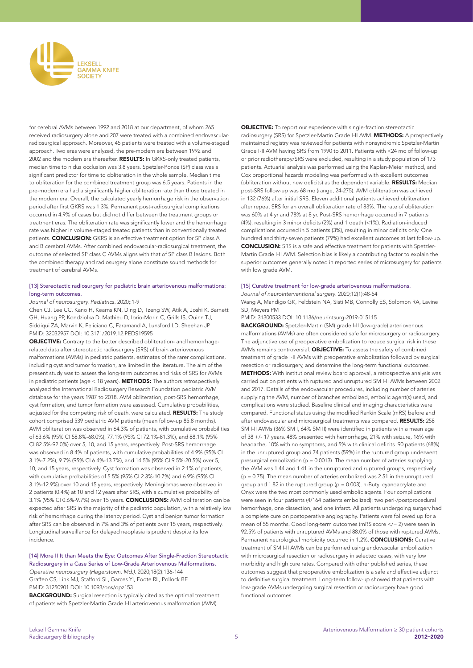

for cerebral AVMs between 1992 and 2018 at our department, of whom 265 received radiosurgery alone and 207 were treated with a combined endovascularradiosurgical approach. Moreover, 45 patients were treated with a volume-staged approach. Two eras were analyzed, the pre-modern era between 1992 and 2002 and the modern era thereafter. RESULTS: In GKRS-only treated patients, median time to nidus occlusion was 3.8 years. Spetzler-Ponce (SP) class was a significant predictor for time to obliteration in the whole sample. Median time to obliteration for the combined treatment group was 6.5 years. Patients in the pre-modern era had a significantly higher obliteration rate than those treated in the modern era. Overall, the calculated yearly hemorrhage risk in the observation period after first GKRS was 1.3%. Permanent post-radiosurgical complications occurred in 4.9% of cases but did not differ between the treatment groups or treatment eras. The obliteration rate was significantly lower and the hemorrhage rate was higher in volume-staged treated patients than in conventionally treated patients. **CONCLUSION:** GKRS is an effective treatment option for SP class A and B cerebral AVMs. After combined endovascular-radiosurgical treatment, the outcome of selected SP class C AVMs aligns with that of SP class B lesions. Both the combined therapy and radiosurgery alone constitute sound methods for treatment of cerebral AVMs.

#### [13] Stereotactic radiosurgery for pediatric brain arteriovenous malformations: long-term outcomes.

#### *Journal of neurosurgery. Pediatrics*. 2020;:1-9

Chen CJ, Lee CC, Kano H, Kearns KN, Ding D, Tzeng SW, Atik A, Joshi K, Barnett GH, Huang PP, Kondziolka D, Mathieu D, Iorio-Morin C, Grills IS, Quinn TJ, Siddiqui ZA, Marvin K, Feliciano C, Faramand A, Lunsford LD, Sheehan JP PMID: 32032957 DOI: 10.3171/2019.12.PEDS19595

OBJECTIVE: Contrary to the better described obliteration- and hemorrhagerelated data after stereotactic radiosurgery (SRS) of brain arteriovenous malformations (AVMs) in pediatric patients, estimates of the rarer complications, including cyst and tumor formation, are limited in the literature. The aim of the present study was to assess the long-term outcomes and risks of SRS for AVMs in pediatric patients (age  $<$  18 years). **METHODS:** The authors retrospectively analyzed the International Radiosurgery Research Foundation pediatric AVM database for the years 1987 to 2018. AVM obliteration, post-SRS hemorrhage, cyst formation, and tumor formation were assessed. Cumulative probabilities, adjusted for the competing risk of death, were calculated. RESULTS: The study cohort comprised 539 pediatric AVM patients (mean follow-up 85.8 months). AVM obliteration was observed in 64.3% of patients, with cumulative probabilities of 63.6% (95% CI 58.8%-68.0%), 77.1% (95% CI 72.1%-81.3%), and 88.1% (95% CI 82.5%-92.0%) over 5, 10, and 15 years, respectively. Post-SRS hemorrhage was observed in 8.4% of patients, with cumulative probabilities of 4.9% (95% CI 3.1%-7.2%), 9.7% (95% CI 6.4%-13.7%), and 14.5% (95% CI 9.5%-20.5%) over 5, 10, and 15 years, respectively. Cyst formation was observed in 2.1% of patients, with cumulative probabilities of 5.5% (95% CI 2.3%-10.7%) and 6.9% (95% CI 3.1%-12.9%) over 10 and 15 years, respectively. Meningiomas were observed in 2 patients (0.4%) at 10 and 12 years after SRS, with a cumulative probability of 3.1% (95% CI 0.6%-9.7%) over 15 years. CONCLUSIONS: AVM obliteration can be expected after SRS in the majority of the pediatric population, with a relatively low risk of hemorrhage during the latency period. Cyst and benign tumor formation after SRS can be observed in 7% and 3% of patients over 15 years, respectively. Longitudinal surveillance for delayed neoplasia is prudent despite its low incidence.

[14] More II It than Meets the Eye: Outcomes After Single-Fraction Stereotactic Radiosurgery in a Case Series of Low-Grade Arteriovenous Malformations. *Operative neurosurgery (Hagerstown, Md.)*. 2020;18(2):136-144

Graffeo CS, Link MJ, Stafford SL, Garces YI, Foote RL, Pollock BE PMID: 31250901 DOI: 10.1093/ons/opz153 BACKGROUND: Surgical resection is typically cited as the optimal treatment

of patients with Spetzler-Martin Grade I-II arteriovenous malformation (AVM).

OBJECTIVE: To report our experience with single-fraction stereotactic radiosurgery (SRS) for Spetzler-Martin Grade I-II AVM. METHODS: A prospectively maintained registry was reviewed for patients with nonsyndromic Spetzler-Martin Grade I-II AVM having SRS from 1990 to 2011. Patients with <24 mo of follow-up or prior radiotherapy/SRS were excluded, resulting in a study population of 173 patients. Actuarial analysis was performed using the Kaplan-Meier method, and Cox proportional hazards modeling was performed with excellent outcomes (obliteration without new deficits) as the dependent variable. RESULTS: Median post-SRS follow-up was 68 mo (range, 24-275). AVM obliteration was achieved in 132 (76%) after initial SRS. Eleven additional patients achieved obliteration after repeat SRS for an overall obliteration rate of 83%. The rate of obliteration was 60% at 4 yr and 78% at 8 yr. Post-SRS hemorrhage occurred in 7 patients (4%), resulting in 3 minor deficits (2%) and 1 death (<1%). Radiation-induced complications occurred in 5 patients (3%), resulting in minor deficits only. One hundred and thirty-seven patients (79%) had excellent outcomes at last follow-up. CONCLUSION: SRS is a safe and effective treatment for patients with Spetzler-Martin Grade I-II AVM. Selection bias is likely a contributing factor to explain the superior outcomes generally noted in reported series of microsurgery for patients with low grade AVM

#### [15] Curative treatment for low-grade arteriovenous malformations.

*Journal of neurointerventional surgery*. 2020;12(1):48-54 Wang A, Mandigo GK, Feldstein NA, Sisti MB, Connolly ES, Solomon RA, Lavine SD, Meyers PM

PMID: 31300533 DOI: 10.1136/neurintsurg-2019-015115

BACKGROUND: Spetzler-Martin (SM) grade I-II (low-grade) arteriovenous malformations (AVMs) are often considered safe for microsurgery or radiosurgery. The adjunctive use of preoperative embolization to reduce surgical risk in these AVMs remains controversial. **OBJECTIVE:** To assess the safety of combined treatment of grade I-II AVMs with preoperative embolization followed by surgical resection or radiosurgery, and determine the long-term functional outcomes. METHODS: With institutional review board approval, a retrospective analysis was carried out on patients with ruptured and unruptured SM I-II AVMs between 2002 and 2017. Details of the endovascular procedures, including number of arteries supplying the AVM, number of branches embolized, embolic agent(s) used, and complications were studied. Baseline clinical and imaging characteristics were compared. Functional status using the modified Rankin Scale (mRS) before and after endovascular and microsurgical treatments was compared. RESULTS: 258 SM I-II AVMs (36% SM I, 64% SM II) were identified in patients with a mean age of 38 +/- 17 years. 48% presented with hemorrhage, 21% with seizure, 16% with headache, 10% with no symptoms, and 5% with clinical deficits. 90 patients (68%) in the unruptured group and 74 patients (59%) in the ruptured group underwent presurgical embolization (p = 0.0013). The mean number of arteries supplying the AVM was 1.44 and 1.41 in the unruptured and ruptured groups, respectively  $(p = 0.75)$ . The mean number of arteries embolized was 2.51 in the unruptured group and 1.82 in the ruptured group ( $p = 0.003$ ). n-Butyl cyanoacrylate and Onyx were the two most commonly used embolic agents. Four complications were seen in four patients (4/164 patients embolized): two peri-/postprocedural hemorrhage, one dissection, and one infarct. All patients undergoing surgery had a complete cure on postoperative angiography. Patients were followed up for a mean of 55 months. Good long-term outcomes (mRS score </= 2) were seen in 92.5% of patients with unruptured AVMs and 88.0% of those with ruptured AVMs. Permanent neurological morbidity occurred in 1.2%. CONCLUSIONS: Curative treatment of SM I-II AVMs can be performed using endovascular embolization with microsurgical resection or radiosurgery in selected cases, with very low morbidity and high cure rates. Compared with other published series, these outcomes suggest that preoperative embolization is a safe and effective adjunct to definitive surgical treatment. Long-term follow-up showed that patients with low-grade AVMs undergoing surgical resection or radiosurgery have good functional outcomes.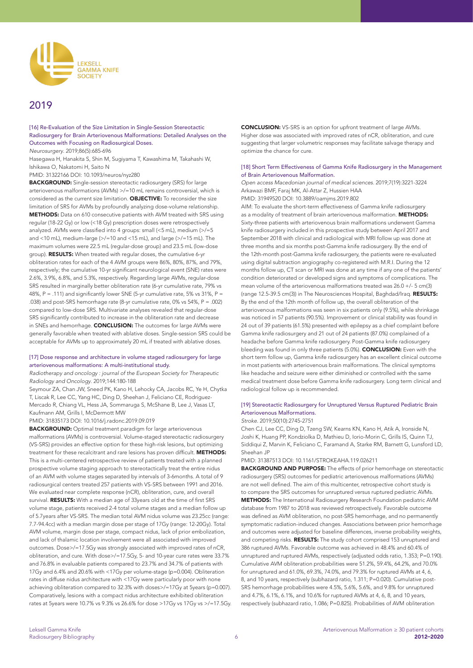

# 2019

[16] Re-Evaluation of the Size Limitation in Single-Session Stereotactic Radiosurgery for Brain Arteriovenous Malformations: Detailed Analyses on the Outcomes with Focusing on Radiosurgical Doses.

*Neurosurgery*. 2019;86(5):685-696

Hasegawa H, Hanakita S, Shin M, Sugiyama T, Kawashima M, Takahashi W, Ishikawa O, Nakatomi H, Saito N

PMID: 31322166 DOI: 10.1093/neuros/nyz280

BACKGROUND: Single-session stereotactic radiosurgery (SRS) for large arteriovenous malformations (AVMs) >/=10 mL remains controversial, which is considered as the current size limitation. OBJECTIVE: To reconsider the size limitation of SRS for AVMs by profoundly analyzing dose-volume relationship. METHODS: Data on 610 consecutive patients with AVM treated with SRS using regular (18-22 Gy) or low (<18 Gy) prescription doses were retrospectively analyzed. AVMs were classified into 4 groups: small (<5 mL), medium (>/=5 and <10 mL), medium-large (>/=10 and <15 mL), and large (>/=15 mL). The maximum volumes were 22.5 mL (regular-dose group) and 23.5 mL (low-dose group). RESULTS: When treated with regular doses, the cumulative 6-yr obliteration rates for each of the 4 AVM groups were 86%, 80%, 87%, and 79%, respectively; the cumulative 10-yr significant neurological event (SNE) rates were 2.6%, 3.9%, 6.8%, and 5.3%, respectively. Regarding large AVMs, regular-dose SRS resulted in marginally better obliteration rate (6-yr cumulative rate, 79% vs 48%, P = .111) and significantly lower SNE (5-yr cumulative rate, 5% vs 31%, P = .038) and post-SRS hemorrhage rate (8-yr cumulative rate, 0% vs 54%, P = .002) compared to low-dose SRS. Multivariate analyses revealed that regular-dose SRS significantly contributed to increase in the obliteration rate and decrease in SNEs and hemorrhage. **CONCLUSION:** The outcomes for large AVMs were generally favorable when treated with ablative doses. Single-session SRS could be acceptable for AVMs up to approximately 20 mL if treated with ablative doses.

#### [17] Dose response and architecture in volume staged radiosurgery for large arteriovenous malformations: A multi-institutional study.

*Radiotherapy and oncology : journal of the European Society for Therapeutic Radiology and Oncology*. 2019;144:180-188

Seymour ZA, Chan JW, Sneed PK, Kano H, Lehocky CA, Jacobs RC, Ye H, Chytka T, Liscak R, Lee CC, Yang HC, Ding D, Sheehan J, Feliciano CE, Rodriguez-Mercado R, Chiang VL, Hess JA, Sommaruga S, McShane B, Lee J, Vasas LT, Kaufmann AM, Grills I, McDermott MW

PMID: 31835173 DOI: 10.1016/j.radonc.2019.09.019

BACKGROUND: Optimal treatment paradigm for large arteriovenous malformations (AVMs) is controversial. Volume-staged stereotactic radiosurgery (VS-SRS) provides an effective option for these high-risk lesions, but optimizing treatment for these recalcitrant and rare lesions has proven difficult. METHODS: This is a multi-centered retrospective review of patients treated with a planned prospective volume staging approach to stereotactically treat the entire nidus of an AVM with volume stages separated by intervals of 3-6months. A total of 9 radiosurgical centers treated 257 patients with VS-SRS between 1991 and 2016. We evaluated near complete response (nCR), obliteration, cure, and overall survival. RESULTS: With a median age of 33years old at the time of first SRS volume stage, patients received 2-4 total volume stages and a median follow up of 5.7years after VS-SRS. The median total AVM nidus volume was 23.25cc (range: 7.7-94.4cc) with a median margin dose per stage of 17Gy (range: 12-20Gy). Total AVM volume, margin dose per stage, compact nidus, lack of prior embolization, and lack of thalamic location involvement were all associated with improved outcomes. Dose>/=17.5Gy was strongly associated with improved rates of nCR, obliteration, and cure. With dose>/=17.5Gy, 5- and 10-year cure rates were 33.7% and 76.8% in evaluable patients compared to 23.7% and 34.7% of patients with 17Gy and 6.4% and 20.6% with <17Gy per volume-stage (p=0.004). Obliteration rates in diffuse nidus architecture with <17Gy were particularly poor with none achieving obliteration compared to 32.3% with doses>/=17Gy at 5years (p=0.007). Comparatively, lesions with a compact nidus architecture exhibited obliteration rates at 5years were 10.7% vs 9.3% vs 26.6% for dose >17Gy vs 17Gy vs >/=17.5Gy. CONCLUSION: VS-SRS is an option for upfront treatment of large AVMs. Higher dose was associated with improved rates of nCR, obliteration, and cure suggesting that larger volumetric responses may facilitate salvage therapy and optimize the chance for cure.

#### [18] Short Term Effectiveness of Gamma Knife Radiosurgery in the Management of Brain Arteriovenous Malformation.

*Open access Macedonian journal of medical sciences*. 2019;7(19):3221-3224 Arkawazi BMF, Faraj MK, Al-Attar Z, Hussien HAA PMID: 31949520 DOI: 10.3889/oamjms.2019.802

AIM: To evaluate the short-term effectiveness of Gamma knife radiosurgery as a modality of treatment of brain arteriovenous malformation. **METHODS:** Sixty-three patients with arteriovenous brain malformations underwent Gamma knife radiosurgery included in this prospective study between April 2017 and September 2018 with clinical and radiological with MRI follow up was done at three months and six months post-Gamma knife radiosurgery. By the end of the 12th-month post-Gamma knife radiosurgery, the patients were re-evaluated using digital subtraction angiography co-registered with M.R.I. During the 12 months follow up, CT scan or MRI was done at any time if any one of the patients' condition deteriorated or developed signs and symptoms of complications. The mean volume of the arteriovenous malformations treated was 26.0 +/- 5 cm(3) (range 12.5-39.5 cm(3)) in The Neurosciences Hospital, Baghdad/Iraq. RESULTS: By the end of the 12th month of follow up, the overall obliteration of the arteriovenous malformations was seen in six patients only (9.5%), while shrinkage was noticed in 57 patients (90.5%). Improvement or clinical stability was found in 24 out of 39 patients (61.5%) presented with epilepsy as a chief complaint before Gamma knife radiosurgery and 21 out of 24 patients (87.0%) complained of a headache before Gamma knife radiosurgery. Post-Gamma knife radiosurgery bleeding was found in only three patients (5.0%). **CONCLUSION:** Even with the short term follow up, Gamma knife radiosurgery has an excellent clinical outcome in most patients with arteriovenous brain malformations. The clinical symptoms like headache and seizure were either diminished or controlled with the same medical treatment dose before Gamma knife radiosurgery. Long term clinical and radiological follow up is recommended.

# [19] Stereotactic Radiosurgery for Unruptured Versus Ruptured Pediatric Brain Arteriovenous Malformations.

*Stroke*. 2019;50(10):2745-2751

Chen CJ, Lee CC, Ding D, Tzeng SW, Kearns KN, Kano H, Atik A, Ironside N, Joshi K, Huang PP, Kondziolka D, Mathieu D, Iorio-Morin C, Grills IS, Quinn TJ, Siddiqui Z, Marvin K, Feliciano C, Faramand A, Starke RM, Barnett G, Lunsford LD, Sheehan JP

PMID: 31387513 DOI: 10.1161/STROKEAHA.119.026211

BACKGROUND AND PURPOSE: The effects of prior hemorrhage on stereotactic radiosurgery (SRS) outcomes for pediatric arteriovenous malformations (AVMs) are not well defined. The aim of this multicenter, retrospective cohort study is to compare the SRS outcomes for unruptured versus ruptured pediatric AVMs. METHODS: The International Radiosurgery Research Foundation pediatric AVM database from 1987 to 2018 was reviewed retrospectively. Favorable outcome was defined as AVM obliteration, no post-SRS hemorrhage, and no permanently symptomatic radiation-induced changes. Associations between prior hemorrhage and outcomes were adjusted for baseline differences, inverse probability weights, and competing risks. RESULTS: The study cohort comprised 153 unruptured and 386 ruptured AVMs. Favorable outcome was achieved in 48.4% and 60.4% of unruptured and ruptured AVMs, respectively (adjusted odds ratio, 1.353; P=0.190). Cumulative AVM obliteration probabilities were 51.2%, 59.4%, 64.2%, and 70.0% for unruptured and 61.0%, 69.3%, 74.0%, and 79.3% for ruptured AVMs at 4, 6, 8, and 10 years, respectively (subhazard ratio, 1.311; P=0.020). Cumulative post-SRS hemorrhage probabilities were 4.5%, 5.6%, 5.6%, and 9.8% for unruptured and 4.7%, 6.1%, 6.1%, and 10.6% for ruptured AVMs at 4, 6, 8, and 10 years, respectively (subhazard ratio, 1.086; P=0.825). Probabilities of AVM obliteration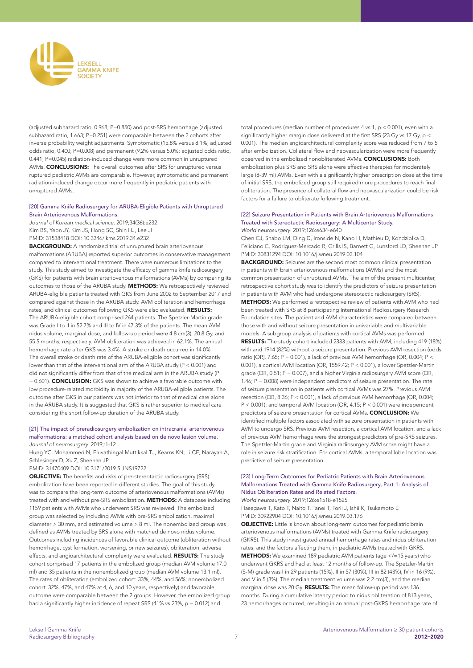

(adjusted subhazard ratio, 0.968; P=0.850) and post-SRS hemorrhage (adjusted subhazard ratio, 1.663; P=0.251) were comparable between the 2 cohorts after inverse probability weight adjustments. Symptomatic (15.8% versus 8.1%; adjusted odds ratio, 0.400; P=0.008) and permanent (9.2% versus 5.0%; adjusted odds ratio, 0.441; P=0.045) radiation-induced change were more common in unruptured AVMs. CONCLUSIONS: The overall outcomes after SRS for unruptured versus ruptured pediatric AVMs are comparable. However, symptomatic and permanent radiation-induced change occur more frequently in pediatric patients with unruptured AVMs.

#### [20] Gamma Knife Radiosurgery for ARUBA-Eligible Patients with Unruptured Brain Arteriovenous Malformations.

*Journal of Korean medical science*. 2019;34(36):e232 Kim BS, Yeon JY, Kim JS, Hong SC, Shin HJ, Lee JI PMID: 31538418 DOI: 10.3346/jkms.2019.34.e232

BACKGROUND: A randomized trial of unruptured brain arteriovenous malformations (ARUBA) reported superior outcomes in conservative management compared to interventional treatment. There were numerous limitations to the study. This study aimed to investigate the efficacy of gamma knife radiosurgery (GKS) for patients with brain arteriovenous malformations (AVMs) by comparing its outcomes to those of the ARUBA study. METHODS: We retrospectively reviewed ARUBA-eligible patients treated with GKS from June 2002 to September 2017 and compared against those in the ARUBA study. AVM obliteration and hemorrhage rates, and clinical outcomes following GKS were also evaluated. **RESULTS:** The ARUBA-eligible cohort comprised 264 patients. The Spetzler-Martin grade was Grade I to II in 52.7% and III to IV in 47.3% of the patients. The mean AVM nidus volume, marginal dose, and follow-up period were 4.8 cm(3), 20.8 Gy, and 55.5 months, respectively. AVM obliteration was achieved in 62.1%. The annual hemorrhage rate after GKS was 3.4%. A stroke or death occurred in 14.0%. The overall stroke or death rate of the ARUBA-eligible cohort was significantly lower than that of the interventional arm of the ARUBA study (P < 0.001) and did not significantly differ from that of the medical arm in the ARUBA study (P = 0.601). **CONCLUSION:** GKS was shown to achieve a favorable outcome with low procedure-related morbidity in majority of the ARUBA-eligible patients. The outcome after GKS in our patients was not inferior to that of medical care alone in the ARUBA study. It is suggested that GKS is rather superior to medical care considering the short follow-up duration of the ARUBA study.

#### [21] The impact of preradiosurgery embolization on intracranial arteriovenous malformations: a matched cohort analysis based on de novo lesion volume. *Journal of neurosurgery*. 2019;:1-12

Hung YC, Mohammed N, Eluvathingal Muttikkal TJ, Kearns KN, Li CE, Narayan A, Schlesinger D, Xu Z, Sheehan JP

PMID: 31470409 DOI: 10.3171/2019.5.JNS19722

OBJECTIVE: The benefits and risks of pre-stereotactic radiosurgery (SRS) embolization have been reported in different studies. The goal of this study was to compare the long-term outcome of arteriovenous malformations (AVMs) treated with and without pre-SRS embolization. METHODS: A database including 1159 patients with AVMs who underwent SRS was reviewed. The embolized group was selected by including AVMs with pre-SRS embolization, maximal diameter > 30 mm, and estimated volume > 8 ml. The nonembolized group was defined as AVMs treated by SRS alone with matched de novo nidus volume. Outcomes including incidences of favorable clinical outcome (obliteration without hemorrhage, cyst formation, worsening, or new seizures), obliteration, adverse effects, and angioarchitectural complexity were evaluated. RESULTS: The study cohort comprised 17 patients in the embolized group (median AVM volume 17.0 ml) and 35 patients in the nonembolized group (median AVM volume 13.1 ml). The rates of obliteration (embolized cohort: 33%, 44%, and 56%; nonembolized cohort: 32%, 47%, and 47% at 4, 6, and 10 years, respectively) and favorable outcome were comparable between the 2 groups. However, the embolized group had a significantly higher incidence of repeat SRS (41% vs 23%, p = 0.012) and

total procedures (median number of procedures 4 vs 1, p < 0.001), even with a significantly higher margin dose delivered at the first SRS (23 Gy vs 17 Gy, p < 0.001). The median angioarchitectural complexity score was reduced from 7 to 5 after embolization. Collateral flow and neovascularization were more frequently observed in the embolized nonobliterated AVMs. CONCLUSIONS: Both embolization plus SRS and SRS alone were effective therapies for moderately large (8-39 ml) AVMs. Even with a significantly higher prescription dose at the time of initial SRS, the embolized group still required more procedures to reach final obliteration. The presence of collateral flow and neovascularization could be risk factors for a failure to obliterate following treatment.

#### [22] Seizure Presentation in Patients with Brain Arteriovenous Malformations Treated with Stereotactic Radiosurgery: A Multicenter Study. *World neurosurgery*. 2019;126:e634-e640

Chen CJ, Shabo LM, Ding D, Ironside N, Kano H, Mathieu D, Kondziolka D, Feliciano C, Rodriguez-Mercado R, Grills IS, Barnett G, Lunsford LD, Sheehan JP PMID: 30831294 DOI: 10.1016/j.wneu.2019.02.104

**BACKGROUND:** Seizures are the second most common clinical presentation in patients with brain arteriovenous malformations (AVMs) and the most common presentation of unruptured AVMs. The aim of the present multicenter, retrospective cohort study was to identify the predictors of seizure presentation in patients with AVM who had undergone stereotactic radiosurgery (SRS).

METHODS: We performed a retrospective review of patients with AVM who had been treated with SRS at 8 participating International Radiosurgery Research Foundation sites. The patient and AVM characteristics were compared between those with and without seizure presentation in univariable and multivariable models. A subgroup analysis of patients with cortical AVMs was performed. RESULTS: The study cohort included 2333 patients with AVM, including 419 (18%) with and 1914 (82%) without a seizure presentation. Previous AVM resection (odds ratio [OR], 7.65; P = 0.001), a lack of previous AVM hemorrhage (OR, 0.004; P < 0.001), a cortical AVM location (OR, 1559.42; P < 0.001), a lower Spetzler-Martin grade (OR, 0.51; P = 0.007), and a higher Virginia radiosurgery AVM score (OR, 1.46; P = 0.008) were independent predictors of seizure presentation. The rate of seizure presentation in patients with cortical AVMs was 27%. Previous AVM resection (OR, 8.36; P < 0.001), a lack of previous AVM hemorrhage (OR, 0.004; P < 0.001), and temporal AVM location (OR, 4.15; P < 0.001) were independent predictors of seizure presentation for cortical AVMs. CONCLUSION: We identified multiple factors associated with seizure presentation in patients with AVM to undergo SRS. Previous AVM resection, a cortical AVM location, and a lack of previous AVM hemorrhage were the strongest predictors of pre-SRS seizures. The Spetzler-Martin grade and Virginia radiosurgery AVM score might have a role in seizure risk stratification. For cortical AVMs, a temporal lobe location was predictive of seizure presentation.

# [23] Long-Term Outcomes for Pediatric Patients with Brain Arteriovenous Malformations Treated with Gamma Knife Radiosurgery, Part 1: Analysis of Nidus Obliteration Rates and Related Factors.

*World neurosurgery*. 2019;126:e1518-e1525

Hasegawa T, Kato T, Naito T, Tanei T, Torii J, Ishii K, Tsukamoto E PMID: 30922904 DOI: 10.1016/j.wneu.2019.03.176

OBJECTIVE: Little is known about long-term outcomes for pediatric brain arteriovenous malformations (AVMs) treated with Gamma Knife radiosurgery (GKRS). This study investigated annual hemorrhage rates and nidus obliteration rates, and the factors affecting them, in pediatric AVMs treated with GKRS. **METHODS:** We examined 189 pediatric AVM patients (age </=15 years) who underwent GKRS and had at least 12 months of follow-up. The Spetzler-Martin (S-M) grade was I in 29 patients (15%), II in 57 (30%), III in 82 (43%), IV in 16 (9%), and V in 5 (3%). The median treatment volume was 2.2 cm(3), and the median marginal dose was 20 Gy. RESULTS: The mean follow-up period was 136 months. During a cumulative latency period to nidus obliteration of 813 years, 23 hemorrhages occurred, resulting in an annual post-GKRS hemorrhage rate of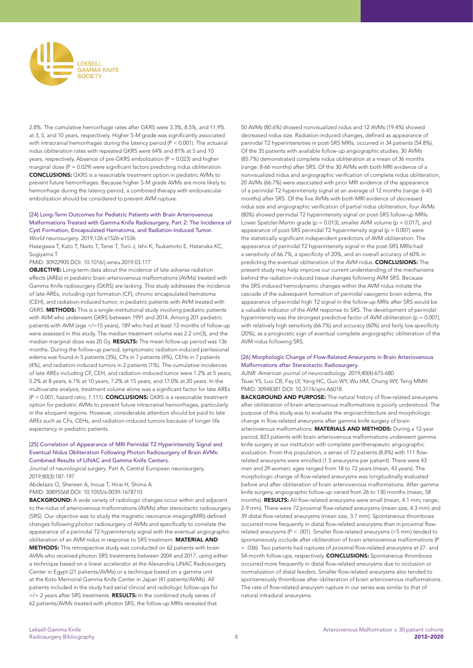

2.8%. The cumulative hemorrhage rates after GKRS were 3.3%, 8.5%, and 11.9% at 3, 5, and 10 years, respectively. Higher S-M grade was significantly associated with intracranial hemorrhages during the latency period (P < 0.001). The actuarial nidus obliteration rates with repeated GKRS were 64% and 81% at 5 and 10 years, respectively. Absence of pre-GKRS embolization (P = 0.023) and higher marginal dose ( $P = 0.029$ ) were significant factors predicting nidus obliteration. CONCLUSIONS: GKRS is a reasonable treatment option in pediatric AVMs to prevent future hemorrhages. Because higher S-M grade AVMs are more likely to hemorrhage during the latency period, a combined therapy with endovascular embolization should be considered to prevent AVM rupture.

#### [24] Long-Term Outcomes for Pediatric Patients with Brain Arteriovenous Malformations Treated with Gamma Knife Radiosurgery, Part 2: The Incidence of Cyst Formation, Encapsulated Hematoma, and Radiation-Induced Tumor. *World neurosurgery*. 2019;126:e1526-e1536

Hasegawa T, Kato T, Naito T, Tanei T, Torii J, Ishii K, Tsukamoto E, Hatanaka KC, Sugiyama T

PMID: 30922905 DOI: 10.1016/j.wneu.2019.03.177

OBJECTIVE: Long-term data about the incidence of late adverse radiation effects (AREs) in pediatric brain arteriovenous malformations (AVMs) treated with Gamma Knife radiosurgery (GKRS) are lacking. This study addresses the incidence of late AREs, including cyst formation (CF), chronic encapsulated hematoma (CEH), and radiation-induced tumor, in pediatric patients with AVM treated with GKRS. METHODS: This is a single-institutional study involving pediatric patients with AVM who underwent GKRS between 1991 and 2014. Among 201 pediatric patients with AVM (age </=15 years), 189 who had at least 12 months of follow-up were assessed in this study. The median treatment volume was 2.2 cm(3), and the median marginal dose was 20 Gy. RESULTS: The mean follow-up period was 136 months. During the follow-up period, symptomatic radiation-induced perilesional edema was found in 5 patients (3%), CFs in 7 patients (4%), CEHs in 7 patients (4%), and radiation-induced tumors in 2 patients (1%). The cumulative incidences of late AREs including CF, CEH, and radiation-induced tumor were 1.2% at 5 years, 5.2% at 8 years, 6.1% at 10 years, 7.2% at 15 years, and 17.0% at 20 years. In the multivariate analysis, treatment volume alone was a significant factor for late AREs (P < 0.001; hazard ratio, 1.111). CONCLUSIONS: GKRS is a reasonable treatment option for pediatric AVMs to prevent future intracranial hemorrhages, particularly in the eloquent regions. However, considerable attention should be paid to late AREs such as CFs, CEHs, and radiation-induced tumors because of longer life expectancy in pediatric patients.

#### [25] Correlation of Appearance of MRI Perinidal T2 Hyperintensity Signal and Eventual Nidus Obliteration Following Photon Radiosurgery of Brain AVMs: Combined Results of LINAC and Gamma Knife Centers.

*Journal of neurological surgery*. Part A, Central European neurosurgery. 2019;80(3):187-197

Abdelaziz O, Shereen A, Inoue T, Hirai H, Shima A

PMID: 30895568 DOI: 10.1055/s-0039-1678710

**BACKGROUND:** A wide variety of radiologic changes occur within and adjacent to the nidus of arteriovenous malformations (AVMs) after stereotactic radiosurgery (SRS). Our objective was to study the magnetic resonance imaging(MRI)-defined changes following photon radiosurgery of AVMs and specifically to correlate the appearance of a perinidal T2 hyperintensity signal with the eventual angiographic obliteration of an AVM nidus in response to SRS treatment. MATERIAL AND METHODS: This retrospective study was conducted on 62 patients with brain AVMs who received photon SRS treatments between 2004 and 2017, using either a technique based on a linear accelerator at the Alexandria LINAC Radiosurgery Center in Egypt (21 patients/AVMs) or a technique based on a gamma unit at the Koto Memorial Gamma Knife Center in Japan (41 patients/AVMs). All patients included in the study had serial clinical and radiologic follow-ups for .<br>>/= 2 vears after SRS treatments. **RESULTS:** In the combined study series of 62 patients/AVMs treated with photon SRS, the follow-up MRIs revealed that

50 AVMs (80.6%) showed nonvisualized nidus and 12 AVMs (19.4%) showed decreased nidus size. Radiation-induced changes, defined as appearance of perinidal T2 hyperintensities in post-SRS MRIs, occurred in 34 patients (54.8%). Of the 35 patients with available follow-up angiographic studies, 30 AVMs (85.7%) demonstrated complete nidus obliteration at a mean of 36 months (range: 8-66 months) after SRS. Of the 30 AVMs with both MRI evidence of a nonvisualized nidus and angiographic verification of complete nidus obliteration, 20 AVMs (66.7%) were associated with prior MRI evidence of the appearance of a perinidal T2 hyperintensity signal at an average of 12 months (range: 6-45 months) after SRS. Of the five AVMs with both MRI evidence of decreased nidus size and angiographic verification of partial nidus obliteration, four AVMs (80%) showed perinidal T2 hyperintensity signal on post-SRS follow-up MRIs. Lower Spetzler-Martin grade (p = 0.013), smaller AVM volume (p = 0.017), and appearance of post-SRS perinidal T2 hyperintensity signal ( $p = 0.007$ ) were the statistically significant independent predictors of AVM obliteration. The appearance of perinidal T2 hyperintensity signal in the post-SRS MRIs had a sensitivity of 66.7%, a specificity of 20%, and an overall accuracy of 60% in predicting the eventual obliteration of the AVM nidus. CONCLUSIONS: The present study may help improve our current understanding of the mechanisms behind the radiation-induced tissue changes following AVM SRS. Because the SRS-induced hemodynamic changes within the AVM nidus initiate the cascade of the subsequent formation of perinidal vasogenic brain edema, the appearance of perinidal high T2 signal in the follow-up MRIs after SRS would be a valuable indicator of the AVM response to SRS. The development of perinidal hyperintensity was the strongest predictive factor of AVM obliteration ( $p = 0.007$ ), with relatively high sensitivity (66.7%) and accuracy (60%) and fairly low specificity (20%), as a prognostic sign of eventual complete angiographic obliteration of the AVM nidus following SRS.

#### [26] Morphologic Change of Flow-Related Aneurysms in Brain Arteriovenous Malformations after Stereotactic Radiosurgery.

*AJNR. American journal of neuroradiology*. 2019;40(4):675-680 Tsuei YS, Luo CB, Fay LY, Yang HC, Guo WY, Wu HM, Chung WY, Teng MMH PMID: 30948381 DOI: 10.3174/ajnr.A6018

BACKGROUND AND PURPOSE: The natural history of flow-related aneurysms after obliteration of brain arteriovenous malformations is poorly understood. The purpose of this study was to evaluate the angioarchitecture and morphologic change in flow-related aneurysms after gamma knife surgery of brain arteriovenous malformations. MATERIALS AND METHODS: During a 12-year period, 823 patients with brain arteriovenous malformations underwent gamma knife surgery at our institution with complete peritherapeutic angiographic evaluation. From this population, a series of 72 patients (8.8%) with 111 flowrelated aneurysms were enrolled (1.5 aneurysms per patient). There were 43 men and 29 women; ages ranged from 18 to 72 years (mean, 43 years). The morphologic change of flow-related aneurysms was longitudinally evaluated before and after obliteration of brain arteriovenous malformations. After gamma knife surgery, angiographic follow-up varied from 26 to 130 months (mean, 58 months). RESULTS: All flow-related aneurysms were small (mean, 4.1 mm; range, 2-9 mm). There were 72 proximal flow-related aneurysms (mean size, 4.3 mm) and 39 distal flow-related aneurysms (mean size, 3.7 mm). Spontaneous thrombosis occurred more frequently in distal flow-related aneurysms than in proximal flowrelated aneurysms (P < .001). Smaller flow-related aneurysms (<5 mm) tended to spontaneously occlude after obliteration of brain arteriovenous malformations (P = .036). Two patients had ruptures of proximal flow-related aneurysms at 27- and 54-month follow-ups, respectively. **CONCLUSIONS:** Spontaneous thrombosis occurred more frequently in distal flow-related aneurysms due to occlusion or normalization of distal feeders. Smaller flow-related aneurysms also tended to spontaneously thrombose after obliteration of brain arteriovenous malformations. The rate of flow-related aneurysm rupture in our series was similar to that of natural intradural aneurysms.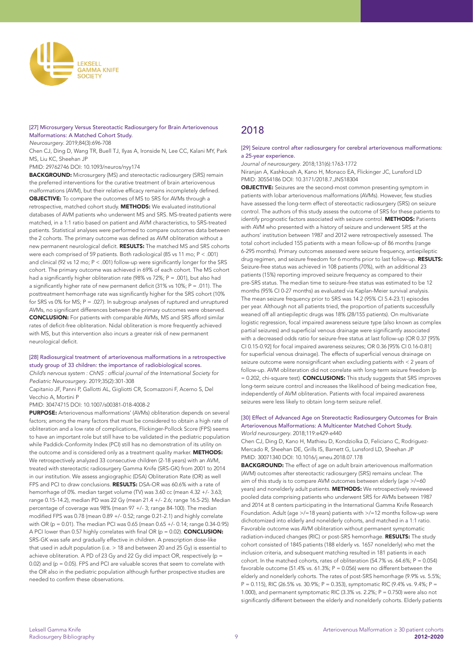

## [27] Microsurgery Versus Stereotactic Radiosurgery for Brain Arteriovenous Malformations: A Matched Cohort Study.

*Neurosurgery*. 2019;84(3):696-708

Chen CJ, Ding D, Wang TR, Buell TJ, Ilyas A, Ironside N, Lee CC, Kalani MY, Park MS, Liu KC, Sheehan JP

PMID: 29762746 DOI: 10.1093/neuros/nyy174

BACKGROUND: Microsurgery (MS) and stereotactic radiosurgery (SRS) remain the preferred interventions for the curative treatment of brain arteriovenous malformations (AVM), but their relative efficacy remains incompletely defined. OBJECTIVE: To compare the outcomes of MS to SRS for AVMs through a retrospective, matched cohort study. METHODS: We evaluated institutional databases of AVM patients who underwent MS and SRS. MS-treated patients were matched, in a 1:1 ratio based on patient and AVM characteristics, to SRS-treated patients. Statistical analyses were performed to compare outcomes data between the 2 cohorts. The primary outcome was defined as AVM obliteration without a new permanent neurological deficit. RESULTS: The matched MS and SRS cohorts were each comprised of 59 patients. Both radiological (85 vs 11 mo; P < .001) and clinical (92 vs 12 mo; P < .001) follow-up were significantly longer for the SRS cohort. The primary outcome was achieved in 69% of each cohort. The MS cohort had a significantly higher obliteration rate (98% vs 72%; P = .001), but also had a significantly higher rate of new permanent deficit (31% vs 10%; P = .011). The posttreatment hemorrhage rate was significantly higher for the SRS cohort (10% for SRS vs 0% for MS; P = .027). In subgroup analyses of ruptured and unruptured AVMs, no significant differences between the primary outcomes were observed. CONCLUSION: For patients with comparable AVMs, MS and SRS afford similar rates of deficit-free obliteration. Nidal obliteration is more frequently achieved with MS, but this intervention also incurs a greater risk of new permanent neurological deficit.

#### [28] Radiosurgical treatment of arteriovenous malformations in a retrospective study group of 33 children: the importance of radiobiological scores.

Child's nervous system : ChNS : official journal of the International Society for *Pediatric Neurosurgery*. 2019;35(2):301-308

Capitanio JF, Panni P, Gallotti AL, Gigliotti CR, Scomazzoni F, Acerno S, Del Vecchio A, Mortini P

PMID: 30474715 DOI: 10.1007/s00381-018-4008-2

PURPOSE: Arteriovenous malformations' (AVMs) obliteration depends on several factors; among the many factors that must be considered to obtain a high rate of obliteration and a low rate of complications, Flickinger-Pollock Score (FPS) seems to have an important role but still have to be validated in the pediatric population while Paddick-Conformity Index (PCI) still has no demonstration of its utility on the outcome and is considered only as a treatment quality marker. METHODS: We retrospectively analyzed 33 consecutive children (2-18 years) with an AVM, treated with stereotactic radiosurgery Gamma Knife (SRS-GK) from 2001 to 2014 in our institution. We assess angiographic (DSA) Obliteration Rate (OR) as well FPS and PCI to draw conclusions. RESULTS: DSA-OR was 60.6% with a rate of hemorrhage of 0%. median target volume (TV) was 3.60 cc (mean 4.32 +/- 3.63; range 0.15-14.2), median PD was 22 Gy (mean 21.4 +/- 2.6; range 16.5-25). Median percentage of coverage was 98% (mean 97 +/- 3; range 84-100). The median modified FPS was 0.78 (mean 0.89 +/- 0.52; range 0.21-2.1) and highly correlate with OR (p = 0.01). The median PCI was 0.65 (mean 0.65 +/- 0.14; range 0.34-0.95) A PCI lower than 0.57 highly correlates with final OR ( $p = 0.02$ ). **CONCLUSION:** SRS-GK was safe and gradually effective in children. A prescription dose-like that used in adult population (i.e. > 18 and between 20 and 25 Gy) is essential to achieve obliteration. A PD of 23 Gy and 22 Gy did impact OR, respectively (p = 0.02) and ( $p = 0.05$ ). FPS and PCI are valuable scores that seem to correlate with the OR also in the pediatric population although further prospective studies are needed to confirm these observations.

# 2018

#### [29] Seizure control after radiosurgery for cerebral arteriovenous malformations: a 25-year experience.

*Journal of neurosurgery*. 2018;131(6):1763-1772 Niranjan A, Kashkoush A, Kano H, Monaco EA, Flickinger JC, Lunsford LD

PMID: 30554186 DOI: 10.3171/2018.7.JNS18304

OBJECTIVE: Seizures are the second-most common presenting symptom in patients with lobar arteriovenous malformations (AVMs). However, few studies have assessed the long-term effect of stereotactic radiosurgery (SRS) on seizure control. The authors of this study assess the outcome of SRS for these patients to identify prognostic factors associated with seizure control. **METHODS:** Patients with AVM who presented with a history of seizure and underwent SRS at the authors' institution between 1987 and 2012 were retrospectively assessed. The total cohort included 155 patients with a mean follow-up of 86 months (range 6-295 months). Primary outcomes assessed were seizure frequency, antiepileptic drug regimen, and seizure freedom for 6 months prior to last follow-up. RESULTS: Seizure-free status was achieved in 108 patients (70%), with an additional 23 patients (15%) reporting improved seizure frequency as compared to their pre-SRS status. The median time to seizure-free status was estimated to be 12 months (95% CI 0-27 months) as evaluated via Kaplan-Meier survival analysis. The mean seizure frequency prior to SRS was 14.2 (95% CI 5.4-23.1) episodes per year. Although not all patients tried, the proportion of patients successfully weaned off all antiepileptic drugs was 18% (28/155 patients). On multivariate logistic regression, focal impaired awareness seizure type (also known as complex partial seizures) and superficial venous drainage were significantly associated with a decreased odds ratio for seizure-free status at last follow-up (OR 0.37 [95% CI 0.15-0.92] for focal impaired awareness seizures; OR 0.36 [95% CI 0.16-0.81] for superficial venous drainage). The effects of superficial venous drainage on seizure outcome were nonsignificant when excluding patients with < 2 years of follow-up. AVM obliteration did not correlate with long-term seizure freedom (p = 0.202, chi-square test). **CONCLUSIONS:** This study suggests that SRS improves long-term seizure control and increases the likelihood of being medication free, independently of AVM obliteration. Patients with focal impaired awareness seizures were less likely to obtain long-term seizure relief.

#### [30] Effect of Advanced Age on Stereotactic Radiosurgery Outcomes for Brain Arteriovenous Malformations: A Multicenter Matched Cohort Study. *World neurosurgery*. 2018;119:e429-e440

Chen CJ, Ding D, Kano H, Mathieu D, Kondziolka D, Feliciano C, Rodriguez-Mercado R, Sheehan DE, Grills IS, Barnett G, Lunsford LD, Sheehan JP PMID: 30071340 DOI: 10.1016/j.wneu.2018.07.178

**BACKGROUND:** The effect of age on adult brain arteriovenous malformation (AVM) outcomes after stereotactic radiosurgery (SRS) remains unclear. The aim of this study is to compare AVM outcomes between elderly (age >/=60 years) and nonelderly adult patients. **METHODS:** We retrospectively reviewed pooled data comprising patients who underwent SRS for AVMs between 1987 and 2014 at 8 centers participating in the International Gamma Knife Research Foundation. Adult (age >/=18 years) patients with >/=12 months follow-up were dichotomized into elderly and nonelderly cohorts, and matched in a 1:1 ratio. Favorable outcome was AVM obliteration without permanent symptomatic radiation-induced changes (RIC) or post-SRS hemorrhage. RESULTS: The study cohort consisted of 1845 patients (188 elderly vs. 1657 nonelderly) who met the inclusion criteria, and subsequent matching resulted in 181 patients in each cohort. In the matched cohorts, rates of obliteration (54.7% vs. 64.6%;  $P = 0.054$ ) favorable outcome (51.4% vs. 61.3%;  $P = 0.056$ ) were no different between the elderly and nonelderly cohorts. The rates of post-SRS hemorrhage (9.9% vs. 5.5%; P = 0.115), RIC (26.5% vs. 30.9%; P = 0.353), symptomatic RIC (9.4% vs. 9.4%; P = 1.000), and permanent symptomatic RIC (3.3% vs. 2.2%; P = 0.750) were also not significantly different between the elderly and nonelderly cohorts. Elderly patients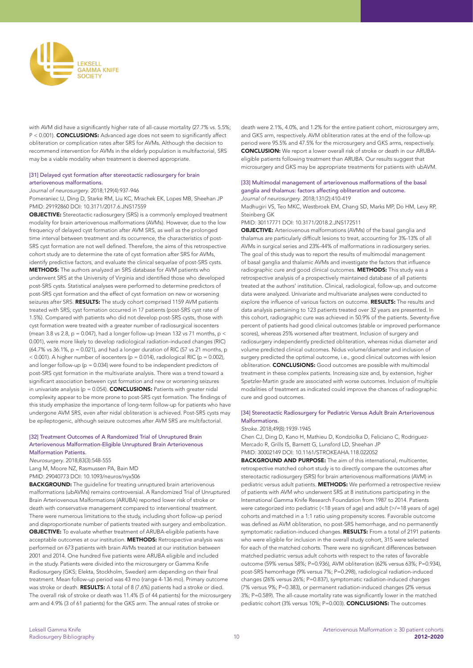

with AVM did have a significantly higher rate of all-cause mortality (27.7% vs. 5.5%; P < 0.001). **CONCLUSIONS:** Advanced age does not seem to significantly affect obliteration or complication rates after SRS for AVMs. Although the decision to recommend intervention for AVMs in the elderly population is multifactorial, SRS may be a viable modality when treatment is deemed appropriate.

#### [31] Delayed cyst formation after stereotactic radiosurgery for brain arteriovenous malformations.

# *Journal of neurosurgery*. 2018;129(4):937-946

Pomeraniec IJ, Ding D, Starke RM, Liu KC, Mrachek EK, Lopes MB, Sheehan JP PMID: 29192860 DOI: 10.3171/2017.6.JNS17559

OBJECTIVE: Stereotactic radiosurgery (SRS) is a commonly employed treatment modality for brain arteriovenous malformations (AVMs). However, due to the low frequency of delayed cyst formation after AVM SRS, as well as the prolonged time interval between treatment and its occurrence, the characteristics of post-SRS cyst formation are not well defined. Therefore, the aims of this retrospective cohort study are to determine the rate of cyst formation after SRS for AVMs, identify predictive factors, and evaluate the clinical sequelae of post-SRS cysts. METHODS: The authors analyzed an SRS database for AVM patients who underwent SRS at the University of Virginia and identified those who developed post-SRS cysts. Statistical analyses were performed to determine predictors of post-SRS cyst formation and the effect of cyst formation on new or worsening seizures after SRS. RESULTS: The study cohort comprised 1159 AVM patients treated with SRS; cyst formation occurred in 17 patients (post-SRS cyst rate of 1.5%). Compared with patients who did not develop post-SRS cysts, those with cyst formation were treated with a greater number of radiosurgical isocenters (mean 3.8 vs 2.8,  $p = 0.047$ ), had a longer follow-up (mean 132 vs 71 months,  $p <$ 0.001), were more likely to develop radiological radiation-induced changes (RIC) (64.7% vs 36.1%, p = 0.021), and had a longer duration of RIC (57 vs 21 months, p  $<$  0.001). A higher number of isocenters (p = 0.014), radiological RIC (p = 0.002), and longer follow-up (p = 0.034) were found to be independent predictors of post-SRS cyst formation in the multivariate analysis. There was a trend toward a significant association between cyst formation and new or worsening seizures in univariate analysis ( $p = 0.054$ ). **CONCLUSIONS:** Patients with greater nidal complexity appear to be more prone to post-SRS cyst formation. The findings of this study emphasize the importance of long-term follow-up for patients who have undergone AVM SRS, even after nidal obliteration is achieved. Post-SRS cysts may be epileptogenic, although seizure outcomes after AVM SRS are multifactorial.

#### [32] Treatment Outcomes of A Randomized Trial of Unruptured Brain Arteriovenous Malformation-Eligible Unruptured Brain Arteriovenous Malformation Patients.

*Neurosurgery*. 2018;83(3):548-555

Lang M, Moore NZ, Rasmussen PA, Bain MD

PMID: 29040773 DOI: 10.1093/neuros/nyx506

**BACKGROUND:** The guideline for treating unruptured brain arteriovenous malformations (ubAVMs) remains controversial. A Randomized Trial of Unruptured Brain Arteriovenous Malformations (ARUBA) reported lower risk of stroke or death with conservative management compared to interventional treatment. There were numerous limitations to the study, including short follow-up period and disproportionate number of patients treated with surgery and embolization. OBJECTIVE: To evaluate whether treatment of ARUBA-eligible patients have acceptable outcomes at our institution. **METHODS:** Retrospective analysis was performed on 673 patients with brain AVMs treated at our institution between 2001 and 2014. One hundred five patients were ARUBA eligible and included in the study. Patients were divided into the microsurgery or Gamma Knife Radiosurgery (GKS; Elekta, Stockholm, Sweden) arm depending on their final treatment. Mean follow-up period was 43 mo (range 4-136 mo). Primary outcome was stroke or death. RESULTS: A total of 8 (7.6%) patients had a stroke or died. The overall risk of stroke or death was 11.4% (5 of 44 patients) for the microsurgery arm and 4.9% (3 of 61 patients) for the GKS arm. The annual rates of stroke or

death were 2.1%, 4.0%, and 1.2% for the entire patient cohort, microsurgery arm, and GKS arm, respectively. AVM obliteration rates at the end of the follow-up period were 95.5% and 47.5% for the microsurgery and GKS arms, respectively. CONCLUSION: We report a lower overall risk of stroke or death in our ARUBAeligible patients following treatment than ARUBA. Our results suggest that microsurgery and GKS may be appropriate treatments for patients with ubAVM.

#### [33] Multimodal management of arteriovenous malformations of the basal ganglia and thalamus: factors affecting obliteration and outcome. *Journal of neurosurgery*. 2018;131(2):410-419

Madhugiri VS, Teo MKC, Westbroek EM, Chang SD, Marks MP, Do HM, Levy RP, Steinberg GK

PMID: 30117771 DOI: 10.3171/2018.2.JNS172511

OBJECTIVE: Arteriovenous malformations (AVMs) of the basal ganglia and thalamus are particularly difficult lesions to treat, accounting for 3%-13% of all AVMs in surgical series and 23%-44% of malformations in radiosurgery series. The goal of this study was to report the results of multimodal management of basal ganglia and thalamic AVMs and investigate the factors that influence radiographic cure and good clinical outcomes. **METHODS:** This study was a retrospective analysis of a prospectively maintained database of all patients treated at the authors' institution. Clinical, radiological, follow-up, and outcome data were analyzed. Univariate and multivariate analyses were conducted to explore the influence of various factors on outcome. RESULTS: The results and data analysis pertaining to 123 patients treated over 32 years are presented. In this cohort, radiographic cure was achieved in 50.9% of the patients. Seventy-five percent of patients had good clinical outcomes (stable or improved performance scores), whereas 25% worsened after treatment. Inclusion of surgery and radiosurgery independently predicted obliteration, whereas nidus diameter and volume predicted clinical outcomes. Nidus volume/diameter and inclusion of surgery predicted the optimal outcome, i.e., good clinical outcomes with lesion obliteration. CONCLUSIONS: Good outcomes are possible with multimodal treatment in these complex patients. Increasing size and, by extension, higher Spetzler-Martin grade are associated with worse outcomes. Inclusion of multiple modalities of treatment as indicated could improve the chances of radiographic cure and good outcomes.

#### [34] Stereotactic Radiosurgery for Pediatric Versus Adult Brain Arteriovenous **Malformations**

# *Stroke*. 2018;49(8):1939-1945

Chen CJ, Ding D, Kano H, Mathieu D, Kondziolka D, Feliciano C, Rodriguez-Mercado R, Grills IS, Barnett G, Lunsford LD, Sheehan JP PMID: 30002149 DOI: 10.1161/STROKEAHA.118.022052

BACKGROUND AND PURPOSE: The aim of this international, multicenter, retrospective matched cohort study is to directly compare the outcomes after stereotactic radiosurgery (SRS) for brain arteriovenous malformations (AVM) in pediatric versus adult patients. METHODS: We performed a retrospective review of patients with AVM who underwent SRS at 8 institutions participating in the International Gamma Knife Research Foundation from 1987 to 2014. Patients were categorized into pediatric (<18 years of age) and adult (>/=18 years of age) cohorts and matched in a 1:1 ratio using propensity scores. Favorable outcome was defined as AVM obliteration, no post-SRS hemorrhage, and no permanently symptomatic radiation-induced changes. RESULTS: From a total of 2191 patients who were eligible for inclusion in the overall study cohort, 315 were selected for each of the matched cohorts. There were no significant differences between matched pediatric versus adult cohorts with respect to the rates of favorable outcome (59% versus 58%; P=0.936), AVM obliteration (62% versus 63%; P=0.934), post-SRS hemorrhage (9% versus 7%; P=0.298), radiological radiation-induced changes (26% versus 26%; P=0.837), symptomatic radiation-induced changes (7% versus 9%; P=0.383), or permanent radiation-induced changes (2% versus 3%; P=0.589). The all-cause mortality rate was significantly lower in the matched pediatric cohort (3% versus 10%; P=0.003). **CONCLUSIONS:** The outcomes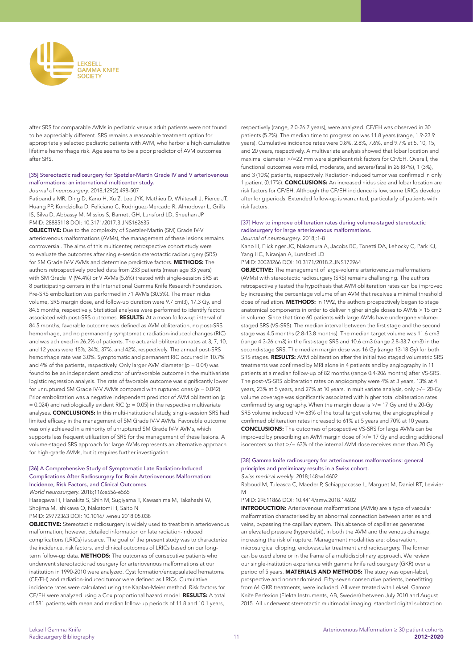

after SRS for comparable AVMs in pediatric versus adult patients were not found to be appreciably different. SRS remains a reasonable treatment option for appropriately selected pediatric patients with AVM, who harbor a high cumulative lifetime hemorrhage risk. Age seems to be a poor predictor of AVM outcomes after SRS.

# [35] Stereotactic radiosurgery for Spetzler-Martin Grade IV and V arteriovenous malformations: an international multicenter study.

#### *Journal of neurosurgery*. 2018;129(2):498-507

Patibandla MR, Ding D, Kano H, Xu Z, Lee JYK, Mathieu D, Whitesell J, Pierce JT, Huang PP, Kondziolka D, Feliciano C, Rodriguez-Mercado R, Almodovar L, Grills IS, Silva D, Abbassy M, Missios S, Barnett GH, Lunsford LD, Sheehan JP PMID: 28885118 DOI: 10.3171/2017.3.JNS162635

OBJECTIVE: Due to the complexity of Spetzler-Martin (SM) Grade IV-V arteriovenous malformations (AVMs), the management of these lesions remains controversial. The aims of this multicenter, retrospective cohort study were to evaluate the outcomes after single-session stereotactic radiosurgery (SRS) for SM Grade IV-V AVMs and determine predictive factors. METHODS: The authors retrospectively pooled data from 233 patients (mean age 33 years) with SM Grade IV (94.4%) or V AVMs (5.6%) treated with single-session SRS at 8 participating centers in the International Gamma Knife Research Foundation. Pre-SRS embolization was performed in 71 AVMs (30.5%). The mean nidus volume, SRS margin dose, and follow-up duration were 9.7 cm(3), 17.3 Gy, and 84.5 months, respectively. Statistical analyses were performed to identify factors associated with post-SRS outcomes. RESULTS: At a mean follow-up interval of 84.5 months, favorable outcome was defined as AVM obliteration, no post-SRS hemorrhage, and no permanently symptomatic radiation-induced changes (RIC) and was achieved in 26.2% of patients. The actuarial obliteration rates at 3, 7, 10, and 12 years were 15%, 34%, 37%, and 42%, respectively. The annual post-SRS hemorrhage rate was 3.0%. Symptomatic and permanent RIC occurred in 10.7% and 4% of the patients, respectively. Only larger AVM diameter ( $p = 0.04$ ) was found to be an independent predictor of unfavorable outcome in the multivariate logistic regression analysis. The rate of favorable outcome was significantly lower for unruptured SM Grade IV-V AVMs compared with ruptured ones ( $p = 0.042$ ). Prior embolization was a negative independent predictor of AVM obliteration (p  $= 0.024$ ) and radiologically evident RIC (p = 0.05) in the respective multivariate analyses. CONCLUSIONS: In this multi-institutional study, single-session SRS had limited efficacy in the management of SM Grade IV-V AVMs. Favorable outcome was only achieved in a minority of unruptured SM Grade IV-V AVMs, which supports less frequent utilization of SRS for the management of these lesions. A volume-staged SRS approach for large AVMs represents an alternative approach for high-grade AVMs, but it requires further investigation.

#### [36] A Comprehensive Study of Symptomatic Late Radiation-Induced Complications After Radiosurgery for Brain Arteriovenous Malformation: Incidence, Risk Factors, and Clinical Outcomes.

*World neurosurgery*. 2018;116:e556-e565

Hasegawa H, Hanakita S, Shin M, Sugiyama T, Kawashima M, Takahashi W, Shojima M, Ishikawa O, Nakatomi H, Saito N

PMID: 29772363 DOI: 10.1016/j.wneu.2018.05.038

**OBJECTIVE:** Stereotactic radiosurgery is widely used to treat brain arteriovenous malformation; however, detailed information on late radiation-induced complications (LRICs) is scarce. The goal of the present study was to characterize the incidence, risk factors, and clinical outcomes of LRICs based on our longterm follow-up data. METHODS: The outcomes of consecutive patients who underwent stereotactic radiosurgery for arteriovenous malformations at our institution in 1990-2010 were analyzed. Cyst formation/encapsulated hematoma (CF/EH) and radiation-induced tumor were defined as LRICs. Cumulative incidence rates were calculated using the Kaplan-Meier method. Risk factors for CF/EH were analyzed using a Cox proportional hazard model. RESULTS: A total of 581 patients with mean and median follow-up periods of 11.8 and 10.1 years,

respectively (range, 2.0-26.7 years), were analyzed. CF/EH was observed in 30 patients (5.2%). The median time to progression was 11.8 years (range, 1.9-23.9 years). Cumulative incidence rates were 0.8%, 2.8%, 7.6%, and 9.7% at 5, 10, 15, and 20 years, respectively. A multivariate analysis showed that lobar location and maximal diameter >/=22 mm were significant risk factors for CF/EH. Overall, the functional outcomes were mild, moderate, and severe/fatal in 26 (87%), 1 (3%), and 3 (10%) patients, respectively. Radiation-induced tumor was confirmed in only 1 patient (0.17%). **CONCLUSIONS:** An increased nidus size and lobar location are risk factors for CF/EH. Although the CF/EH incidence is low, some LRICs develop after long periods. Extended follow-up is warranted, particularly of patients with risk factors.

# [37] How to improve obliteration rates during volume-staged stereotactic radiosurgery for large arteriovenous malformations.

*Journal of neurosurgery*. 2018;:1-8

Kano H, Flickinger JC, Nakamura A, Jacobs RC, Tonetti DA, Lehocky C, Park KJ, Yang HC, Niranjan A, Lunsford LD

PMID: 30028266 DOI: 10.3171/2018.2.JNS172964

OBJECTIVE: The management of large-volume arteriovenous malformations (AVMs) with stereotactic radiosurgery (SRS) remains challenging. The authors retrospectively tested the hypothesis that AVM obliteration rates can be improved by increasing the percentage volume of an AVM that receives a minimal threshold dose of radiation. METHODS: In 1992, the authors prospectively began to stage anatomical components in order to deliver higher single doses to AVMs > 15 cm3 in volume. Since that time 60 patients with large AVMs have undergone volumestaged SRS (VS-SRS). The median interval between the first stage and the second stage was 4.5 months (2.8-13.8 months). The median target volume was 11.6 cm3 (range 4.3-26 cm3) in the first-stage SRS and 10.6 cm3 (range 2.8-33.7 cm3) in the second-stage SRS. The median margin dose was 16 Gy (range 13-18 Gy) for both SRS stages. RESULTS: AVM obliteration after the initial two staged volumetric SRS treatments was confirmed by MRI alone in 4 patients and by angiography in 11 patients at a median follow-up of 82 months (range 0.4-206 months) after VS-SRS. The post-VS-SRS obliteration rates on angiography were 4% at 3 years, 13% at 4 years, 23% at 5 years, and 27% at 10 years. In multivariate analysis, only >/= 20-Gy volume coverage was significantly associated with higher total obliteration rates confirmed by angiography. When the margin dose is >/= 17 Gy and the 20-Gy SRS volume included >/= 63% of the total target volume, the angiographically confirmed obliteration rates increased to 61% at 5 years and 70% at 10 years. CONCLUSIONS: The outcomes of prospective VS-SRS for large AVMs can be improved by prescribing an AVM margin dose of >/= 17 Gy and adding additional isocenters so that >/= 63% of the internal AVM dose receives more than 20 Gy.

# [38] Gamma knife radiosurgery for arteriovenous malformations: general principles and preliminary results in a Swiss cohort.

*Swiss medical weekly*. 2018;148:w14602

Raboud M, Tuleasca C, Maeder P, Schiappacasse L, Marguet M, Daniel RT, Levivier M

PMID: 29611866 DOI: 10.4414/smw.2018.14602

**INTRODUCTION:** Arteriovenous malformations (AVMs) are a type of vascular malformation characterised by an abnormal connection between arteries and veins, bypassing the capillary system. This absence of capillaries generates an elevated pressure (hyperdebit), in both the AVM and the venous drainage, increasing the risk of rupture. Management modalities are: observation, microsurgical clipping, endovascular treatment and radiosurgery. The former can be used alone or in the frame of a multidisciplinary approach. We review our single-institution experience with gamma knife radiosurgery (GKR) over a period of 5 years. MATERIALS AND METHODS: The study was open-label, prospective and nonrandomised. Fifty-seven consecutive patients, benefitting from 64 GKR treatments, were included. All were treated with Leksell Gamma Knife Perfexion (Elekta Instruments, AB, Sweden) between July 2010 and August 2015. All underwent stereotactic multimodal imaging: standard digital subtraction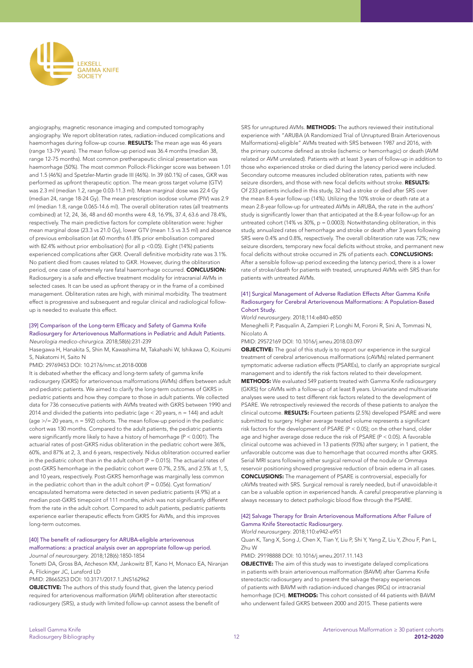

angiography, magnetic resonance imaging and computed tomography angiography. We report obliteration rates, radiation-induced complications and haemorrhages during follow-up course. RESULTS: The mean age was 46 years (range 13-79 years). The mean follow-up period was 36.4 months (median 38, range 12-75 months). Most common pretherapeutic clinical presentation was haemorrhage (50%). The most common Pollock-Flickinger score was between 1.01 and 1.5 (46%) and Spetzler-Martin grade III (46%). In 39 (60.1%) of cases, GKR was performed as upfront therapeutic option. The mean gross target volume (GTV) was 2.3 ml (median 1.2, range 0.03-11.3 ml). Mean marginal dose was 22.4 Gy (median 24, range 18-24 Gy). The mean prescription isodose volume (PIV) was 2.9 ml (median 1.8, range 0.065-14.6 ml). The overall obliteration rates (all treatments combined) at 12, 24, 36, 48 and 60 months were 4.8, 16.9%, 37.4, 63.6 and 78.4%, respectively. The main predictive factors for complete obliteration were: higher mean marginal dose (23.3 vs 21.0 Gy), lower GTV (mean 1.5 vs 3.5 ml) and absence of previous embolisation (at 60 months 61.8% prior embolisation compared with 82.4% without prior embolisation) (for all p <0.05). Eight (14%) patients experienced complications after GKR. Overall definitive morbidity rate was 3.1%. No patient died from causes related to GKR. However, during the obliteration period, one case of extremely rare fatal haemorrhage occurred. CONCLUSION: Radiosurgery is a safe and effective treatment modality for intracranial AVMs in selected cases. It can be used as upfront therapy or in the frame of a combined management. Obliteration rates are high, with minimal morbidity. The treatment effect is progressive and subsequent and regular clinical and radiological followup is needed to evaluate this effect.

#### [39] Comparison of the Long-term Efficacy and Safety of Gamma Knife Radiosurgery for Arteriovenous Malformations in Pediatric and Adult Patients. *Neurologia medico-chirurgica*. 2018;58(6):231-239

Hasegawa H, Hanakita S, Shin M, Kawashima M, Takahashi W, Ishikawa O, Koizumi S, Nakatomi H, Saito N

#### PMID: 29769453 DOI: 10.2176/nmc.st.2018-0008

It is debated whether the efficacy and long-term safety of gamma knife radiosurgery (GKRS) for arteriovenous malformations (AVMs) differs between adult and pediatric patients. We aimed to clarify the long-term outcomes of GKRS in pediatric patients and how they compare to those in adult patients. We collected data for 736 consecutive patients with AVMs treated with GKRS between 1990 and 2014 and divided the patients into pediatric (age < 20 years, n = 144) and adult (age  $\ge$ /= 20 years, n = 592) cohorts. The mean follow-up period in the pediatric cohort was 130 months. Compared to the adult patients, the pediatric patients were significantly more likely to have a history of hemorrhage (P < 0.001). The actuarial rates of post-GKRS nidus obliteration in the pediatric cohort were 36%, 60%, and 87% at 2, 3, and 6 years, respectively. Nidus obliteration occurred earlier in the pediatric cohort than in the adult cohort ( $P = 0.015$ ). The actuarial rates of post-GKRS hemorrhage in the pediatric cohort were 0.7%, 2.5%, and 2.5% at 1, 5, and 10 years, respectively. Post-GKRS hemorrhage was marginally less common in the pediatric cohort than in the adult cohort ( $P = 0.056$ ). Cyst formation/ encapsulated hematoma were detected in seven pediatric patients (4.9%) at a median post-GKRS timepoint of 111 months, which was not significantly different from the rate in the adult cohort. Compared to adult patients, pediatric patients experience earlier therapeutic effects from GKRS for AVMs, and this improves long-term outcomes.

#### [40] The benefit of radiosurgery for ARUBA-eligible arteriovenous malformations: a practical analysis over an appropriate follow-up period. *Journal of neurosurgery*. 2018;128(6):1850-1854

Tonetti DA, Gross BA, Atcheson KM, Jankowitz BT, Kano H, Monaco EA, Niranjan A, Flickinger JC, Lunsford LD

PMID: 28665253 DOI: 10.3171/2017.1.JNS162962

OBJECTIVE: The authors of this study found that, given the latency period required for arteriovenous malformation (AVM) obliteration after stereotactic radiosurgery (SRS), a study with limited follow-up cannot assess the benefit of

SRS for unruptured AVMs. **METHODS:** The authors reviewed their institutional experience with "ARUBA (A Randomized Trial of Unruptured Brain Arteriovenous Malformations)-eligible" AVMs treated with SRS between 1987 and 2016, with the primary outcome defined as stroke (ischemic or hemorrhagic) or death (AVM related or AVM unrelated). Patients with at least 3 years of follow-up in addition to those who experienced stroke or died during the latency period were included. Secondary outcome measures included obliteration rates, patients with new seizure disorders, and those with new focal deficits without stroke. RESULTS: Of 233 patients included in this study, 32 had a stroke or died after SRS over the mean 8.4-year follow-up (14%). Utilizing the 10% stroke or death rate at a mean 2.8-year follow-up for untreated AVMs in ARUBA, the rate in the authors' study is significantly lower than that anticipated at the 8.4-year follow-up for an untreated cohort (14% vs  $30\%$ , p = 0.0003). Notwithstanding obliteration, in this study, annualized rates of hemorrhage and stroke or death after 3 years following SRS were 0.4% and 0.8%, respectively. The overall obliteration rate was 72%; new seizure disorders, temporary new focal deficits without stroke, and permanent new focal deficits without stroke occurred in 2% of patients each. CONCLUSIONS: After a sensible follow-up period exceeding the latency period, there is a lower rate of stroke/death for patients with treated, unruptured AVMs with SRS than for patients with untreated AVMs.

#### [41] Surgical Management of Adverse Radiation Effects After Gamma Knife Radiosurgery for Cerebral Arteriovenous Malformations: A Population-Based Cohort Study.

*World neurosurgery*. 2018;114:e840-e850

Meneghelli P, Pasqualin A, Zampieri P, Longhi M, Foroni R, Sini A, Tommasi N, Nicolato A

PMID: 29572169 DOI: 10.1016/j.wneu.2018.03.097

OBJECTIVE: The goal of this study is to report our experience in the surgical treatment of cerebral arteriovenous malformations (cAVMs) related permanent symptomatic adverse radiation effects (PSAREs), to clarify an appropriate surgical management and to identify the risk factors related to their development. METHODS: We evaluated 549 patients treated with Gamma Knife radiosurgery (GKRS) for cAVMs with a follow-up of at least 8 years. Univariate and multivariate analyses were used to test different risk factors related to the development of PSARE. We retrospectively reviewed the records of these patients to analyze the clinical outcome. RESULTS: Fourteen patients (2.5%) developed PSARE and were submitted to surgery. Higher average treated volume represents a significant risk factors for the development of PSARE (P < 0.05); on the other hand, older age and higher average dose reduce the risk of PSARE (P < 0.05). A favorable clinical outcome was achieved in 13 patients (93%) after surgery; in 1 patient, the unfavorable outcome was due to hemorrhage that occurred months after GKRS. Serial MRI scans following either surgical removal of the nodule or Ommaya reservoir positioning showed progressive reduction of brain edema in all cases. CONCLUSIONS: The management of PSARE is controversial, especially for cAVMs treated with SRS. Surgical removal is rarely needed, but-if unavoidable-it can be a valuable option in experienced hands. A careful preoperative planning is always necessary to detect pathologic blood flow through the PSARE.

## [42] Salvage Therapy for Brain Arteriovenous Malformations After Failure of Gamma Knife Stereotactic Radiosurgery.

*World neurosurgery*. 2018;110:e942-e951

Quan K, Tang X, Song J, Chen X, Tian Y, Liu P, Shi Y, Yang Z, Liu Y, Zhou F, Pan L, Zhu W

PMID: 29198888 DOI: 10.1016/j.wneu.2017.11.143

**OBJECTIVE:** The aim of this study was to investigate delayed complications in patients with brain arteriovenous malformation (BAVM) after Gamma Knife stereotactic radiosurgery and to present the salvage therapy experiences of patients with BAVM with radiation-induced changes (RICs) or intracranial hemorrhage (ICH). METHODS: This cohort consisted of 44 patients with BAVM who underwent failed GKRS between 2000 and 2015. These patients were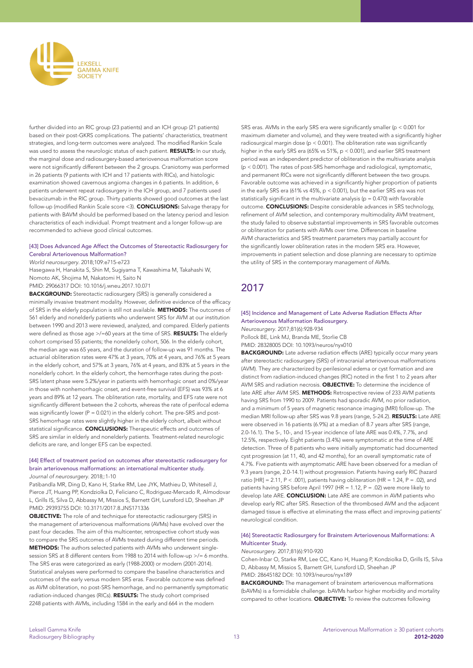

further divided into an RIC group (23 patients) and an ICH group (21 patients) based on their post-GKRS complications. The patients' characteristics, treatment strategies, and long-term outcomes were analyzed. The modified Rankin Scale was used to assess the neurologic status of each patient. RESULTS: In our study, the marginal dose and radiosurgery-based arteriovenous malformation score were not significantly different between the 2 groups. Craniotomy was performed in 26 patients (9 patients with ICH and 17 patients with RICs), and histologic examination showed cavernous angioma changes in 6 patients. In addition, 6 patients underwent repeat radiosurgery in the ICH group, and 7 patients used bevacizumab in the RIC group. Thirty patients showed good outcomes at the last follow-up (modified Rankin Scale score <3). CONCLUSIONS: Salvage therapy for patients with BAVM should be performed based on the latency period and lesion characteristics of each individual. Prompt treatment and a longer follow-up are recommended to achieve good clinical outcomes.

#### [43] Does Advanced Age Affect the Outcomes of Stereotactic Radiosurgery for Cerebral Arteriovenous Malformation?

*World neurosurgery*. 2018;109:e715-e723

Hasegawa H, Hanakita S, Shin M, Sugiyama T, Kawashima M, Takahashi W, Nomoto AK, Shojima M, Nakatomi H, Saito N

PMID: 29066317 DOI: 10.1016/j.wneu.2017.10.071

**BACKGROUND:** Stereotactic radiosurgery (SRS) is generally considered a minimally invasive treatment modality. However, definitive evidence of the efficacy of SRS in the elderly population is still not available. METHODS: The outcomes of 561 elderly and nonelderly patients who underwent SRS for AVM at our institution between 1990 and 2013 were reviewed, analyzed, and compared. Elderly patients were defined as those age >/=60 years at the time of SRS. RESULTS: The elderly cohort comprised 55 patients; the nonelderly cohort, 506. In the elderly cohort, the median age was 65 years, and the duration of follow-up was 91 months. The actuarial obliteration rates were 47% at 3 years, 70% at 4 years, and 76% at 5 years in the elderly cohort, and 57% at 3 years, 76% at 4 years, and 83% at 5 years in the nonelderly cohort. In the elderly cohort, the hemorrhage rates during the post-SRS latent phase were 5.2%/year in patients with hemorrhagic onset and 0%/year in those with nonhemorrhagic onset, and event-free survival (EFS) was 93% at 6 years and 89% at 12 years. The obliteration rate, mortality, and EFS rate were not significantly different between the 2 cohorts, whereas the rate of perifocal edema was significantly lower ( $P = 0.021$ ) in the elderly cohort. The pre-SRS and post-SRS hemorrhage rates were slightly higher in the elderly cohort, albeit without statistical significance. **CONCLUSIONS:** Therapeutic effects and outcomes of SRS are similar in elderly and nonelderly patients. Treatment-related neurologic deficits are rare, and longer EFS can be expected.

#### [44] Effect of treatment period on outcomes after stereotactic radiosurgery for brain arteriovenous malformations: an international multicenter study. *Journal of neurosurgery*. 2018;:1-10

Patibandla MR, Ding D, Kano H, Starke RM, Lee JYK, Mathieu D, Whitesell J, Pierce JT, Huang PP, Kondziolka D, Feliciano C, Rodriguez-Mercado R, Almodovar L, Grills IS, Silva D, Abbassy M, Missios S, Barnett GH, Lunsford LD, Sheehan JP PMID: 29393755 DOI: 10.3171/2017.8.JNS171336

OBJECTIVE: The role of and technique for stereotactic radiosurgery (SRS) in the management of arteriovenous malformations (AVMs) have evolved over the past four decades. The aim of this multicenter, retrospective cohort study was to compare the SRS outcomes of AVMs treated during different time periods. METHODS: The authors selected patients with AVMs who underwent singlesession SRS at 8 different centers from 1988 to 2014 with follow-up >/= 6 months. The SRS eras were categorized as early (1988-2000) or modern (2001-2014). Statistical analyses were performed to compare the baseline characteristics and outcomes of the early versus modern SRS eras. Favorable outcome was defined as AVM obliteration, no post-SRS hemorrhage, and no permanently symptomatic radiation-induced changes (RICs). RESULTS: The study cohort comprised 2248 patients with AVMs, including 1584 in the early and 664 in the modern

SRS eras. AVMs in the early SRS era were significantly smaller (p < 0.001 for maximum diameter and volume), and they were treated with a significantly higher radiosurgical margin dose (p < 0.001). The obliteration rate was significantly higher in the early SRS era (65% vs 51%, p < 0.001), and earlier SRS treatment period was an independent predictor of obliteration in the multivariate analysis (p < 0.001). The rates of post-SRS hemorrhage and radiological, symptomatic, and permanent RICs were not significantly different between the two groups. Favorable outcome was achieved in a significantly higher proportion of patients in the early SRS era (61% vs 45%, p < 0.001), but the earlier SRS era was not statistically significant in the multivariate analysis ( $p = 0.470$ ) with favorable outcome. CONCLUSIONS: Despite considerable advances in SRS technology, refinement of AVM selection, and contemporary multimodality AVM treatment, the study failed to observe substantial improvements in SRS favorable outcomes or obliteration for patients with AVMs over time. Differences in baseline AVM characteristics and SRS treatment parameters may partially account for the significantly lower obliteration rates in the modern SRS era. However, improvements in patient selection and dose planning are necessary to optimize the utility of SRS in the contemporary management of AVMs.

# 2017

# [45] Incidence and Management of Late Adverse Radiation Effects After Arteriovenous Malformation Radiosurgery.

*Neurosurgery*. 2017;81(6):928-934 Pollock BE, Link MJ, Branda ME, Storlie CB PMID: 28328005 DOI: 10.1093/neuros/nyx010

BACKGROUND: Late adverse radiation effects (ARE) typically occur many years after stereotactic radiosurgery (SRS) of intracranial arteriovenous malformations (AVM). They are characterized by perilesional edema or cyst formation and are distinct from radiation-induced changes (RIC) noted in the first 1 to 2 years after AVM SRS and radiation necrosis. **OBJECTIVE:** To determine the incidence of late ARE after AVM SRS. METHODS: Retrospective review of 233 AVM patients having SRS from 1990 to 2009. Patients had sporadic AVM, no prior radiation, and a minimum of 5 years of magnetic resonance imaging (MRI) follow-up. The median MRI follow-up after SRS was 9.8 years (range, 5-24.2). RESULTS: Late ARE were observed in 16 patients (6.9%) at a median of 8.7 years after SRS (range, 2.0-16.1). The 5-, 10-, and 15-year incidence of late ARE was 0.4%, 7.7%, and 12.5%, respectively. Eight patients (3.4%) were symptomatic at the time of ARE detection. Three of 8 patients who were initially asymptomatic had documented cyst progression (at 11, 40, and 42 months), for an overall symptomatic rate of 4.7%. Five patients with asymptomatic ARE have been observed for a median of 9.3 years (range, 2.0-14.1) without progression. Patients having early RIC (hazard ratio [HR] = 2.11, P < .001), patients having obliteration (HR = 1.24, P = .02), and patients having SRS before April 1997 (HR = 1.12, P = .02) were more likely to develop late ARE. CONCLUSION: Late ARE are common in AVM patients who develop early RIC after SRS. Resection of the thrombosed AVM and the adjacent damaged tissue is effective at eliminating the mass effect and improving patients' neurological condition.

# [46] Stereotactic Radiosurgery for Brainstem Arteriovenous Malformations: A Multicenter Study.

*Neurosurgery*. 2017;81(6):910-920

Cohen-Inbar O, Starke RM, Lee CC, Kano H, Huang P, Kondziolka D, Grills IS, Silva D, Abbassy M, Missios S, Barnett GH, Lunsford LD, Sheehan JP PMID: 28645182 DOI: 10.1093/neuros/nyx189

**BACKGROUND:** The management of brainstem arteriovenous malformations (bAVMs) is a formidable challenge. bAVMs harbor higher morbidity and mortality compared to other locations. **OBJECTIVE:** To review the outcomes following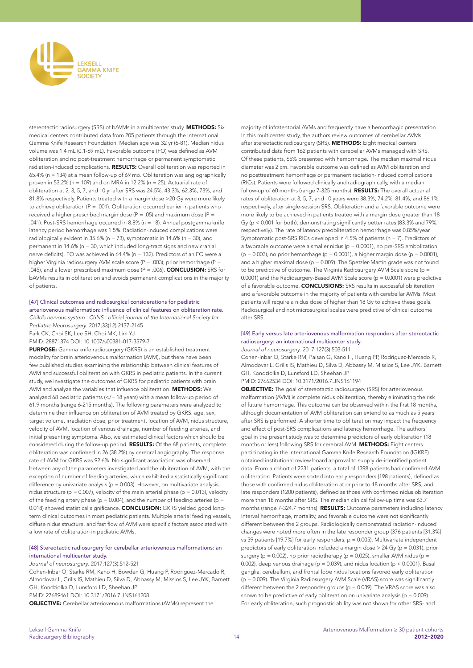

stereotactic radiosurgery (SRS) of bAVMs in a multicenter study. **METHODS:** Six medical centers contributed data from 205 patients through the International Gamma Knife Research Foundation. Median age was 32 yr (6-81). Median nidus volume was 1.4 mL (0.1-69 mL). Favorable outcome (FO) was defined as AVM obliteration and no post-treatment hemorrhage or permanent symptomatic radiation-induced complications. RESULTS: Overall obliteration was reported in 65.4% (n = 134) at a mean follow-up of 69 mo. Obliteration was angiographically proven in 53.2% (n = 109) and on MRA in 12.2% (n = 25). Actuarial rate of obliteration at 2, 3, 5, 7, and 10 yr after SRS was 24.5%, 43.3%, 62.3%, 73%, and 81.8% respectively. Patients treated with a margin dose >20 Gy were more likely to achieve obliteration ( $P = .001$ ). Obliteration occurred earlier in patients who received a higher prescribed margin dose ( $P = .05$ ) and maximum dose ( $P =$ .041). Post-SRS hemorrhage occurred in 8.8% (n = 18). Annual postgamma knife latency period hemorrhage was 1.5%. Radiation-induced complications were radiologically evident in  $35.6\%$  (n = 73), symptomatic in 14.6% (n = 30), and permanent in 14.6% (n = 30, which included long-tract signs and new cranial nerve deficits). FO was achieved in 64.4% (n = 132). Predictors of an FO were a higher Virginia radiosurgery AVM scale score (P = .003), prior hemorrhage (P = .045), and a lower prescribed maximum dose  $(P = .006)$ . **CONCLUSION:** SRS for bAVMs results in obliteration and avoids permanent complications in the majority of patients.

#### [47] Clinical outcomes and radiosurgical considerations for pediatric arteriovenous malformation: influence of clinical features on obliteration rate.

Child's nervous system : ChNS : official journal of the International Society for *Pediatric Neurosurgery*. 2017;33(12):2137-2145

Park CK, Choi SK, Lee SH, Choi MK, Lim YJ

PMID: 28871374 DOI: 10.1007/s00381-017-3579-7

PURPOSE: Gamma knife radiosurgery (GKRS) is an established treatment modality for brain arteriovenous malformation (AVM), but there have been few published studies examining the relationship between clinical features of AVM and successful obliteration with GKRS in pediatric patients. In the current study, we investigate the outcomes of GKRS for pediatric patients with brain AVM and analyze the variables that influence obliteration. METHODS: We analyzed 68 pediatric patients ( $\lt$ /= 18 years) with a mean follow-up period of 61.9 months (range 6-215 months). The following parameters were analyzed to determine their influence on obliteration of AVM treated by GKRS: age, sex, target volume, irradiation dose, prior treatment, location of AVM, nidus structure, velocity of AVM, location of venous drainage, number of feeding arteries, and initial presenting symptoms. Also, we estimated clinical factors which should be considered during the follow-up period. RESULTS: Of the 68 patients, complete obliteration was confirmed in 26 (38.2%) by cerebral angiography. The response rate of AVM for GKRS was 92.6%. No significant association was observed between any of the parameters investigated and the obliteration of AVM, with the exception of number of feeding arteries, which exhibited a statistically significant difference by univariate analysis ( $p = 0.003$ ). However, on multivariate analysis, nidus structure (p = 0.007), velocity of the main arterial phase (p = 0.013), velocity of the feeding artery phase (p = 0.004), and the number of feeding arteries (p = 0.018) showed statistical significance. CONCLUSION: GKRS yielded good longterm clinical outcomes in most pediatric patients. Multiple arterial feeding vessels, diffuse nidus structure, and fast flow of AVM were specific factors associated with a low rate of obliteration in pediatric AVMs.

#### [48] Stereotactic radiosurgery for cerebellar arteriovenous malformations: an international multicenter study.

*Journal of neurosurgery*. 2017;127(3):512-521

Cohen-Inbar O, Starke RM, Kano H, Bowden G, Huang P, Rodriguez-Mercado R, Almodovar L, Grills IS, Mathieu D, Silva D, Abbassy M, Missios S, Lee JYK, Barnett GH, Kondziolka D, Lunsford LD, Sheehan JP PMID: 27689461 DOI: 10.3171/2016.7.JNS161208

OBJECTIVE: Cerebellar arteriovenous malformations (AVMs) represent the

majority of infratentorial AVMs and frequently have a hemorrhagic presentation. In this multicenter study, the authors review outcomes of cerebellar AVMs after stereotactic radiosurgery (SRS). METHODS: Eight medical centers contributed data from 162 patients with cerebellar AVMs managed with SRS. Of these patients, 65% presented with hemorrhage. The median maximal nidus diameter was 2 cm. Favorable outcome was defined as AVM obliteration and no posttreatment hemorrhage or permanent radiation-induced complications (RICs). Patients were followed clinically and radiographically, with a median follow-up of 60 months (range 7-325 months). RESULTS: The overall actuarial rates of obliteration at 3, 5, 7, and 10 years were 38.3%, 74.2%, 81.4%, and 86.1%, respectively, after single-session SRS. Obliteration and a favorable outcome were more likely to be achieved in patients treated with a margin dose greater than 18 Gy (p < 0.001 for both), demonstrating significantly better rates (83.3% and 79%, respectively). The rate of latency preobliteration hemorrhage was 0.85%/year. Symptomatic post-SRS RICs developed in 4.5% of patients (n = 7). Predictors of a favorable outcome were a smaller nidus ( $p = 0.0001$ ), no pre-SRS embolization  $(p = 0.003)$ , no prior hemorrhage  $(p = 0.0001)$ , a higher margin dose  $(p = 0.0001)$ , and a higher maximal dose ( $p = 0.009$ ). The Spetzler-Martin grade was not found to be predictive of outcome. The Virginia Radiosurgery AVM Scale score (p = 0.0001) and the Radiosurgery-Based AVM Scale score (p = 0.0001) were predictive of a favorable outcome. CONCLUSIONS: SRS results in successful obliteration and a favorable outcome in the majority of patients with cerebellar AVMs. Most patients will require a nidus dose of higher than 18 Gy to achieve these goals. Radiosurgical and not microsurgical scales were predictive of clinical outcome after SRS.

# [49] Early versus late arteriovenous malformation responders after stereotactic radiosurgery: an international multicenter study.

*Journal of neurosurgery*. 2017;127(3):503-511 Cohen-Inbar O, Starke RM, Paisan G, Kano H, Huang PP, Rodriguez-Mercado R,

Almodovar L, Grills IS, Mathieu D, Silva D, Abbassy M, Missios S, Lee JYK, Barnett GH, Kondziolka D, Lunsford LD, Sheehan JP

PMID: 27662534 DOI: 10.3171/2016.7.JNS161194

**OBJECTIVE:** The goal of stereotactic radiosurgery (SRS) for arteriovenous malformation (AVM) is complete nidus obliteration, thereby eliminating the risk of future hemorrhage. This outcome can be observed within the first 18 months, although documentation of AVM obliteration can extend to as much as 5 years after SRS is performed. A shorter time to obliteration may impact the frequency and effect of post-SRS complications and latency hemorrhage. The authors' goal in the present study was to determine predictors of early obliteration (18 months or less) following SRS for cerebral AVM. METHODS: Eight centers participating in the International Gamma Knife Research Foundation (IGKRF) obtained institutional review board approval to supply de-identified patient data. From a cohort of 2231 patients, a total of 1398 patients had confirmed AVM obliteration. Patients were sorted into early responders (198 patients), defined as those with confirmed nidus obliteration at or prior to 18 months after SRS, and late responders (1200 patients), defined as those with confirmed nidus obliteration more than 18 months after SRS. The median clinical follow-up time was 63.7 months (range 7-324.7 months). RESULTS: Outcome parameters including latency interval hemorrhage, mortality, and favorable outcome were not significantly different between the 2 groups. Radiologically demonstrated radiation-induced changes were noted more often in the late responder group (376 patients [31.3%] vs 39 patients [19.7%] for early responders,  $p = 0.005$ ). Multivariate independent predictors of early obliteration included a margin dose > 24 Gy (p = 0.031), prior surgery ( $p = 0.002$ ), no prior radiotherapy ( $p = 0.025$ ), smaller AVM nidus ( $p =$ 0.002), deep venous drainage (p = 0.039), and nidus location (p < 0.0001). Basal ganglia, cerebellum, and frontal lobe nidus locations favored early obliteration (p = 0.009). The Virginia Radiosurgery AVM Scale (VRAS) score was significantly different between the 2 responder groups ( $p = 0.039$ ). The VRAS score was also shown to be predictive of early obliteration on univariate analysis ( $p = 0.009$ ). For early obliteration, such prognostic ability was not shown for other SRS- and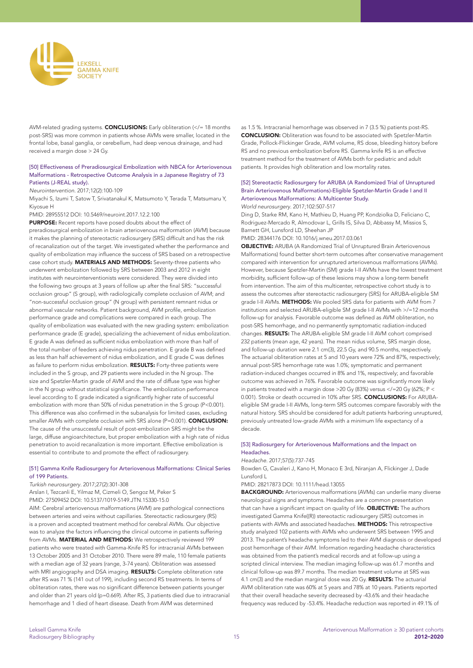

AVM-related grading systems. **CONCLUSIONS:** Early obliteration  $\langle \langle = 18 \text{ months} \rangle$ post-SRS) was more common in patients whose AVMs were smaller, located in the frontal lobe, basal ganglia, or cerebellum, had deep venous drainage, and had received a margin dose > 24 Gy.

#### [50] Effectiveness of Preradiosurgical Embolization with NBCA for Arteriovenous Malformations - Retrospective Outcome Analysis in a Japanese Registry of 73 Patients (J-REAL study).

#### *Neurointervention*. 2017;12(2):100-109

Miyachi S, Izumi T, Satow T, Srivatanakul K, Matsumoto Y, Terada T, Matsumaru Y, Kiyosue H

PMID: 28955512 DOI: 10.5469/neuroint.2017.12.2.100

PURPOSE: Recent reports have posed doubts about the effect of preradiosurgical embolization in brain arteriovenous malformation (AVM) because it makes the planning of stereotactic radiosurgery (SRS) difficult and has the risk of recanalization out of the target. We investigated whether the performance and quality of embolization may influence the success of SRS based on a retrospective case cohort study. MATERIALS AND METHODS: Seventy-three patients who underwent embolization followed by SRS between 2003 and 2012 in eight institutes with neurointerventionists were considered. They were divided into the following two groups at 3 years of follow up after the final SRS: "successful occlusion group" (S group), with radiologically complete occlusion of AVM; and "non-successful occlusion group" (N group) with persistent remnant nidus or abnormal vascular networks. Patient background, AVM profile, embolization performance grade and complications were compared in each group. The quality of embolization was evaluated with the new grading system: embolization performance grade (E grade), specializing the achievement of nidus embolization. E grade A was defined as sufficient nidus embolization with more than half of the total number of feeders achieving nidus penetration. E grade B was defined as less than half achievement of nidus embolization, and E grade C was defines as failure to perform nidus embolization. RESULTS: Forty-three patients were included in the S group, and 29 patients were included in the N group. The size and Spetzler-Martin grade of AVM and the rate of diffuse type was higher in the N group without statistical significance. The embolization performance level according to E grade indicated a significantly higher rate of successful embolization with more than 50% of nidus penetration in the S group (P<0.001). This difference was also confirmed in the subanalysis for limited cases, excluding smaller AVMs with complete occlusion with SRS alone (P=0.001). CONCLUSION: The cause of the unsuccessful result of post-embolization SRS might be the large, diffuse angioarchitecture, but proper embolization with a high rate of nidus penetration to avoid recanalization is more important. Effective embolization is essential to contribute to and promote the effect of radiosurgery.

#### [51] Gamma Knife Radiosurgery for Arteriovenous Malformations: Clinical Series of 199 Patients.

*Turkish neurosurgery*. 2017;27(2):301-308 Arslan I, Tezcanli E, Yilmaz M, Cizmeli O, Sengoz M, Peker S PMID: 27509452 DOI: 10.5137/1019-5149.JTN.15330-15.0

AIM: Cerebral arteriovenous malformations (AVM) are pathological connections between arteries and veins without capillaries. Stereotactic radiosurgery (RS) is a proven and accepted treatment method for cerebral AVMs. Our objective was to analyze the factors influencing the clinical outcome in patients suffering from AVMs. MATERIAL AND METHODS: We retrospectively reviewed 199 patients who were treated with Gamma-Knife RS for intracranial AVMs between 13 October 2005 and 31 October 2010. There were 89 male, 110 female patients with a median age of 32 years (range, 3-74 years). Obliteration was assessed with MRI angiography and DSA imaging. RESULTS: Complete obliteration rate after RS was 71 % (141 out of 199), including second RS treatments. In terms of obliteration rates, there was no significant difference between patients younger and older than 21 years old (p=0.669). After RS, 3 patients died due to intracranial hemorrhage and 1 died of heart disease. Death from AVM was determined

as 1.5 %. Intracranial hemorrhage was observed in 7 (3.5 %) patients post-RS. CONCLUSION: Obliteration was found to be associated with Spetzler-Martin Grade, Pollock-Flickinger Grade, AVM volume, RS dose, bleeding history before RS and no previous embolization before RS. Gamma knife RS is an effective treatment method for the treatment of AVMs both for pediatric and adult patients. It provides high obliteration and low mortality rates.

# [52] Stereotactic Radiosurgery for ARUBA (A Randomized Trial of Unruptured Brain Arteriovenous Malformations)-Eligible Spetzler-Martin Grade I and II Arteriovenous Malformations: A Multicenter Study.

*World neurosurgery*. 2017;102:507-517

Ding D, Starke RM, Kano H, Mathieu D, Huang PP, Kondziolka D, Feliciano C, Rodriguez-Mercado R, Almodovar L, Grills IS, Silva D, Abbassy M, Missios S, Barnett GH, Lunsford LD, Sheehan JP

PMID: 28344176 DOI: 10.1016/j.wneu.2017.03.061

OBJECTIVE: ARUBA (A Randomized Trial of Unruptured Brain Arteriovenous Malformations) found better short-term outcomes after conservative management compared with intervention for unruptured arteriovenous malformations (AVMs). However, because Spetzler-Martin (SM) grade I-II AVMs have the lowest treatment morbidity, sufficient follow-up of these lesions may show a long-term benefit from intervention. The aim of this multicenter, retrospective cohort study is to assess the outcomes after stereotactic radiosurgery (SRS) for ARUBA-eligible SM grade I-II AVMs. METHODS: We pooled SRS data for patients with AVM from 7 institutions and selected ARUBA-eligible SM grade I-II AVMs with >/=12 months follow-up for analysis. Favorable outcome was defined as AVM obliteration, no post-SRS hemorrhage, and no permanently symptomatic radiation-induced changes. RESULTS: The ARUBA-eligible SM grade I-II AVM cohort comprised 232 patients (mean age, 42 years). The mean nidus volume, SRS margin dose, and follow-up duration were 2.1 cm(3), 22.5 Gy, and 90.5 months, respectively. The actuarial obliteration rates at 5 and 10 years were 72% and 87%, respectively; annual post-SRS hemorrhage rate was 1.0%; symptomatic and permanent radiation-induced changes occurred in 8% and 1%, respectively; and favorable outcome was achieved in 76%. Favorable outcome was significantly more likely in patients treated with a margin dose >20 Gy (83%) versus </=20 Gy (62%; P < 0.001). Stroke or death occurred in 10% after SRS. CONCLUSIONS: For ARUBAeligible SM grade I-II AVMs, long-term SRS outcomes compare favorably with the natural history. SRS should be considered for adult patients harboring unruptured, previously untreated low-grade AVMs with a minimum life expectancy of a decade.

#### [53] Radiosurgery for Arteriovenous Malformations and the Impact on Headaches.

*Headache*. 2017;57(5):737-745

Bowden G, Cavaleri J, Kano H, Monaco E 3rd, Niranjan A, Flickinger J, Dade Lunsford L

PMID: 28217873 DOI: 10.1111/head.13055

BACKGROUND: Arteriovenous malformations (AVMs) can underlie many diverse neurological signs and symptoms. Headaches are a common presentation that can have a significant impact on quality of life. OBJECTIVE: The authors investigated Gamma Knife((R)) stereotactic radiosurgery (SRS) outcomes in patients with AVMs and associated headaches. METHODS: This retrospective study analyzed 102 patients with AVMs who underwent SRS between 1995 and 2013. The patient's headache symptoms led to their AVM diagnosis or developed post hemorrhage of their AVM. Information regarding headache characteristics was obtained from the patient's medical records and at follow-up using a scripted clinical interview. The median imaging follow-up was 61.7 months and clinical follow-up was 89.7 months. The median treatment volume at SRS was 4.1 cm(3) and the median marginal dose was 20 Gy. RESULTS: The actuarial AVM obliteration rate was 60% at 5 years and 78% at 10 years. Patients reported that their overall headache severity decreased by -43.6% and their headache frequency was reduced by -53.4%. Headache reduction was reported in 49.1% of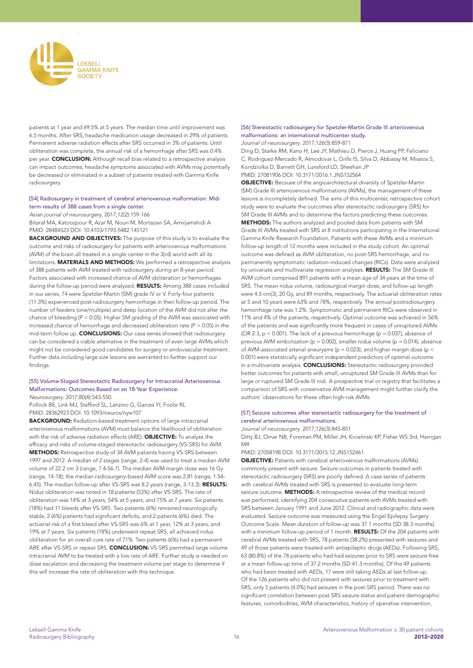

patients at 1 year and 69.5% at 5 years. The median time until improvement was 6.5 months. After SRS, headache medication usage decreased in 29% of patients. Permanent adverse radiation effects after SRS occurred in 3% of patients. Until obliteration was complete, the annual risk of a hemorrhage after SRS was 0.4% per year. **CONCLUSION:** Although recall bias related to a retrospective analysis can impact outcomes, headache symptoms associated with AVMs may potentially be decreased or eliminated in a subset of patients treated with Gamma Knife radiosurgery.

# [54] Radiosurgery in treatment of cerebral arteriovenous malformation: Midterm results of 388 cases from a single center.

# *Asian journal of neurosurgery*. 2017;12(2):159-166

Bitaraf MA, Katoozpour R, Azar M, Nouri M, Mortazavi SA, Amirjamshidi A PMID: 28484523 DOI: 10.4103/1793-5482.145121

BACKGROUND AND OBJECTIVES: The purpose of this study is to evaluate the outcome and risks of radiosurgery for patients with arteriovenous malformations (AVM) of the brain all treated in a single center in the 3(rd) world with all its limitations. MATERIALS AND METHODS: We performed a retrospective analysis of 388 patients with AVM treated with radiosurgery during an 8-year period. Factors associated with increased chance of AVM obliteration or hemorrhages during the follow-up period were analyzed. RESULTS: Among 388 cases included in our series, 74 were Spetzler-Martin (SM) grade IV or V. Forty-four patients (11.3%) experienced post-radiosurgery hemorrhage in their follow-up period. The number of feeders (one/multiple) and deep location of the AVM did not alter the chance of bleeding (P < 0.05). Higher SM grading of the AVM was associated with increased chance of hemorrhage and decreased obliteration rate (P > 0.05) in the mid-term follow up. **CONCLUSIONS:** Our case series showed that radiosurgery can be considered a viable alternative in the treatment of even large AVMs which might not be considered good candidates for surgery or endovascular treatment. Further data including large size lesions are warranted to further support our findings.

#### [55] Volume-Staged Stereotactic Radiosurgery for Intracranial Arteriovenous Malformations: Outcomes Based on an 18-Year Experience. *Neurosurgery*. 2017;80(4):543-550

Pollock BE, Link MJ, Stafford SL, Lanzino G, Garces YI, Foote RL PMID: 28362923 DOI: 10.1093/neuros/nyw107

BACKGROUND: Radiation-based treatment options of large intracranial arteriovenous malformations (AVM) must balance the likelihood of obliteration with the risk of adverse radiation effects (ARE). **OBJECTIVE:** To analyze the efficacy and risks of volume-staged stereotactic radiosurgery (VS-SRS) for AVM. METHODS: Retrospective study of 34 AVM patients having VS-SRS between 1997 and 2012. A median of 2 stages (range, 2-4) was used to treat a median AVM volume of 22.2 cm 3 (range, 7.4-56.7). The median AVM margin dose was 16 Gy (range, 14-18); the median radiosurgery-based AVM score was 2.81 (range, 1.54- 6.45). The median follow-up after VS-SRS was 8.2 years (range, 3-13.3). RESULTS: Nidus obliteration was noted in 18 patients (53%) after VS-SRS. The rate of obliteration was 14% at 3 years, 54% at 5 years, and 75% at 7 years. Six patients (18%) had 11 bleeds after VS-SRS. Two patients (6%) remained neurologically stable, 2 (6%) patients had significant deficits, and 2 patients (6%) died. The actuarial risk of a first bleed after VS-SRS was 6% at 1 year, 12% at 3 years, and 19% at 7 years. Six patients (18%) underwent repeat SRS; all achieved nidus obliteration for an overall cure rate of 71%. Two patients (6%) had a permanent ARE after VS-SRS or repeat SRS. CONCLUSION: VS-SRS permitted large volume intracranial AVM to be treated with a low rate of ARE. Further study is needed on dose escalation and decreasing the treatment volume per stage to determine if this will increase the rate of obliteration with this technique.

#### [56] Stereotactic radiosurgery for Spetzler-Martin Grade III arteriovenous malformations: an international multicenter study. *Journal of neurosurgery*. 2017;126(3):859-871

Ding D, Starke RM, Kano H, Lee JY, Mathieu D, Pierce J, Huang PP, Feliciano C, Rodriguez-Mercado R, Almodovar L, Grills IS, Silva D, Abbassy M, Missios S, Kondziolka D, Barnett GH, Lunsford LD, Sheehan JP

PMID: 27081906 DOI: 10.3171/2016.1.JNS152564

OBJECTIVE: Because of the angioarchitectural diversity of Spetzler-Martin (SM) Grade III arteriovenous malformations (AVMs), the management of these lesions is incompletely defined. The aims of this multicenter, retrospective cohort study were to evaluate the outcomes after stereotactic radiosurgery (SRS) for SM Grade III AVMs and to determine the factors predicting these outcomes. METHODS: The authors analyzed and pooled data from patients with SM Grade III AVMs treated with SRS at 8 institutions participating in the International Gamma Knife Research Foundation. Patients with these AVMs and a minimum follow-up length of 12 months were included in the study cohort. An optimal outcome was defined as AVM obliteration, no post-SRS hemorrhage, and no permanently symptomatic radiation-induced changes (RICs). Data were analyzed by univariate and multivariate regression analyses. RESULTS: The SM Grade III AVM cohort comprised 891 patients with a mean age of 34 years at the time of SRS. The mean nidus volume, radiosurgical margin dose, and follow-up length were 4.5 cm(3), 20 Gy, and 89 months, respectively. The actuarial obliteration rates at 5 and 10 years were 63% and 78%, respectively. The annual postradiosurgery hemorrhage rate was 1.2%. Symptomatic and permanent RICs were observed in 11% and 4% of the patients, respectively. Optimal outcome was achieved in 56% of the patients and was significantly more frequent in cases of unruptured AVMs (OR 2.3,  $p < 0.001$ ). The lack of a previous hemorrhage ( $p = 0.037$ ), absence of previous AVM embolization ( $p = 0.002$ ), smaller nidus volume ( $p = 0.014$ ), absence of AVM-associated arterial aneurysms (p = 0.023), and higher margin dose (p < 0.001) were statistically significant independent predictors of optimal outcome in a multivariate analysis. CONCLUSIONS: Stereotactic radiosurgery provided better outcomes for patients with small, unruptured SM Grade III AVMs than for large or ruptured SM Grade III nidi. A prospective trial or registry that facilitates a comparison of SRS with conservative AVM management might further clarify the authors' observations for these often high-risk AVMs.

#### [57] Seizure outcomes after stereotactic radiosurgery for the treatment of cerebral arteriovenous malformations.

*Journal of neurosurgery*. 2017;126(3):845-851

Ditty BJ, Omar NB, Foreman PM, Miller JH, Kicielinski KP, Fisher WS 3rd, Harrigan MR

#### PMID: 27058198 DOI: 10.3171/2015.12.JNS152461

OBJECTIVE: Patients with cerebral arteriovenous malformations (AVMs) commonly present with seizure. Seizure outcomes in patients treated with stereotactic radiosurgery (SRS) are poorly defined. A case series of patients with cerebral AVMs treated with SRS is presented to evaluate long-term seizure outcome. **METHODS:** A retrospective review of the medical record was performed, identifying 204 consecutive patients with AVMs treated with SRS between January 1991 and June 2012. Clinical and radiographic data were evaluated. Seizure outcome was measured using the Engel Epilepsy Surgery Outcome Scale. Mean duration of follow-up was 37.1 months (SD 38.3 months) with a minimum follow-up period of 1 month. RESULTS: Of the 204 patients with cerebral AVMs treated with SRS, 78 patients (38.2%) presented with seizures and 49 of those patients were treated with antiepileptic drugs (AEDs). Following SRS, 63 (80.8%) of the 78 patients who had had seizures prior to SRS were seizure-free at a mean follow-up time of 37.2 months (SD 41.3 months). Of the 49 patients who had been treated with AEDs, 17 were still taking AEDs at last follow-up. Of the 126 patients who did not present with seizures prior to treatment with SRS, only 5 patients (4.0%) had seizures in the post-SRS period. There was no significant correlation between post-SRS seizure status and patient demographic features, comorbidities, AVM characteristics, history of operative intervention,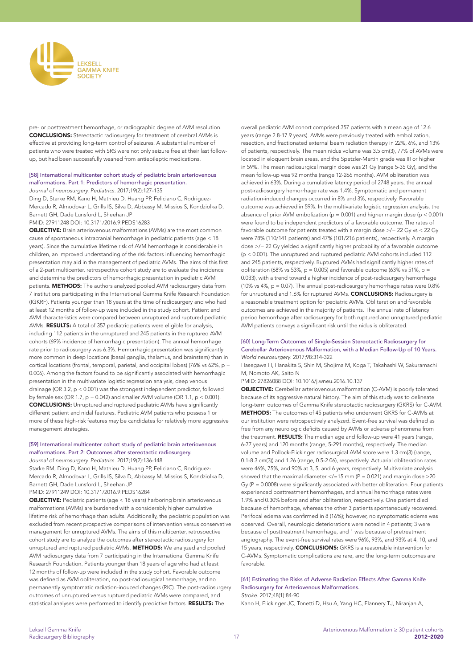

pre- or posttreatment hemorrhage, or radiographic degree of AVM resolution. CONCLUSIONS: Stereotactic radiosurgery for treatment of cerebral AVMs is effective at providing long-term control of seizures. A substantial number of patients who were treated with SRS were not only seizure free at their last followup, but had been successfully weaned from antiepileptic medications.

# [58] International multicenter cohort study of pediatric brain arteriovenous malformations. Part 1: Predictors of hemorrhagic presentation.

*Journal of neurosurgery. Pediatrics*. 2017;19(2):127-135 Ding D, Starke RM, Kano H, Mathieu D, Huang PP, Feliciano C, Rodriguez-Mercado R, Almodovar L, Grills IS, Silva D, Abbassy M, Missios S, Kondziolka D, Barnett GH, Dade Lunsford L, Sheehan JP

PMID: 27911248 DOI: 10.3171/2016.9.PEDS16283

OBJECTIVE: Brain arteriovenous malformations (AVMs) are the most common cause of spontaneous intracranial hemorrhage in pediatric patients (age < 18 years). Since the cumulative lifetime risk of AVM hemorrhage is considerable in children, an improved understanding of the risk factors influencing hemorrhagic presentation may aid in the management of pediatric AVMs. The aims of this first of a 2-part multicenter, retrospective cohort study are to evaluate the incidence and determine the predictors of hemorrhagic presentation in pediatric AVM patients. METHODS: The authors analyzed pooled AVM radiosurgery data from 7 institutions participating in the International Gamma Knife Research Foundation (IGKRF). Patients younger than 18 years at the time of radiosurgery and who had at least 12 months of follow-up were included in the study cohort. Patient and AVM characteristics were compared between unruptured and ruptured pediatric AVMs. RESULTS: A total of 357 pediatric patients were eligible for analysis, including 112 patients in the unruptured and 245 patients in the ruptured AVM cohorts (69% incidence of hemorrhagic presentation). The annual hemorrhage rate prior to radiosurgery was 6.3%. Hemorrhagic presentation was significantly more common in deep locations (basal ganglia, thalamus, and brainstem) than in cortical locations (frontal, temporal, parietal, and occipital lobes) (76% vs 62%, p = 0.006). Among the factors found to be significantly associated with hemorrhagic presentation in the multivariate logistic regression analysis, deep venous drainage (OR 3.2, p < 0.001) was the strongest independent predictor, followed by female sex (OR 1.7,  $p = 0.042$ ) and smaller AVM volume (OR 1.1,  $p < 0.001$ ). CONCLUSIONS: Unruptured and ruptured pediatric AVMs have significantly different patient and nidal features. Pediatric AVM patients who possess 1 or more of these high-risk features may be candidates for relatively more aggressive management strategies.

# [59] International multicenter cohort study of pediatric brain arteriovenous malformations. Part 2: Outcomes after stereotactic radiosurgery.

*Journal of neurosurgery. Pediatrics*. 2017;19(2):136-148

Starke RM, Ding D, Kano H, Mathieu D, Huang PP, Feliciano C, Rodriguez-Mercado R, Almodovar L, Grills IS, Silva D, Abbassy M, Missios S, Kondziolka D, Barnett GH, Dade Lunsford L, Sheehan JP

PMID: 27911249 DOI: 10.3171/2016.9.PEDS16284

OBJECTIVE: Pediatric patients (age < 18 years) harboring brain arteriovenous malformations (AVMs) are burdened with a considerably higher cumulative lifetime risk of hemorrhage than adults. Additionally, the pediatric population was excluded from recent prospective comparisons of intervention versus conservative management for unruptured AVMs. The aims of this multicenter, retrospective cohort study are to analyze the outcomes after stereotactic radiosurgery for unruptured and ruptured pediatric AVMs. METHODS: We analyzed and pooled AVM radiosurgery data from 7 participating in the International Gamma Knife Research Foundation. Patients younger than 18 years of age who had at least 12 months of follow-up were included in the study cohort. Favorable outcome was defined as AVM obliteration, no post-radiosurgical hemorrhage, and no permanently symptomatic radiation-induced changes (RIC). The post-radiosurgery outcomes of unruptured versus ruptured pediatric AVMs were compared, and statistical analyses were performed to identify predictive factors. RESULTS: The

overall pediatric AVM cohort comprised 357 patients with a mean age of 12.6 years (range 2.8-17.9 years). AVMs were previously treated with embolization, resection, and fractionated external beam radiation therapy in 22%, 6%, and 13% of patients, respectively. The mean nidus volume was 3.5 cm(3), 77% of AVMs were located in eloquent brain areas, and the Spetzler-Martin grade was III or higher in 59%. The mean radiosurgical margin dose was 21 Gy (range 5-35 Gy), and the mean follow-up was 92 months (range 12-266 months). AVM obliteration was achieved in 63%. During a cumulative latency period of 2748 years, the annual post-radiosurgery hemorrhage rate was 1.4%. Symptomatic and permanent radiation-induced changes occurred in 8% and 3%, respectively. Favorable outcome was achieved in 59%. In the multivariate logistic regression analysis, the absence of prior AVM embolization ( $p = 0.001$ ) and higher margin dose ( $p < 0.001$ ) were found to be independent predictors of a favorable outcome. The rates of favorable outcome for patients treated with a margin dose >/= 22 Gy vs < 22 Gy were 78% (110/141 patients) and 47% (101/216 patients), respectively. A margin dose >/= 22 Gy yielded a significantly higher probability of a favorable outcome (p < 0.001). The unruptured and ruptured pediatric AVM cohorts included 112 and 245 patients, respectively. Ruptured AVMs had significantly higher rates of obliteration (68% vs 53%,  $p = 0.005$ ) and favorable outcome (63% vs 51%,  $p =$ 0.033), with a trend toward a higher incidence of post-radiosurgery hemorrhage (10% vs 4%,  $p = 0.07$ ). The annual post-radiosurgery hemorrhage rates were 0.8% for unruptured and 1.6% for ruptured AVMs. **CONCLUSIONS:** Radiosurgery is a reasonable treatment option for pediatric AVMs. Obliteration and favorable outcomes are achieved in the majority of patients. The annual rate of latency period hemorrhage after radiosurgery for both ruptured and unruptured pediatric AVM patients conveys a significant risk until the nidus is obliterated.

#### [60] Long-Term Outcomes of Single-Session Stereotactic Radiosurgery for Cerebellar Arteriovenous Malformation, with a Median Follow-Up of 10 Years. *World neurosurgery*. 2017;98:314-322

Hasegawa H, Hanakita S, Shin M, Shojima M, Koga T, Takahashi W, Sakuramachi M, Nomoto AK, Saito N

PMID: 27826088 DOI: 10.1016/j.wneu.2016.10.137

OBJECTIVE: Cerebellar arteriovenous malformation (C-AVM) is poorly tolerated because of its aggressive natural history. The aim of this study was to delineate long-term outcomes of Gamma Knife stereotactic radiosurgery (GKRS) for C-AVM. METHODS: The outcomes of 45 patients who underwent GKRS for C-AVMs at our institution were retrospectively analyzed. Event-free survival was defined as free from any neurologic deficits caused by AVMs or adverse phenomena from the treatment. RESULTS: The median age and follow-up were 41 years (range, 6-77 years) and 120 months (range, 5-291 months), respectively. The median volume and Pollock-Flickinger radiosurgical AVM score were 1.3 cm(3) (range, 0.1-8.3 cm(3)) and 1.26 (range, 0.5-2.06), respectively. Actuarial obliteration rates were 46%, 75%, and 90% at 3, 5, and 6 years, respectively. Multivariate analysis showed that the maximal diameter  $\langle$  /=15 mm (P = 0.021) and margin dose >20 Gy ( $P = 0.0008$ ) were significantly associated with better obliteration. Four patients experienced posttreatment hemorrhages, and annual hemorrhage rates were 1.9% and 0.30% before and after obliteration, respectively. One patient died because of hemorrhage, whereas the other 3 patients spontaneously recovered. Perifocal edema was confirmed in 8 (16%); however, no symptomatic edema was observed. Overall, neurologic deteriorations were noted in 4 patients; 3 were because of posttreatment hemorrhage, and 1 was because of pretreatment angiography. The event-free survival rates were 96%, 93%, and 93% at 4, 10, and 15 years, respectively. **CONCLUSIONS:** GKRS is a reasonable intervention for C-AVMs. Symptomatic complications are rare, and the long-term outcomes are favorable.

#### [61] Estimating the Risks of Adverse Radiation Effects After Gamma Knife Radiosurgery for Arteriovenous Malformations. *Stroke*. 2017;48(1):84-90

Kano H, Flickinger JC, Tonetti D, Hsu A, Yang HC, Flannery TJ, Niranjan A,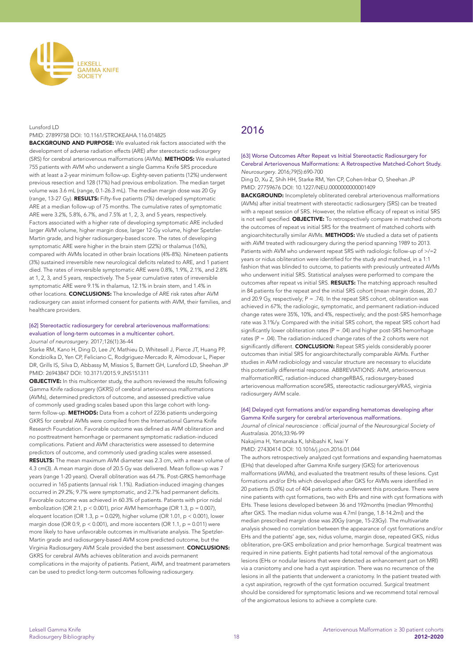

#### Lunsford LD

#### PMID: 27899758 DOI: 10.1161/STROKEAHA.116.014825

BACKGROUND AND PURPOSE: We evaluated risk factors associated with the development of adverse radiation effects (ARE) after stereotactic radiosurgery (SRS) for cerebral arteriovenous malformations (AVMs). METHODS: We evaluated 755 patients with AVM who underwent a single Gamma Knife SRS procedure with at least a 2-year minimum follow-up. Eighty-seven patients (12%) underwent previous resection and 128 (17%) had previous embolization. The median target volume was 3.6 mL (range, 0.1-26.3 mL). The median margin dose was 20 Gy (range, 13-27 Gy). RESULTS: Fifty-five patients (7%) developed symptomatic ARE at a median follow-up of 75 months. The cumulative rates of symptomatic ARE were 3.2%, 5.8%, 6.7%, and 7.5% at 1, 2, 3, and 5 years, respectively. Factors associated with a higher rate of developing symptomatic ARE included larger AVM volume, higher margin dose, larger 12-Gy volume, higher Spetzler-Martin grade, and higher radiosurgery-based score. The rates of developing symptomatic ARE were higher in the brain stem (22%) or thalamus (16%), compared with AVMs located in other brain locations (4%-8%). Nineteen patients (3%) sustained irreversible new neurological deficits related to ARE, and 1 patient died. The rates of irreversible symptomatic ARE were 0.8%, 1.9%, 2.1%, and 2.8% at 1, 2, 3, and 5 years, respectively. The 5-year cumulative rates of irreversible symptomatic ARE were 9.1% in thalamus, 12.1% in brain stem, and 1.4% in other locations. CONCLUSIONS: The knowledge of ARE risk rates after AVM radiosurgery can assist informed consent for patients with AVM, their families, and healthcare providers.

# [62] Stereotactic radiosurgery for cerebral arteriovenous malformations: evaluation of long-term outcomes in a multicenter cohort.

*Journal of neurosurgery*. 2017;126(1):36-44

Starke RM, Kano H, Ding D, Lee JY, Mathieu D, Whitesell J, Pierce JT, Huang PP, Kondziolka D, Yen CP, Feliciano C, Rodgriguez-Mercado R, Almodovar L, Pieper DR, Grills IS, Silva D, Abbassy M, Missios S, Barnett GH, Lunsford LD, Sheehan JP PMID: 26943847 DOI: 10.3171/2015.9.JNS151311

OBJECTIVE: In this multicenter study, the authors reviewed the results following Gamma Knife radiosurgery (GKRS) of cerebral arteriovenous malformations (AVMs), determined predictors of outcome, and assessed predictive value of commonly used grading scales based upon this large cohort with longterm follow-up. **METHODS:** Data from a cohort of 2236 patients undergoing GKRS for cerebral AVMs were compiled from the International Gamma Knife Research Foundation. Favorable outcome was defined as AVM obliteration and no posttreatment hemorrhage or permanent symptomatic radiation-induced complications. Patient and AVM characteristics were assessed to determine predictors of outcome, and commonly used grading scales were assessed. RESULTS: The mean maximum AVM diameter was 2.3 cm, with a mean volume of 4.3 cm(3). A mean margin dose of 20.5 Gy was delivered. Mean follow-up was 7 years (range 1-20 years). Overall obliteration was 64.7%. Post-GRKS hemorrhage occurred in 165 patients (annual risk 1.1%). Radiation-induced imaging changes occurred in 29.2%; 9.7% were symptomatic, and 2.7% had permanent deficits. Favorable outcome was achieved in 60.3% of patients. Patients with prior nidal embolization (OR 2.1,  $p < 0.001$ ), prior AVM hemorrhage (OR 1.3,  $p = 0.007$ ). eloquent location (OR 1.3,  $p = 0.029$ ), higher volume (OR 1.01,  $p < 0.001$ ), lower margin dose (OR  $0.9$ ,  $p < 0.001$ ), and more isocenters (OR  $1.1$ ,  $p = 0.011$ ) were more likely to have unfavorable outcomes in multivariate analysis. The Spetzler-Martin grade and radiosurgery-based AVM score predicted outcome, but the Virginia Radiosurgery AVM Scale provided the best assessment. CONCLUSIONS: GKRS for cerebral AVMs achieves obliteration and avoids permanent complications in the majority of patients. Patient, AVM, and treatment parameters can be used to predict long-term outcomes following radiosurgery.

# 2016

#### [63] Worse Outcomes After Repeat vs Initial Stereotactic Radiosurgery for Cerebral Arteriovenous Malformations: A Retrospective Matched-Cohort Study. *Neurosurgery*. 2016;79(5):690-700

Ding D, Xu Z, Shih HH, Starke RM, Yen CP, Cohen-Inbar O, Sheehan JP PMID: 27759676 DOI: 10.1227/NEU.0000000000001409

BACKGROUND: Incompletely obliterated cerebral arteriovenous malformations (AVMs) after initial treatment with stereotactic radiosurgery (SRS) can be treated with a repeat session of SRS. However, the relative efficacy of repeat vs initial SRS is not well specified. OBJECTIVE: To retrospectively compare in matched cohorts the outcomes of repeat vs initial SRS for the treatment of matched cohorts with angioarchitecturally similar AVMs. METHODS: We studied a data set of patients with AVM treated with radiosurgery during the period spanning 1989 to 2013. Patients with AVM who underwent repeat SRS with radiologic follow-up of >/=2 years or nidus obliteration were identified for the study and matched, in a 1:1 fashion that was blinded to outcome, to patients with previously untreated AVMs who underwent initial SRS. Statistical analyses were performed to compare the outcomes after repeat vs initial SRS. RESULTS: The matching approach resulted in 84 patients for the repeat and the initial SRS cohort (mean margin doses, 20.7 and 20.9 Gy, respectively;  $P = .74$ ). In the repeat SRS cohort, obliteration was achieved in 67%; the radiologic, symptomatic, and permanent radiation-induced change rates were 35%, 10%, and 4%, respectively; and the post-SRS hemorrhage rate was 3.1%/y. Compared with the initial SRS cohort, the repeat SRS cohort had significantly lower obliteration rates ( $P = .04$ ) and higher post-SRS hemorrhage rates (P = .04). The radiation-induced change rates of the 2 cohorts were not significantly different. CONCLUSION: Repeat SRS yields considerably poorer outcomes than initial SRS for angioarchitecturally comparable AVMs. Further studies in AVM radiobiology and vascular structure are necessary to elucidate this potentially differential response. ABBREVIATIONS: AVM, arteriovenous malformationRIC, radiation-induced changeRBAS, radiosurgery-based arteriovenous malformation scoreSRS, stereotactic radiosurgeryVRAS, virginia radiosurgery AVM scale.

## [64] Delayed cyst formations and/or expanding hematomas developing after Gamma Knife surgery for cerebral arteriovenous malformations.

Journal of clinical neuroscience : official journal of the Neurosurgical Society of *Australasia*. 2016;33:96-99

Nakajima H, Yamanaka K, Ishibashi K, Iwai Y PMID: 27430414 DOI: 10.1016/j.jocn.2016.01.044

The authors retrospectively analyzed cyst formations and expanding haematomas (EHs) that developed after Gamma Knife surgery (GKS) for arteriovenous malformations (AVMs), and evaluated the treatment results of these lesions. Cyst formations and/or EHs which developed after GKS for AVMs were identified in 20 patients (5.0%) out of 404 patients who underwent this procedure. There were nine patients with cyst formations, two with EHs and nine with cyst formations with EHs. These lesions developed between 36 and 192months (median 99months) after GKS. The median nidus volume was 4.7ml (range, 1.8-14.2ml) and the median prescribed margin dose was 20Gy (range, 15-23Gy). The multivariate analysis showed no correlation between the appearance of cyst formations and/or EHs and the patients' age, sex, nidus volume, margin dose, repeated GKS, nidus obliteration, pre-GKS embolization and prior hemorrhage. Surgical treatment was required in nine patients. Eight patients had total removal of the angiomatous lesions (EHs or nodular lesions that were detected as enhancement part on MRI) via a craniotomy and one had a cyst aspiration. There was no recurrence of the lesions in all the patients that underwent a craniotomy. In the patient treated with a cyst aspiration, regrowth of the cyst formation occurred. Surgical treatment should be considered for symptomatic lesions and we recommend total removal of the angiomatous lesions to achieve a complete cure.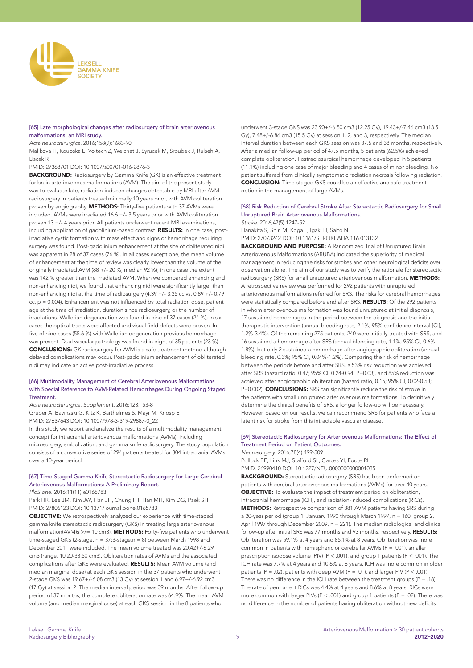

#### [65] Late morphological changes after radiosurgery of brain arteriovenous malformations: an MRI study.

*Acta neurochirurgica*. 2016;158(9):1683-90

Malikova H, Koubska E, Vojtech Z, Weichet J, Syrucek M, Sroubek J, Rulseh A, Liscak R

PMID: 27368701 DOI: 10.1007/s00701-016-2876-3

**BACKGROUND:** Radiosurgery by Gamma Knife (GK) is an effective treatment for brain arteriovenous malformations (AVM). The aim of the present study was to evaluate late, radiation-induced changes detectable by MRI after AVM radiosurgery in patients treated minimally 10 years prior, with AVM obliteration proven by angiography. METHODS: Thirty-five patients with 37 AVMs were included. AVMs were irradiated 16.6 +/- 3.5 years prior with AVM obliteration proven 13 +/- 4 years prior. All patients underwent recent MRI examinations, including application of gadolinium-based contrast. RESULTS: In one case, postirradiative cystic formation with mass effect and signs of hemorrhage requiring surgery was found. Post-gadolinium enhancement at the site of obliterated nidi was apparent in 28 of 37 cases (76 %). In all cases except one, the mean volume of enhancement at the time of review was clearly lower than the volume of the originally irradiated AVM (88 +/- 20 %; median 92 %); in one case the extent was 142 % greater than the irradiated AVM. When we compared enhancing and non-enhancing nidi, we found that enhancing nidi were significantly larger than non-enhancing nidi at the time of radiosurgery (4.39 +/- 3.35 cc vs. 0.89 +/- 0.79 cc, p = 0.004). Enhancement was not influenced by total radiation dose, patient age at the time of irradiation, duration since radiosurgery, or the number of irradiations. Wallerian degeneration was found in nine of 37 cases (24 %); in six cases the optical tracts were affected and visual field defects were proven. In five of nine cases (55.6 %) with Wallerian degeneration previous hemorrhage was present. Dual vascular pathology was found in eight of 35 patients (23 %). CONCLUSIONS: GK radiosurgery for AVM is a safe treatment method although delayed complications may occur. Post-gadolinium enhancement of obliterated nidi may indicate an active post-irradiative process.

#### [66] Multimodality Management of Cerebral Arteriovenous Malformations with Special Reference to AVM-Related Hemorrhages During Ongoing Staged Treatment.

*Acta neurochirurgica. Supplement*. 2016;123:153-8

Gruber A, Bavinzski G, Kitz K, Barthelmes S, Mayr M, Knosp E PMID: 27637643 DOI: 10.1007/978-3-319-29887-0\_22

In this study we report and analyze the results of a multimodality management concept for intracranial arteriovenous malformations (AVMs), including microsurgery, embolization, and gamma knife radiosurgery. The study population consists of a consecutive series of 294 patients treated for 304 intracranial AVMs over a 10-year period.

# [67] Time-Staged Gamma Knife Stereotactic Radiosurgery for Large Cerebral Arteriovenous Malformations: A Preliminary Report.

*PloS one*. 2016;11(11):e0165783

Park HR, Lee JM, Kim JW, Han JH, Chung HT, Han MH, Kim DG, Paek SH PMID: 27806123 DOI: 10.1371/journal.pone.0165783

OBJECTIVE: We retrospectively analyzed our experience with time-staged gamma knife stereotactic radiosurgery (GKS) in treating large arteriovenous malformation(AVM)s;>/= 10 cm3). METHODS: Forty-five patients who underwent time-staged GKS (2-stage, n = 37;3-stage,n = 8) between March 1998 and December 2011 were included. The mean volume treated was 20.42+/-6.29 cm3 (range, 10.20-38.50 cm3). Obliteration rates of AVMs and the associated complications after GKS were evaluated. RESULTS: Mean AVM volume (and median marginal dose) at each GKS session in the 37 patients who underwent 2-stage GKS was 19.67+/-6.08 cm3 (13 Gy) at session 1 and 6.97+/-6.92 cm3 (17 Gy) at session 2. The median interval period was 39 months. After follow-up period of 37 months, the complete obliteration rate was 64.9%. The mean AVM volume (and median marginal dose) at each GKS session in the 8 patients who

underwent 3-stage GKS was 23.90+/-6.50 cm3 (12.25 Gy), 19.43+/-7.46 cm3 (13.5 Gy), 7.48+/-6.86 cm3 (15.5 Gy) at session 1, 2, and 3, respectively. The median interval duration between each GKS session was 37.5 and 38 months, respectively. After a median follow-up period of 47.5 months, 5 patients (62.5%) achieved complete obliteration. Postradiosurgical hemorrhage developed in 5 patients (11.1%) including one case of major bleeding and 4 cases of minor bleeding. No patient suffered from clinically symptomatic radiation necrosis following radiation. CONCLUSION: Time-staged GKS could be an effective and safe treatment option in the management of large AVMs.

# [68] Risk Reduction of Cerebral Stroke After Stereotactic Radiosurgery for Small Unruptured Brain Arteriovenous Malformations.

*Stroke*. 2016;47(5):1247-52 Hanakita S, Shin M, Koga T, Igaki H, Saito N

PMID: 27073242 DOI: 10.1161/STROKEAHA.116.013132

**BACKGROUND AND PURPOSE:** A Randomized Trial of Unruptured Brain Arteriovenous Malformations (ARUBA) indicated the superiority of medical management in reducing the risks for strokes and other neurological deficits over observation alone. The aim of our study was to verify the rationale for stereotactic radiosurgery (SRS) for small unruptured arteriovenous malformation. METHODS: A retrospective review was performed for 292 patients with unruptured arteriovenous malformations referred for SRS. The risks for cerebral hemorrhages were statistically compared before and after SRS. RESULTS: Of the 292 patients in whom arteriovenous malformation was found unruptured at initial diagnosis, 17 sustained hemorrhages in the period between the diagnosis and the initial therapeutic intervention (annual bleeding rate, 2.1%; 95% confidence interval [CI], 1.2%-3.4%). Of the remaining 275 patients, 240 were initially treated with SRS, and 16 sustained a hemorrhage after SRS (annual bleeding rate, 1.1%; 95% CI, 0.6%- 1.8%), but only 2 sustained a hemorrhage after angiographic obliteration (annual bleeding rate, 0.3%; 95% CI, 0.04%-1.2%). Comparing the risk of hemorrhage between the periods before and after SRS, a 53% risk reduction was achieved after SRS (hazard ratio, 0.47; 95% CI, 0.24-0.94; P=0.03), and 85% reduction was achieved after angiographic obliteration (hazard ratio, 0.15; 95% CI, 0.02-0.53; P=0.002). **CONCLUSIONS:** SRS can significantly reduce the risk of stroke in the patients with small unruptured arteriovenous malformations. To definitively determine the clinical benefits of SRS, a longer follow-up will be necessary. However, based on our results, we can recommend SRS for patients who face a latent risk for stroke from this intractable vascular disease.

# [69] Stereotactic Radiosurgery for Arteriovenous Malformations: The Effect of Treatment Period on Patient Outcomes.

*Neurosurgery*. 2016;78(4):499-509

Pollock BE, Link MJ, Stafford SL, Garces YI, Foote RL PMID: 26990410 DOI: 10.1227/NEU.0000000000001085

BACKGROUND: Stereotactic radiosurgery (SRS) has been performed on patients with cerebral arteriovenous malformations (AVMs) for over 40 years. **OBJECTIVE:** To evaluate the impact of treatment period on obliteration, intracranial hemorrhage (ICH), and radiation-induced complications (RICs). METHODS: Retrospective comparison of 381 AVM patients having SRS during a 20-year period (group 1, January 1990 through March 1997, n = 160; group 2, April 1997 through December 2009, n = 221). The median radiological and clinical follow-up after initial SRS was 77 months and 93 months, respectively. RESULTS: Obliteration was 59.1% at 4 years and 85.1% at 8 years. Obliteration was more common in patients with hemispheric or cerebellar AVMs ( $P = .001$ ), smaller prescription isodose volume (PIV) (P < .001), and group 1 patients (P < .001). The ICH rate was 7.7% at 4 years and 10.6% at 8 years. ICH was more common in older patients (P = .02), patients with deep AVM (P = .01), and larger PIV (P < .001). There was no difference in the ICH rate between the treatment groups ( $P = .18$ ). The rate of permanent RICs was 4.4% at 4 years and 8.6% at 8 years. RICs were more common with larger PIVs ( $P < .001$ ) and group 1 patients ( $P = .02$ ). There was no difference in the number of patients having obliteration without new deficits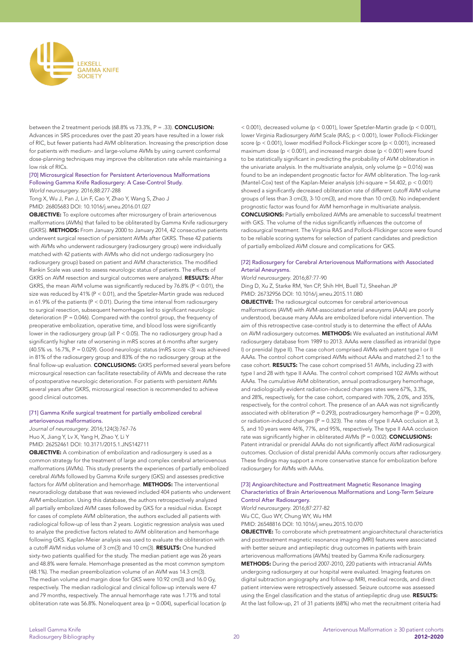

between the 2 treatment periods (68.8% vs 73.3%, P = .33). CONCLUSION: Advances in SRS procedures over the past 20 years have resulted in a lower risk of RIC, but fewer patients had AVM obliteration. Increasing the prescription dose for patients with medium- and large-volume AVMs by using current conformal dose-planning techniques may improve the obliteration rate while maintaining a low risk of RICs.

## [70] Microsurgical Resection for Persistent Arteriovenous Malformations Following Gamma Knife Radiosurgery: A Case-Control Study.

*World neurosurgery*. 2016;88:277-288

Tong X, Wu J, Pan J, Lin F, Cao Y, Zhao Y, Wang S, Zhao J PMID: 26805683 DOI: 10.1016/j.wneu.2016.01.027

OBJECTIVE: To explore outcomes after microsurgery of brain arteriovenous malformations (AVMs) that failed to be obliterated by Gamma Knife radiosurgery (GKRS). METHODS: From January 2000 to January 2014, 42 consecutive patients underwent surgical resection of persistent AVMs after GKRS. These 42 patients with AVMs who underwent radiosurgery (radiosurgery group) were individually matched with 42 patients with AVMs who did not undergo radiosurgery (no radiosurgery group) based on patient and AVM characteristics. The modified Rankin Scale was used to assess neurologic status of patients. The effects of GKRS on AVM resection and surgical outcomes were analyzed. RESULTS: After GKRS, the mean AVM volume was significantly reduced by 76.8% (P < 0.01), the size was reduced by 41% (P < 0.01), and the Spetzler-Martin grade was reduced in 61.9% of the patients ( $P < 0.01$ ). During the time interval from radiosurgery to surgical resection, subsequent hemorrhages led to significant neurologic deterioration ( $P = 0.046$ ). Compared with the control group, the frequency of preoperative embolization, operative time, and blood loss were significantly lower in the radiosurgery group (all P < 0.05). The no radiosurgery group had a significantly higher rate of worsening in mRS scores at 6 months after surgery (40.5% vs. 16.7%,  $P = 0.029$ ). Good neurologic status (mRS score <3) was achieved in 81% of the radiosurgery group and 83% of the no radiosurgery group at the final follow-up evaluation. **CONCLUSIONS:** GKRS performed several years before microsurgical resection can facilitate resectability of AVMs and decrease the rate of postoperative neurologic deterioration. For patients with persistent AVMs several years after GKRS, microsurgical resection is recommended to achieve good clinical outcomes.

#### [71] Gamma Knife surgical treatment for partially embolized cerebral arteriovenous malformations.

*Journal of neurosurgery*. 2016;124(3):767-76 Huo X, Jiang Y, Lv X, Yang H, Zhao Y, Li Y PMID: 26252461 DOI: 10.3171/2015.1.JNS142711

OBJECTIVE: A combination of embolization and radiosurgery is used as a common strategy for the treatment of large and complex cerebral arteriovenous malformations (AVMs). This study presents the experiences of partially embolized cerebral AVMs followed by Gamma Knife surgery (GKS) and assesses predictive factors for AVM obliteration and hemorrhage. METHODS: The interventional neuroradiology database that was reviewed included 404 patients who underwent AVM embolization. Using this database, the authors retrospectively analyzed all partially embolized AVM cases followed by GKS for a residual nidus. Except for cases of complete AVM obliteration, the authors excluded all patients with radiological follow-up of less than 2 years. Logistic regression analysis was used to analyze the predictive factors related to AVM obliteration and hemorrhage following GKS. Kaplan-Meier analysis was used to evaluate the obliteration with a cutoff AVM nidus volume of 3 cm(3) and 10 cm(3). RESULTS: One hundred sixty-two patients qualified for the study. The median patient age was 26 years and 48.8% were female. Hemorrhage presented as the most common symptom (48.1%). The median preembolization volume of an AVM was 14.3 cm(3). The median volume and margin dose for GKS were 10.92 cm(3) and 16.0 Gy, respectively. The median radiological and clinical follow-up intervals were 47 and 79 months, respectively. The annual hemorrhage rate was 1.71% and total obliteration rate was 56.8%. Noneloquent area ( $p = 0.004$ ), superficial location (p

 $<$  0.001), decreased volume (p  $<$  0.001), lower Spetzler-Martin grade (p  $<$  0.001), lower Virginia Radiosurgery AVM Scale (RAS; p < 0.001), lower Pollock-Flickinger score (p < 0.001), lower modified Pollock-Flickinger score (p < 0.001), increased maximum dose ( $p < 0.001$ ), and increased margin dose ( $p < 0.001$ ) were found to be statistically significant in predicting the probability of AVM obliteration in the univariate analysis. In the multivariate analysis, only volume ( $p = 0.016$ ) was found to be an independent prognostic factor for AVM obliteration. The log-rank (Mantel-Cox) test of the Kaplan-Meier analysis (chi-square =  $54.402$ ,  $p < 0.001$ ) showed a significantly decreased obliteration rate of different cutoff AVM volume groups of less than 3 cm(3), 3-10 cm(3), and more than 10 cm(3). No independent prognostic factor was found for AVM hemorrhage in multivariate analysis. CONCLUSIONS: Partially embolized AVMs are amenable to successful treatment with GKS. The volume of the nidus significantly influences the outcome of radiosurgical treatment. The Virginia RAS and Pollock-Flickinger score were found to be reliable scoring systems for selection of patient candidates and prediction of partially embolized AVM closure and complications for GKS.

#### [72] Radiosurgery for Cerebral Arteriovenous Malformations with Associated Arterial Aneurysms.

*World neurosurgery*. 2016;87:77-90

Ding D, Xu Z, Starke RM, Yen CP, Shih HH, Buell TJ, Sheehan JP PMID: 26732956 DOI: 10.1016/j.wneu.2015.11.080

OBJECTIVE: The radiosurgical outcomes for cerebral arteriovenous malformations (AVM) with AVM-associated arterial aneurysms (AAA) are poorly understood, because many AAAs are embolized before nidal intervention. The aim of this retrospective case-control study is to determine the effect of AAAs on AVM radiosurgery outcomes. METHODS: We evaluated an institutional AVM radiosurgery database from 1989 to 2013. AAAs were classified as intranidal (type I) or prenidal (type II). The case cohort comprised AVMs with patent type I or II AAAs. The control cohort comprised AVMs without AAAs and matched 2:1 to the case cohort. RESULTS: The case cohort comprised 51 AVMs, including 23 with type I and 28 with type II AAAs. The control cohort comprised 102 AVMs without AAAs. The cumulative AVM obliteration, annual postradiosurgery hemorrhage, and radiologically evident radiation-induced changes rates were 67%, 3.3%, and 28%, respectively, for the case cohort, compared with 70%, 2.0%, and 35%, respectively, for the control cohort. The presence of an AAA was not significantly associated with obliteration ( $P = 0.293$ ), postradiosurgery hemorrhage ( $P = 0.209$ ), or radiation-induced changes ( $P = 0.323$ ). The rates of type II AAA occlusion at 3, 5, and 10 years were 46%, 77%, and 95%, respectively. The type II AAA occlusion rate was significantly higher in obliterated AVMs  $(P = 0.002)$ . **CONCLUSIONS:** Patent intranidal or prenidal AAAs do not significantly affect AVM radiosurgical outcomes. Occlusion of distal prenidal AAAs commonly occurs after radiosurgery. These findings may support a more conservative stance for embolization before radiosurgery for AVMs with AAAs.

#### [73] Angioarchitecture and Posttreatment Magnetic Resonance Imaging Characteristics of Brain Arteriovenous Malformations and Long-Term Seizure Control After Radiosurgery.

*World neurosurgery*. 2016;87:277-82

Wu CC, Guo WY, Chung WY, Wu HM PMID: 26548816 DOI: 10.1016/j.wneu.2015.10.070

OBJECTIVE: To corroborate which pretreatment angioarchitectural characteristics and posttreatment magnetic resonance imaging (MRI) features were associated with better seizure and antiepileptic drug outcomes in patients with brain arteriovenous malformations (AVMs) treated by Gamma Knife radiosurgery. METHODS: During the period 2007-2010, 220 patients with intracranial AVMs undergoing radiosurgery at our hospital were evaluated. Imaging features on digital subtraction angiography and follow-up MRI, medical records, and direct patient interview were retrospectively assessed. Seizure outcome was assessed using the Engel classification and the status of antiepileptic drug use. RESULTS: At the last follow-up, 21 of 31 patients (68%) who met the recruitment criteria had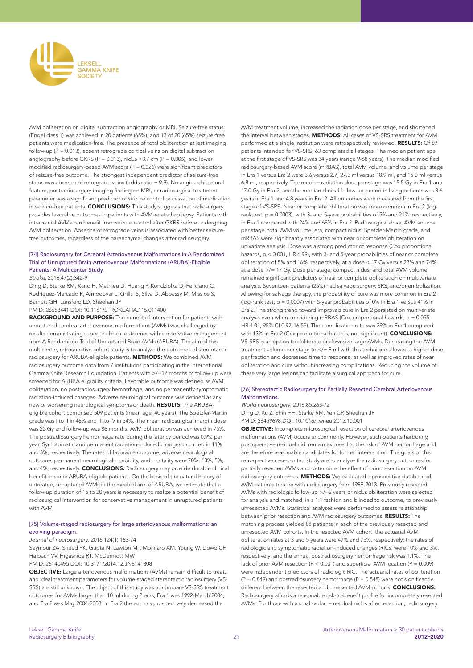

AVM obliteration on digital subtraction angiography or MRI. Seizure-free status (Engel class 1) was achieved in 20 patients (65%), and 13 of 20 (65%) seizure-free patients were medication-free. The presence of total obliteration at last imaging follow-up ( $P = 0.013$ ), absent retrograde cortical veins on digital subtraction angiography before GKRS (P = 0.013), nidus <3.7 cm (P = 0.006), and lower modified radiosurgery-based AVM score ( $P = 0.026$ ) were significant predictors of seizure-free outcome. The strongest independent predictor of seizure-free status was absence of retrograde veins (odds ratio = 9.9). No angioarchitectural feature, postradiosurgery imaging finding on MRI, or radiosurgical treatment parameter was a significant predictor of seizure control or cessation of medication in seizure-free patients. CONCLUSIONS: This study suggests that radiosurgery provides favorable outcomes in patients with AVM-related epilepsy. Patients with intracranial AVMs can benefit from seizure control after GKRS before undergoing AVM obliteration. Absence of retrograde veins is associated with better seizurefree outcomes, regardless of the parenchymal changes after radiosurgery.

#### [74] Radiosurgery for Cerebral Arteriovenous Malformations in A Randomized Trial of Unruptured Brain Arteriovenous Malformations (ARUBA)-Eligible Patients: A Multicenter Study.

*Stroke*. 2016;47(2):342-9

Ding D, Starke RM, Kano H, Mathieu D, Huang P, Kondziolka D, Feliciano C, Rodriguez-Mercado R, Almodovar L, Grills IS, Silva D, Abbassy M, Missios S, Barnett GH, Lunsford LD, Sheehan JP

PMID: 26658441 DOI: 10.1161/STROKEAHA.115.011400

BACKGROUND AND PURPOSE: The benefit of intervention for patients with unruptured cerebral arteriovenous malformations (AVMs) was challenged by results demonstrating superior clinical outcomes with conservative management from A Randomized Trial of Unruptured Brain AVMs (ARUBA). The aim of this multicenter, retrospective cohort study is to analyze the outcomes of stereotactic radiosurgery for ARUBA-eligible patients. METHODS: We combined AVM radiosurgery outcome data from 7 institutions participating in the International Gamma Knife Research Foundation. Patients with >/=12 months of follow-up were screened for ARUBA eligibility criteria. Favorable outcome was defined as AVM obliteration, no postradiosurgery hemorrhage, and no permanently symptomatic radiation-induced changes. Adverse neurological outcome was defined as any new or worsening neurological symptoms or death. RESULTS: The ARUBAeligible cohort comprised 509 patients (mean age, 40 years). The Spetzler-Martin grade was I to II in 46% and III to IV in 54%. The mean radiosurgical margin dose was 22 Gy and follow-up was 86 months. AVM obliteration was achieved in 75%. The postradiosurgery hemorrhage rate during the latency period was 0.9% per year. Symptomatic and permanent radiation-induced changes occurred in 11% and 3%, respectively. The rates of favorable outcome, adverse neurological outcome, permanent neurological morbidity, and mortality were 70%, 13%, 5%, and 4%, respectively. **CONCLUSIONS:** Radiosurgery may provide durable clinical benefit in some ARUBA-eligible patients. On the basis of the natural history of untreated, unruptured AVMs in the medical arm of ARUBA, we estimate that a follow-up duration of 15 to 20 years is necessary to realize a potential benefit of radiosurgical intervention for conservative management in unruptured patients with AVM.

#### [75] Volume-staged radiosurgery for large arteriovenous malformations: an evolving paradigm.

*Journal of neurosurgery*. 2016;124(1):163-74

Seymour ZA, Sneed PK, Gupta N, Lawton MT, Molinaro AM, Young W, Dowd CF, Halbach VV, Higashida RT, McDermott MW

PMID: 26140495 DOI: 10.3171/2014.12.JNS141308

OBJECTIVE: Large arteriovenous malformations (AVMs) remain difficult to treat, and ideal treatment parameters for volume-staged stereotactic radiosurgery (VS-SRS) are still unknown. The object of this study was to compare VS-SRS treatment outcomes for AVMs larger than 10 ml during 2 eras; Era 1 was 1992-March 2004, and Era 2 was May 2004-2008. In Era 2 the authors prospectively decreased the

AVM treatment volume, increased the radiation dose per stage, and shortened the interval between stages. METHODS: All cases of VS-SRS treatment for AVM performed at a single institution were retrospectively reviewed. RESULTS: Of 69 patients intended for VS-SRS, 63 completed all stages. The median patient age at the first stage of VS-SRS was 34 years (range 9-68 years). The median modified radiosurgery-based AVM score (mRBAS), total AVM volume, and volume per stage in Era 1 versus Era 2 were 3.6 versus 2.7, 27.3 ml versus 18.9 ml, and 15.0 ml versus 6.8 ml, respectively. The median radiation dose per stage was 15.5 Gy in Era 1 and 17.0 Gy in Era 2, and the median clinical follow-up period in living patients was 8.6 years in Era 1 and 4.8 years in Era 2. All outcomes were measured from the first stage of VS-SRS. Near or complete obliteration was more common in Era 2 (logrank test,  $p = 0.0003$ ), with 3- and 5-year probabilities of 5% and 21%, respectively, in Era 1 compared with 24% and 68% in Era 2. Radiosurgical dose, AVM volume per stage, total AVM volume, era, compact nidus, Spetzler-Martin grade, and mRBAS were significantly associated with near or complete obliteration on univariate analysis. Dose was a strong predictor of response (Cox proportional hazards, p < 0.001, HR 6.99), with 3- and 5-year probabilities of near or complete obliteration of 5% and 16%, respectively, at a dose < 17 Gy versus 23% and 74% at a dose >/= 17 Gy. Dose per stage, compact nidus, and total AVM volume remained significant predictors of near or complete obliteration on multivariate analysis. Seventeen patients (25%) had salvage surgery, SRS, and/or embolization. Allowing for salvage therapy, the probability of cure was more common in Era 2 (log-rank test, p = 0.0007) with 5-year probabilities of 0% in Era 1 versus 41% in Era 2. The strong trend toward improved cure in Era 2 persisted on multivariate analysis even when considering mRBAS (Cox proportional hazards,  $p = 0.055$ , HR 4.01, 95% CI 0.97-16.59). The complication rate was 29% in Era 1 compared with 13% in Era 2 (Cox proportional hazards, not significant). **CONCLUSIONS:** VS-SRS is an option to obliterate or downsize large AVMs. Decreasing the AVM treatment volume per stage to </= 8 ml with this technique allowed a higher dose per fraction and decreased time to response, as well as improved rates of near obliteration and cure without increasing complications. Reducing the volume of these very large lesions can facilitate a surgical approach for cure.

#### [76] Stereotactic Radiosurgery for Partially Resected Cerebral Arteriovenous Malformations.

# *World neurosurgery*. 2016;85:263-72

Ding D, Xu Z, Shih HH, Starke RM, Yen CP, Sheehan JP

PMID: 26459698 DOI: 10.1016/j.wneu.2015.10.001

OBJECTIVE: Incomplete microsurgical resection of cerebral arteriovenous malformations (AVM) occurs uncommonly. However, such patients harboring postoperative residual nidi remain exposed to the risk of AVM hemorrhage and are therefore reasonable candidates for further intervention. The goals of this retrospective case-control study are to analyze the radiosurgery outcomes for partially resected AVMs and determine the effect of prior resection on AVM radiosurgery outcomes. METHODS: We evaluated a prospective database of AVM patients treated with radiosurgery from 1989-2013. Previously resected AVMs with radiologic follow-up >/=2 years or nidus obliteration were selected for analysis and matched, in a 1:1 fashion and blinded to outcome, to previously unresected AVMs. Statistical analyses were performed to assess relationship between prior resection and AVM radiosurgery outcomes. RESULTS: The matching process yielded 88 patients in each of the previously resected and unresected AVM cohorts. In the resected AVM cohort, the actuarial AVM obliteration rates at 3 and 5 years were 47% and 75%, respectively; the rates of radiologic and symptomatic radiation-induced changes (RICs) were 10% and 3%, respectively; and the annual postradiosurgery hemorrhage risk was 1.1%. The lack of prior AVM resection ( $P < 0.001$ ) and superficial AVM location ( $P = 0.009$ ) were independent predictors of radiologic RIC. The actuarial rates of obliteration  $(P = 0.849)$  and postradiosurgery hemorrhage  $(P = 0.548)$  were not significantly different between the resected and unresected AVM cohorts. **CONCLUSIONS:** Radiosurgery affords a reasonable risk-to-benefit profile for incompletely resected AVMs. For those with a small-volume residual nidus after resection, radiosurgery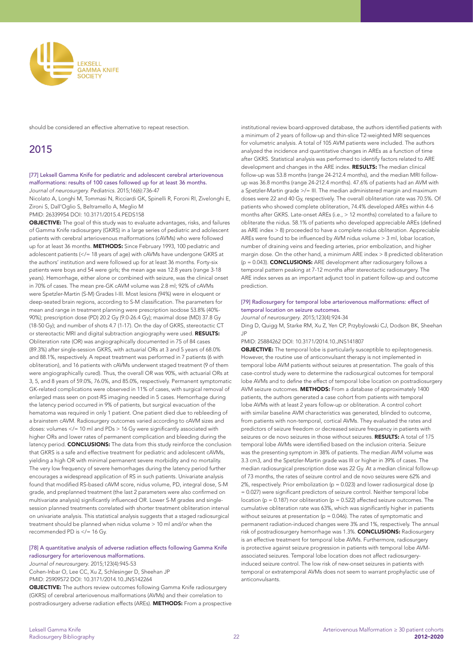

should be considered an effective alternative to repeat resection.

# 2015

#### [77] Leksell Gamma Knife for pediatric and adolescent cerebral arteriovenous malformations: results of 100 cases followed up for at least 36 months. *Journal of neurosurgery. Pediatrics*. 2015;16(6):736-47

Nicolato A, Longhi M, Tommasi N, Ricciardi GK, Spinelli R, Foroni RI, Zivelonghi E, Zironi S, Dall'Oglio S, Beltramello A, Meglio M

PMID: 26339954 DOI: 10.3171/2015.4.PEDS158

**OBJECTIVE:** The goal of this study was to evaluate advantages, risks, and failures of Gamma Knife radiosurgery (GKRS) in a large series of pediatric and adolescent patients with cerebral arteriovenous malformations (cAVMs) who were followed up for at least 36 months. METHODS: Since February 1993, 100 pediatric and adolescent patients (</= 18 years of age) with cAVMs have undergone GKRS at the authors' institution and were followed up for at least 36 months. Forty-six patients were boys and 54 were girls; the mean age was 12.8 years (range 3-18 years). Hemorrhage, either alone or combined with seizure, was the clinical onset in 70% of cases. The mean pre-GK cAVM volume was 2.8 ml; 92% of cAVMs were Spetzler-Martin (S-M) Grades I-III. Most lesions (94%) were in eloquent or deep-seated brain regions, according to S-M classification. The parameters for mean and range in treatment planning were prescription isodose 53.8% (40%- 90%); prescription dose (PD) 20.2 Gy (9.0-26.4 Gy); maximal dose (MD) 37.8 Gy (18-50 Gy); and number of shots 4.7 (1-17). On the day of GKRS, stereotactic CT or stereotactic MRI and digital subtraction angiography were used. RESULTS: Obliteration rate (OR) was angiographically documented in 75 of 84 cases (89.3%) after single-session GKRS, with actuarial ORs at 3 and 5 years of 68.0% and 88.1%, respectively. A repeat treatment was performed in 7 patients (6 with obliteration), and 16 patients with cAVMs underwent staged treatment (9 of them were angiographically cured). Thus, the overall OR was 90%, with actuarial ORs at 3, 5, and 8 years of 59.0%, 76.0%, and 85.0%, respectively. Permanent symptomatic GK-related complications were observed in 11% of cases, with surgical removal of enlarged mass seen on post-RS imaging needed in 5 cases. Hemorrhage during the latency period occurred in 9% of patients, but surgical evacuation of the hematoma was required in only 1 patient. One patient died due to rebleeding of a brainstem cAVM. Radiosurgery outcomes varied according to cAVM sizes and doses: volumes </= 10 ml and PDs > 16 Gy were significantly associated with higher ORs and lower rates of permanent complication and bleeding during the latency period. CONCLUSIONS: The data from this study reinforce the conclusion that GKRS is a safe and effective treatment for pediatric and adolescent cAVMs, yielding a high OR with minimal permanent severe morbidity and no mortality. The very low frequency of severe hemorrhages during the latency period further encourages a widespread application of RS in such patients. Univariate analysis found that modified RS-based cAVM score, nidus volume, PD, integral dose, S-M grade, and preplanned treatment (the last 2 parameters were also confirmed on multivariate analysis) significantly influenced OR. Lower S-M grades and singlesession planned treatments correlated with shorter treatment obliteration interval on univariate analysis. This statistical analysis suggests that a staged radiosurgical treatment should be planned when nidus volume > 10 ml and/or when the recommended PD is </= 16 Gy.

#### [78] A quantitative analysis of adverse radiation effects following Gamma Knife radiosurgery for arteriovenous malformations.

*Journal of neurosurgery*. 2015;123(4):945-53

Cohen-Inbar O, Lee CC, Xu Z, Schlesinger D, Sheehan JP PMID: 25909572 DOI: 10.3171/2014.10.JNS142264

OBJECTIVE: The authors review outcomes following Gamma Knife radiosurgery (GKRS) of cerebral arteriovenous malformations (AVMs) and their correlation to postradiosurgery adverse radiation effects (AREs). METHODS: From a prospective

institutional review board-approved database, the authors identified patients with a minimum of 2 years of follow-up and thin-slice T2-weighted MRI sequences for volumetric analysis. A total of 105 AVM patients were included. The authors analyzed the incidence and quantitative changes in AREs as a function of time after GKRS. Statistical analysis was performed to identify factors related to ARE development and changes in the ARE index. RESULTS: The median clinical follow-up was 53.8 months (range 24-212.4 months), and the median MRI followup was 36.8 months (range 24-212.4 months). 47.6% of patients had an AVM with a Spetzler-Martin grade >/= III. The median administered margin and maximum doses were 22 and 40 Gy, respectively. The overall obliteration rate was 70.5%. Of patients who showed complete obliteration, 74.4% developed AREs within 4-6 months after GKRS. Late-onset AREs (i.e., > 12 months) correlated to a failure to obliterate the nidus. 58.1% of patients who developed appreciable AREs (defined as ARE index > 8) proceeded to have a complete nidus obliteration. Appreciable AREs were found to be influenced by AVM nidus volume > 3 ml, lobar location, number of draining veins and feeding arteries, prior embolization, and higher margin dose. On the other hand, a minimum ARE index > 8 predicted obliteration  $(p = 0.043)$ . **CONCLUSIONS:** ARE development after radiosurgery follows a temporal pattern peaking at 7-12 months after stereotactic radiosurgery. The ARE index serves as an important adjunct tool in patient follow-up and outcome prediction.

#### [79] Radiosurgery for temporal lobe arteriovenous malformations: effect of temporal location on seizure outcomes.

*Journal of neurosurgery*. 2015;123(4):924-34

Ding D, Quigg M, Starke RM, Xu Z, Yen CP, Przybylowski CJ, Dodson BK, Sheehan JP

#### PMID: 25884262 DOI: 10.3171/2014.10.JNS141807

**OBJECTIVE:** The temporal lobe is particularly susceptible to epileptogenesis. However, the routine use of anticonvulsant therapy is not implemented in temporal lobe AVM patients without seizures at presentation. The goals of this case-control study were to determine the radiosurgical outcomes for temporal lobe AVMs and to define the effect of temporal lobe location on postradiosurgery AVM seizure outcomes. METHODS: From a database of approximately 1400 patients, the authors generated a case cohort from patients with temporal lobe AVMs with at least 2 years follow-up or obliteration. A control cohort with similar baseline AVM characteristics was generated, blinded to outcome, from patients with non-temporal, cortical AVMs. They evaluated the rates and predictors of seizure freedom or decreased seizure frequency in patients with seizures or de novo seizures in those without seizures. RESULTS: A total of 175 temporal lobe AVMs were identified based on the inclusion criteria. Seizure was the presenting symptom in 38% of patients. The median AVM volume was 3.3 cm3, and the Spetzler-Martin grade was III or higher in 39% of cases. The median radiosurgical prescription dose was 22 Gy. At a median clinical follow-up of 73 months, the rates of seizure control and de novo seizures were 62% and 2%, respectively. Prior embolization ( $p = 0.023$ ) and lower radiosurgical dose ( $p$ = 0.027) were significant predictors of seizure control. Neither temporal lobe location ( $p = 0.187$ ) nor obliteration ( $p = 0.522$ ) affected seizure outcomes. The cumulative obliteration rate was 63%, which was significantly higher in patients without seizures at presentation ( $p = 0.046$ ). The rates of symptomatic and permanent radiation-induced changes were 3% and 1%, respectively. The annual risk of postradiosurgery hemorrhage was 1.3%. **CONCLUSIONS:** Radiosurgery is an effective treatment for temporal lobe AVMs. Furthermore, radiosurgery is protective against seizure progression in patients with temporal lobe AVMassociated seizures. Temporal lobe location does not affect radiosurgeryinduced seizure control. The low risk of new-onset seizures in patients with temporal or extratemporal AVMs does not seem to warrant prophylactic use of anticonvulsants.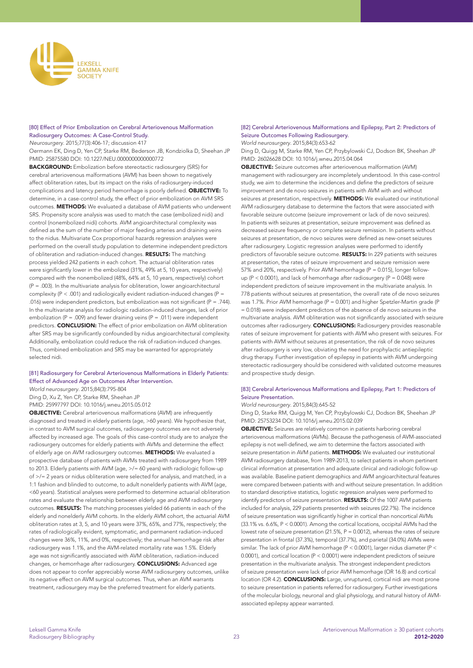

# [80] Effect of Prior Embolization on Cerebral Arteriovenous Malformation Radiosurgery Outcomes: A Case-Control Study.

*Neurosurgery*. 2015;77(3):406-17; discussion 417

Oermann EK, Ding D, Yen CP, Starke RM, Bederson JB, Kondziolka D, Sheehan JP PMID: 25875580 DOI: 10.1227/NEU.0000000000000772

BACKGROUND: Embolization before stereotactic radiosurgery (SRS) for cerebral arteriovenous malformations (AVM) has been shown to negatively affect obliteration rates, but its impact on the risks of radiosurgery-induced complications and latency period hemorrhage is poorly defined. OBJECTIVE: To determine, in a case-control study, the effect of prior embolization on AVM SRS outcomes. METHODS: We evaluated a database of AVM patients who underwent SRS. Propensity score analysis was used to match the case (embolized nidi) and control (nonembolized nidi) cohorts. AVM angioarchitectural complexity was defined as the sum of the number of major feeding arteries and draining veins to the nidus. Multivariate Cox proportional hazards regression analyses were performed on the overall study population to determine independent predictors of obliteration and radiation-induced changes. RESULTS: The matching process yielded 242 patients in each cohort. The actuarial obliteration rates were significantly lower in the embolized (31%, 49% at 5, 10 years, respectively) compared with the nonembolized (48%, 64% at 5, 10 years, respectively) cohort  $(P = .003)$ . In the multivariate analysis for obliteration, lower angioarchitectural complexity (P < .001) and radiologically evident radiation-induced changes (P = .016) were independent predictors, but embolization was not significant ( $P = .744$ ). In the multivariate analysis for radiologic radiation-induced changes, lack of prior embolization ( $P = .009$ ) and fewer draining veins ( $P = .011$ ) were independent predictors. CONCLUSION: The effect of prior embolization on AVM obliteration after SRS may be significantly confounded by nidus angioarchitectural complexity. Additionally, embolization could reduce the risk of radiation-induced changes. Thus, combined embolization and SRS may be warranted for appropriately selected nidi.

#### [81] Radiosurgery for Cerebral Arteriovenous Malformations in Elderly Patients: Effect of Advanced Age on Outcomes After Intervention.

*World neurosurgery*. 2015;84(3):795-804 Ding D, Xu Z, Yen CP, Starke RM, Sheehan JP

PMID: 25997797 DOI: 10.1016/j.wneu.2015.05.012

OBJECTIVE: Cerebral arteriovenous malformations (AVM) are infrequently diagnosed and treated in elderly patients (age, >60 years). We hypothesize that, in contrast to AVM surgical outcomes, radiosurgery outcomes are not adversely affected by increased age. The goals of this case-control study are to analyze the radiosurgery outcomes for elderly patients with AVMs and determine the effect of elderly age on AVM radiosurgery outcomes. **METHODS:** We evaluated a prospective database of patients with AVMs treated with radiosurgery from 1989 to 2013. Elderly patients with AVM (age, >/= 60 years) with radiologic follow-up of >/= 2 years or nidus obliteration were selected for analysis, and matched, in a 1:1 fashion and blinded to outcome, to adult nonelderly patients with AVM (age, <60 years). Statistical analyses were performed to determine actuarial obliteration rates and evaluate the relationship between elderly age and AVM radiosurgery outcomes. RESULTS: The matching processes yielded 66 patients in each of the elderly and nonelderly AVM cohorts. In the elderly AVM cohort, the actuarial AVM obliteration rates at 3, 5, and 10 years were 37%, 65%, and 77%, respectively; the rates of radiologically evident, symptomatic, and permanent radiation-induced changes were 36%, 11%, and 0%, respectively; the annual hemorrhage risk after radiosurgery was 1.1%, and the AVM-related mortality rate was 1.5%. Elderly age was not significantly associated with AVM obliteration, radiation-induced changes, or hemorrhage after radiosurgery. CONCLUSIONS: Advanced age does not appear to confer appreciably worse AVM radiosurgery outcomes, unlike its negative effect on AVM surgical outcomes. Thus, when an AVM warrants treatment, radiosurgery may be the preferred treatment for elderly patients.

# [82] Cerebral Arteriovenous Malformations and Epilepsy, Part 2: Predictors of Seizure Outcomes Following Radiosurgery.

*World neurosurgery*. 2015;84(3):653-62

Ding D, Quigg M, Starke RM, Yen CP, Przybylowski CJ, Dodson BK, Sheehan JP PMID: 26026628 DOI: 10.1016/j.wneu.2015.04.064

OBJECTIVE: Seizure outcomes after arteriovenous malformation (AVM) management with radiosurgery are incompletely understood. In this case-control study, we aim to determine the incidences and define the predictors of seizure improvement and de novo seizures in patients with AVM with and without seizures at presentation, respectively. **METHODS:** We evaluated our institutional AVM radiosurgery database to determine the factors that were associated with favorable seizure outcome (seizure improvement or lack of de novo seizures). In patients with seizures at presentation, seizure improvement was defined as decreased seizure frequency or complete seizure remission. In patients without seizures at presentation, de novo seizures were defined as new-onset seizures after radiosurgery. Logistic regression analyses were performed to identify predictors of favorable seizure outcome. RESULTS: In 229 patients with seizures at presentation, the rates of seizure improvement and seizure remission were 57% and 20%, respectively. Prior AVM hemorrhage (P = 0.015), longer followup ( $P < 0.0001$ ), and lack of hemorrhage after radiosurgery ( $P = 0.048$ ) were independent predictors of seizure improvement in the multivariate analysis. In 778 patients without seizures at presentation, the overall rate of de novo seizures was 1.7%. Prior AVM hemorrhage (P = 0.001) and higher Spetzler-Martin grade (P = 0.018) were independent predictors of the absence of de novo seizures in the multivariate analysis. AVM obliteration was not significantly associated with seizure outcomes after radiosurgery. CONCLUSIONS: Radiosurgery provides reasonable rates of seizure improvement for patients with AVM who present with seizures. For patients with AVM without seizures at presentation, the risk of de novo seizures after radiosurgery is very low, obviating the need for prophylactic antiepileptic drug therapy. Further investigation of epilepsy in patients with AVM undergoing stereotactic radiosurgery should be considered with validated outcome measures and prospective study design.

#### [83] Cerebral Arteriovenous Malformations and Epilepsy, Part 1: Predictors of Seizure Presentation.

#### *World neurosurgery*. 2015;84(3):645-52

Ding D, Starke RM, Quigg M, Yen CP, Przybylowski CJ, Dodson BK, Sheehan JP PMID: 25753234 DOI: 10.1016/j.wneu.2015.02.039

OBJECTIVE: Seizures are relatively common in patients harboring cerebral arteriovenous malformations (AVMs). Because the pathogenesis of AVM-associated epilepsy is not well-defined, we aim to determine the factors associated with seizure presentation in AVM patients. **METHODS:** We evaluated our institutional AVM radiosurgery database, from 1989-2013, to select patients in whom pertinent clinical information at presentation and adequate clinical and radiologic follow-up was available. Baseline patient demographics and AVM angioarchitectural features were compared between patients with and without seizure presentation. In addition to standard descriptive statistics, logistic regression analyses were performed to identify predictors of seizure presentation. RESULTS: Of the 1007 AVM patients included for analysis, 229 patients presented with seizures (22.7%). The incidence of seizure presentation was significantly higher in cortical than noncortical AVMs (33.1% vs. 6.6%, P < 0.0001). Among the cortical locations, occipital AVMs had the lowest rate of seizure presentation (21.5%, P = 0.0012), whereas the rates of seizure presentation in frontal (37.3%), temporal (37.7%), and parietal (34.0%) AVMs were similar. The lack of prior AVM hemorrhage (P < 0.0001), larger nidus diameter (P < 0.0001), and cortical location (P < 0.0001) were independent predictors of seizure presentation in the multivariate analysis. The strongest independent predictors of seizure presentation were lack of prior AVM hemorrhage (OR 16.8) and cortical location (OR 4.2). **CONCLUSIONS:** Large, unruptured, cortical nidi are most prone to seizure presentation in patients referred for radiosurgery. Further investigations of the molecular biology, neuronal and glial physiology, and natural history of AVMassociated epilepsy appear warranted.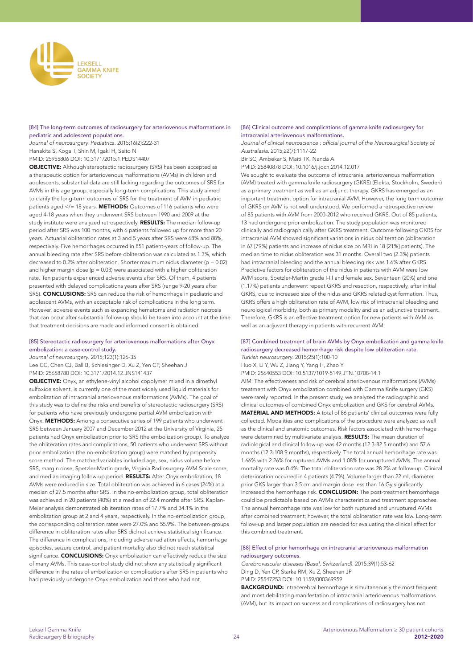

### [84] The long-term outcomes of radiosurgery for arteriovenous malformations in pediatric and adolescent populations.

*Journal of neurosurgery. Pediatrics*. 2015;16(2):222-31 Hanakita S, Koga T, Shin M, Igaki H, Saito N PMID: 25955806 DOI: 10.3171/2015.1.PEDS14407

OBJECTIVE: Although stereotactic radiosurgery (SRS) has been accepted as a therapeutic option for arteriovenous malformations (AVMs) in children and adolescents, substantial data are still lacking regarding the outcomes of SRS for AVMs in this age group, especially long-term complications. This study aimed to clarify the long-term outcomes of SRS for the treatment of AVM in pediatric patients aged </= 18 years. METHODS: Outcomes of 116 patients who were aged 4-18 years when they underwent SRS between 1990 and 2009 at the study institute were analyzed retrospectively. RESULTS: The median follow-up period after SRS was 100 months, with 6 patients followed up for more than 20 years. Actuarial obliteration rates at 3 and 5 years after SRS were 68% and 88%, respectively. Five hemorrhages occurred in 851 patient-years of follow-up. The annual bleeding rate after SRS before obliteration was calculated as 1.3%, which decreased to 0.2% after obliteration. Shorter maximum nidus diameter ( $p = 0.02$ ) and higher margin dose ( $p = 0.03$ ) were associated with a higher obliteration rate. Ten patients experienced adverse events after SRS. Of them, 4 patients presented with delayed complications years after SRS (range 9-20 years after SRS). **CONCLUSIONS:** SRS can reduce the risk of hemorrhage in pediatric and adolescent AVMs, with an acceptable risk of complications in the long term. However, adverse events such as expanding hematoma and radiation necrosis that can occur after substantial follow-up should be taken into account at the time that treatment decisions are made and informed consent is obtained.

## [85] Stereotactic radiosurgery for arteriovenous malformations after Onyx embolization: a case-control study.

*Journal of neurosurgery*. 2015;123(1):126-35

Lee CC, Chen CJ, Ball B, Schlesinger D, Xu Z, Yen CP, Sheehan J PMID: 25658780 DOI: 10.3171/2014.12.JNS141437

OBJECTIVE: Onyx, an ethylene-vinyl alcohol copolymer mixed in a dimethyl sulfoxide solvent, is currently one of the most widely used liquid materials for embolization of intracranial arteriovenous malformations (AVMs). The goal of this study was to define the risks and benefits of stereotactic radiosurgery (SRS) for patients who have previously undergone partial AVM embolization with Onyx. METHODS: Among a consecutive series of 199 patients who underwent SRS between January 2007 and December 2012 at the University of Virginia, 25 patients had Onyx embolization prior to SRS (the embolization group). To analyze the obliteration rates and complications, 50 patients who underwent SRS without prior embolization (the no-embolization group) were matched by propensity score method. The matched variables included age, sex, nidus volume before SRS, margin dose, Spetzler-Martin grade, Virginia Radiosurgery AVM Scale score, and median imaging follow-up period. RESULTS: After Onyx embolization, 18 AVMs were reduced in size. Total obliteration was achieved in 6 cases (24%) at a median of 27.5 months after SRS. In the no-embolization group, total obliteration was achieved in 20 patients (40%) at a median of 22.4 months after SRS. Kaplan-Meier analysis demonstrated obliteration rates of 17.7% and 34.1% in the embolization group at 2 and 4 years, respectively. In the no-embolization group, the corresponding obliteration rates were 27.0% and 55.9%. The between-groups difference in obliteration rates after SRS did not achieve statistical significance. The difference in complications, including adverse radiation effects, hemorrhage episodes, seizure control, and patient mortality also did not reach statistical significance. CONCLUSIONS: Onyx embolization can effectively reduce the size of many AVMs. This case-control study did not show any statistically significant difference in the rates of embolization or complications after SRS in patients who had previously undergone Onyx embolization and those who had not.

#### [86] Clinical outcome and complications of gamma knife radiosurgery for intracranial arteriovenous malformations.

Journal of clinical neuroscience : official journal of the Neurosurgical Society of *Australasia*. 2015;22(7):1117-22

Bir SC, Ambekar S, Maiti TK, Nanda A

PMID: 25840878 DOI: 10.1016/j.jocn.2014.12.017

We sought to evaluate the outcome of intracranial arteriovenous malformation (AVM) treated with gamma knife radiosurgery (GKRS) (Elekta, Stockholm, Sweden) as a primary treatment as well as an adjunct therapy. GKRS has emerged as an important treatment option for intracranial AVM. However, the long term outcome of GKRS on AVM is not well understood. We performed a retrospective review of 85 patients with AVM from 2000-2012 who received GKRS. Out of 85 patients, 13 had undergone prior embolization. The study population was monitored clinically and radiographically after GKRS treatment. Outcome following GKRS for intracranial AVM showed significant variations in nidus obliteration (obliteration in 67 [79%] patients and increase of nidus size on MRI in 18 [21%] patients). The median time to nidus obliteration was 31 months. Overall two (2.3%) patients had intracranial bleeding and the annual bleeding risk was 1.6% after GKRS. Predictive factors for obliteration of the nidus in patients with AVM were low AVM score, Spetzler-Martin grade I-III and female sex. Seventeen (20%) and one (1.17%) patients underwent repeat GKRS and resection, respectively, after initial GKRS, due to increased size of the nidus and GKRS related cyst formation. Thus, GKRS offers a high obliteration rate of AVM, low risk of intracranial bleeding and neurological morbidity, both as primary modality and as an adjunctive treatment. Therefore, GKRS is an effective treatment option for new patients with AVM as well as an adjuvant therapy in patients with recurrent AVM.

#### [87] Combined treatment of brain AVMs by Onyx embolization and gamma knife radiosurgery decreased hemorrhage risk despite low obliteration rate. *Turkish neurosurgery*. 2015;25(1):100-10

Huo X, Li Y, Wu Z, Jiang Y, Yang H, Zhao Y

PMID: 25640553 DOI: 10.5137/1019-5149. JTN 10708-14.1

AIM: The effectiveness and risk of cerebral arteriovenous malformations (AVMs) treatment with Onyx embolization combined with Gamma Knife surgery (GKS) were rarely reported. In the present study, we analyzed the radiographic and clinical outcomes of combined Onyx embolization and GKS for cerebral AVMs. MATERIAL AND METHODS: A total of 86 patients' clinical outcomes were fully collected. Modalities and complications of the procedure were analyzed as well as the clinical and anatomic outcomes. Risk factors associated with hemorrhage were determined by multivariate analysis. RESULTS: The mean duration of radiological and clinical follow-up was 42 months (12.3-82.5 months) and 57.6 months (12.3-108.9 months), respectively. The total annual hemorrhage rate was 1.66% with 2.26% for ruptured AVMs and 1.08% for unruptured AVMs. The annual mortality rate was 0.4%. The total obliteration rate was 28.2% at follow-up. Clinical deterioration occurred in 4 patients (4.7%). Volume larger than 22 ml, diameter prior GKS larger than 3.5 cm and margin dose less than 16 Gy significantly increased the hemorrhage risk. **CONCLUSION:** The post-treatment hemorrhage could be predictable based on AVM's characteristics and treatment approaches. The annual hemorrhage rate was low for both ruptured and unruptured AVMs after combined treatment; however, the total obliteration rate was low. Long-term follow-up and larger population are needed for evaluating the clinical effect for this combined treatment.

#### [88] Effect of prior hemorrhage on intracranial arteriovenous malformation radiosurgery outcomes.

*Cerebrovascular diseases (Basel, Switzerland)*. 2015;39(1):53-62 Ding D, Yen CP, Starke RM, Xu Z, Sheehan JP PMID: 25547253 DOI: 10.1159/000369959

BACKGROUND: Intracerebral hemorrhage is simultaneously the most frequent and most debilitating manifestation of intracranial arteriovenous malformations (AVM), but its impact on success and complications of radiosurgery has not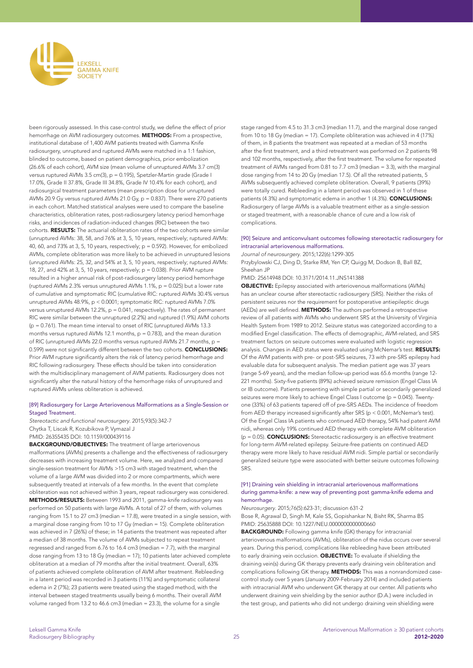

been rigorously assessed. In this case-control study, we define the effect of prior hemorrhage on AVM radiosurgery outcomes. **METHODS:** From a prospective, institutional database of 1,400 AVM patients treated with Gamma Knife radiosurgery, unruptured and ruptured AVMs were matched in a 1:1 fashion, blinded to outcome, based on patient demographics, prior embolization (26.6% of each cohort), AVM size (mean volume of unruptured AVMs 3.7 cm(3) versus ruptured AVMs 3.5 cm(3), p = 0.195), Spetzler-Martin grade (Grade I 17.0%, Grade II 37.8%, Grade III 34.8%, Grade IV 10.4% for each cohort), and radiosurgical treatment parameters (mean prescription dose for unruptured AVMs 20.9 Gy versus ruptured AVMs 21.0 Gy, p = 0.837). There were 270 patients in each cohort. Matched statistical analyses were used to compare the baseline characteristics, obliteration rates, post-radiosurgery latency period hemorrhage risks, and incidences of radiation-induced changes (RIC) between the two cohorts. RESULTS: The actuarial obliteration rates of the two cohorts were similar (unruptured AVMs: 38, 58, and 76% at 3, 5, 10 years, respectively; ruptured AVMs: 40, 60, and 73% at 3, 5, 10 years, respectively; p = 0.592). However, for embolized AVMs, complete obliteration was more likely to be achieved in unruptured lesions (unruptured AVMs: 25, 32, and 54% at 3, 5, 10 years, respectively; ruptured AVMs: 18, 27, and 42% at 3, 5, 10 years, respectively; p = 0.038). Prior AVM rupture resulted in a higher annual risk of post-radiosurgery latency period hemorrhage (ruptured AVMs 2.3% versus unruptured AVMs 1.1%, p = 0.025) but a lower rate of cumulative and symptomatic RIC (cumulative RIC: ruptured AVMs 30.4% versus unruptured AVMs 48.9%, p < 0.0001; symptomatic RIC: ruptured AVMs 7.0% versus unruptured AVMs 12.2%, p = 0.041, respectively). The rates of permanent RIC were similar between the unruptured (2.2%) and ruptured (1.9%) AVM cohorts (p = 0.761). The mean time interval to onset of RIC (unruptured AVMs 13.3 months versus ruptured AVMs 12.1 months,  $p = 0.783$ ), and the mean duration of RIC (unruptured AVMs 22.0 months versus ruptured AVMs 21.7 months,  $p =$ 0.599) were not significantly different between the two cohorts. CONCLUSIONS: Prior AVM rupture significantly alters the risk of latency period hemorrhage and RIC following radiosurgery. These effects should be taken into consideration with the multidisciplinary management of AVM patients. Radiosurgery does not significantly alter the natural history of the hemorrhage risks of unruptured and ruptured AVMs unless obliteration is achieved.

## [89] Radiosurgery for Large Arteriovenous Malformations as a Single-Session or Staged Treatment.

*Stereotactic and functional neurosurgery*. 2015;93(5):342-7 Chytka T, Liscak R, Kozubikova P, Vymazal J PMID: 26355435 DOI: 10.1159/000439116

BACKGROUND/OBJECTIVES: The treatment of large arteriovenous malformations (AVMs) presents a challenge and the effectiveness of radiosurgery decreases with increasing treatment volume. Here, we analyzed and compared single-session treatment for AVMs >15 cm3 with staged treatment, when the volume of a large AVM was divided into 2 or more compartments, which were subsequently treated at intervals of a few months. In the event that complete obliteration was not achieved within 3 years, repeat radiosurgery was considered. METHODS/RESULTS: Between 1993 and 2011, gamma-knife radiosurgery was performed on 50 patients with large AVMs. A total of 27 of them, with volumes ranging from 15.1 to 27 cm3 (median = 17.8), were treated in a single session, with a marginal dose ranging from 10 to 17 Gy (median = 15). Complete obliteration was achieved in 7 (26%) of these; in 14 patients the treatment was repeated after a median of 38 months. The volume of AVMs subjected to repeat treatment regressed and ranged from 6.76 to 16.4 cm3 (median = 7.7), with the marginal dose ranging from 13 to 18 Gy (median = 17); 10 patients later achieved complete obliteration at a median of 79 months after the initial treatment. Overall, 63% of patients achieved complete obliteration of AVM after treatment. Rebleeding in a latent period was recorded in 3 patients (11%) and symptomatic collateral edema in 2 (7%); 23 patients were treated using the staged method, with the interval between staged treatments usually being 6 months. Their overall AVM volume ranged from 13.2 to 46.6 cm3 (median = 23.3), the volume for a single

stage ranged from 4.5 to 31.3 cm3 (median 11.7), and the marginal dose ranged from 10 to 18 Gy (median = 17). Complete obliteration was achieved in 4 (17%) of them, in 8 patients the treatment was repeated at a median of 53 months after the first treatment, and a third retreatment was performed on 2 patients 98 and 102 months, respectively, after the first treatment. The volume for repeated treatment of AVMs ranged from 0.81 to 7.7 cm3 (median = 3.3), with the marginal dose ranging from 14 to 20 Gy (median 17.5). Of all the retreated patients, 5 AVMs subsequently achieved complete obliteration. Overall, 9 patients (39%) were totally cured. Rebleeding in a latent period was observed in 1 of these patients (4.3%) and symptomatic edema in another 1 (4.3%). CONCLUSIONS: Radiosurgery of large AVMs is a valuable treatment either as a single-session or staged treatment, with a reasonable chance of cure and a low risk of complications.

#### [90] Seizure and anticonvulsant outcomes following stereotactic radiosurgery for intracranial arteriovenous malformations.

*Journal of neurosurgery*. 2015;122(6):1299-305 Przybylowski CJ, Ding D, Starke RM, Yen CP, Quigg M, Dodson B, Ball BZ, Sheehan JP

PMID: 25614948 DOI: 10.3171/2014.11.JNS141388

OBJECTIVE: Epilepsy associated with arteriovenous malformations (AVMs) has an unclear course after stereotactic radiosurgery (SRS). Neither the risks of persistent seizures nor the requirement for postoperative antiepileptic drugs (AEDs) are well defined. **METHODS:** The authors performed a retrospective review of all patients with AVMs who underwent SRS at the University of Virginia Health System from 1989 to 2012. Seizure status was categorized according to a modified Engel classification. The effects of demographic, AVM-related, and SRS treatment factors on seizure outcomes were evaluated with logistic regression analysis. Changes in AED status were evaluated using McNemar's test. RESULTS: Of the AVM patients with pre- or post-SRS seizures, 73 with pre-SRS epilepsy had evaluable data for subsequent analysis. The median patient age was 37 years (range 5-69 years), and the median follow-up period was 65.6 months (range 12- 221 months). Sixty-five patients (89%) achieved seizure remission (Engel Class IA or IB outcome). Patients presenting with simple partial or secondarily generalized seizures were more likely to achieve Engel Class I outcome (p = 0.045). Twentyone (33%) of 63 patients tapered off of pre-SRS AEDs. The incidence of freedom from AED therapy increased significantly after SRS (p < 0.001, McNemar's test). Of the Engel Class IA patients who continued AED therapy, 54% had patent AVM nidi, whereas only 19% continued AED therapy with complete AVM obliteration  $(p = 0.05)$ . **CONCLUSIONS:** Stereotactic radiosurgery is an effective treatment for long-term AVM-related epilepsy. Seizure-free patients on continued AED therapy were more likely to have residual AVM nidi. Simple partial or secondarily generalized seizure type were associated with better seizure outcomes following SRS.

#### [91] Draining vein shielding in intracranial arteriovenous malformations during gamma-knife: a new way of preventing post gamma-knife edema and hemorrhage.

*Neurosurgery*. 2015;76(5):623-31; discussion 631-2

Bose R, Agrawal D, Singh M, Kale SS, Gopishankar N, Bisht RK, Sharma BS PMID: 25635888 DOI: 10.1227/NEU.0000000000000660

**BACKGROUND:** Following gamma knife (GK) therapy for intracranial arteriovenous malformations (AVMs), obliteration of the nidus occurs over several years. During this period, complications like rebleeding have been attributed to early draining vein occlusion. OBJECTIVE: To evaluate if shielding the draining vein(s) during GK therapy prevents early draining vein obliteration and complications following GK therapy. METHODS: This was a nonrandomized casecontrol study over 5 years (January 2009-February 2014) and included patients with intracranial AVM who underwent GK therapy at our center. All patients who underwent draining vein shielding by the senior author (D.A.) were included in the test group, and patients who did not undergo draining vein shielding were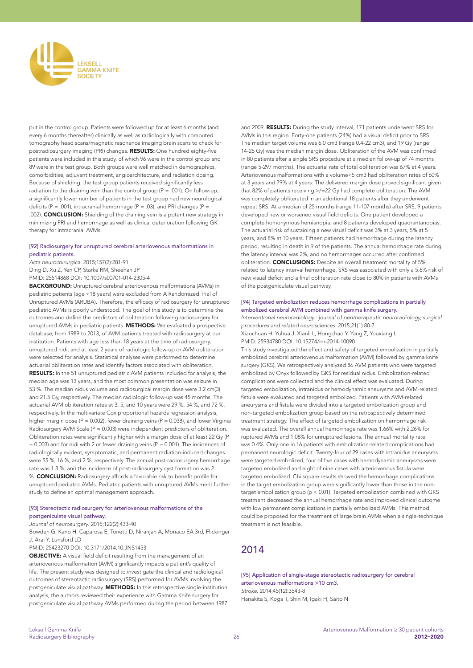

put in the control group. Patients were followed up for at least 6 months (and every 6 months thereafter) clinically as well as radiologically with computed tomography head scans/magnetic resonance imaging brain scans to check for postradiosurgery imaging (PRI) changes. RESULTS: One hundred eighty-five patients were included in this study, of which 96 were in the control group and 89 were in the test group. Both groups were well matched in demographics, comorbidities, adjuvant treatment, angioarchitecture, and radiation dosing. Because of shielding, the test group patients received significantly less radiation to the draining vein than the control group ( $P = .001$ ). On follow-up, a significantly lower number of patients in the test group had new neurological deficits (P = .001), intracranial hemorrhage (P = .03), and PRI changes (P = .002). **CONCLUSION:** Shielding of the draining vein is a potent new strategy in minimizing PRI and hemorrhage as well as clinical deterioration following GK therapy for intracranial AVMs.

#### [92] Radiosurgery for unruptured cerebral arteriovenous malformations in pediatric patients.

*Acta neurochirurgica*. 2015;157(2):281-91 Ding D, Xu Z, Yen CP, Starke RM, Sheehan JP PMID: 25514868 DOI: 10.1007/s00701-014-2305-4

BACKGROUND: Unruptured cerebral arteriovenous malformations (AVMs) in pediatric patients (age <18 years) were excluded from A Randomized Trial of Unruptured AVMs (ARUBA). Therefore, the efficacy of radiosurgery for unruptured pediatric AVMs is poorly understood. The goal of this study is to determine the outcomes and define the predictors of obliteration following radiosurgery for unruptured AVMs in pediatric patients. METHODS: We evaluated a prospective database, from 1989 to 2013, of AVM patients treated with radiosurgery at our institution. Patients with age less than 18 years at the time of radiosurgery, unruptured nidi, and at least 2 years of radiologic follow-up or AVM obliteration were selected for analysis. Statistical analyses were performed to determine actuarial obliteration rates and identify factors associated with obliteration. RESULTS: In the 51 unruptured pediatric AVM patients included for analysis, the median age was 13 years, and the most common presentation was seizure in 53 %. The median nidus volume and radiosurgical margin dose were 3.2 cm(3) and 21.5 Gy, respectively. The median radiologic follow-up was 45 months. The actuarial AVM obliteration rates at 3, 5, and 10 years were 29 %, 54 %, and 72 %, respectively. In the multivariate Cox proportional hazards regression analysis, higher margin dose ( $P = 0.002$ ), fewer draining veins ( $P = 0.038$ ), and lower Virginia Radiosurgery AVM Scale (P = 0.003) were independent predictors of obliteration. Obliteration rates were significantly higher with a margin dose of at least 22 Gy (P  $= 0.003$ ) and for nidi with 2 or fewer draining veins (P  $= 0.001$ ). The incidences of radiologically evident, symptomatic, and permanent radiation-induced changes were 55 %, 16 %, and 2 %, respectively. The annual post-radiosurgery hemorrhage rate was 1.3 %, and the incidence of post-radiosurgery cyst formation was 2 %. CONCLUSION: Radiosurgery affords a favorable risk to benefit profile for unruptured pediatric AVMs. Pediatric patients with unruptured AVMs merit further study to define an optimal management approach.

#### [93] Stereotactic radiosurgery for arteriovenous malformations of the postgeniculate visual pathway.

*Journal of neurosurgery*. 2015;122(2):433-40

Bowden G, Kano H, Caparosa E, Tonetti D, Niranjan A, Monaco EA 3rd, Flickinger J, Arai Y, Lunsford LD

# PMID: 25423270 DOI: 10.3171/2014.10.JNS1453

OBJECTIVE: A visual field deficit resulting from the management of an arteriovenous malformation (AVM) significantly impacts a patient's quality of life. The present study was designed to investigate the clinical and radiological outcomes of stereotactic radiosurgery (SRS) performed for AVMs involving the postgeniculate visual pathway. METHODS: In this retrospective single-institution analysis, the authors reviewed their experience with Gamma Knife surgery for postgeniculate visual pathway AVMs performed during the period between 1987

and 2009. RESULTS: During the study interval, 171 patients underwent SRS for AVMs in this region. Forty-one patients (24%) had a visual deficit prior to SRS. The median target volume was 6.0 cm3 (range 0.4-22 cm3), and 19 Gy (range 14-25 Gy) was the median margin dose. Obliteration of the AVM was confirmed in 80 patients after a single SRS procedure at a median follow-up of 74 months (range 5-297 months). The actuarial rate of total obliteration was 67% at 4 years. Arteriovenous malformations with a volume<5 cm3 had obliteration rates of 60% at 3 years and 79% at 4 years. The delivered margin dose proved significant given that 82% of patients receiving >/=22 Gy had complete obliteration. The AVM was completely obliterated in an additional 18 patients after they underwent repeat SRS. At a median of 25 months (range 11-107 months) after SRS, 9 patients developed new or worsened visual field deficits. One patient developed a complete homonymous hemianopia, and 8 patients developed quadrantanopias. The actuarial risk of sustaining a new visual deficit was 3% at 3 years, 5% at 5 years, and 8% at 10 years. Fifteen patients had hemorrhage during the latency period, resulting in death in 9 of the patients. The annual hemorrhage rate during the latency interval was 2%, and no hemorrhages occurred after confirmed obliteration. CONCLUSIONS: Despite an overall treatment mortality of 5%, related to latency interval hemorrhage, SRS was associated with only a 5.6% risk of new visual deficit and a final obliteration rate close to 80% in patients with AVMs of the postgeniculate visual pathway.

#### [94] Targeted embolization reduces hemorrhage complications in partially embolized cerebral AVM combined with gamma knife surgery.

*Interventional neuroradiology : journal of peritherapeutic neuroradiology, surgical procedures and related neurosciences*. 2015;21(1):80-7 Xiaochuan H, Yuhua J, Xianli L, Hongchao Y, Yang Z, Youxiang L PMID: 25934780 DOI: 10.15274/inr-2014-10090

This study investigated the effect and safety of targeted embolization in partially embolized cerebral arteriovenous malformation (AVM) followed by gamma knife surgery (GKS). We retrospectively analyzed 86 AVM patients who were targeted embolized by Onyx followed by GKS for residual nidus. Embolization-related complications were collected and the clinical effect was evaluated. During targeted embolization, intranidus or hemodynamic aneurysms and AVM-related fistula were evaluated and targeted embolized. Patients with AVM-related aneurysms and fistula were divided into a targeted embolization group and non-targeted embolization group based on the retrospectively determined treatment strategy. The effect of targeted embolization on hemorrhage risk was evaluated. The overall annual hemorrhage rate was 1.66% with 2.26% for ruptured AVMs and 1.08% for unruptured lesions. The annual mortality rate was 0.4%. Only one in 16 patients with embolization-related complications had permanent neurologic deficit. Twenty-four of 29 cases with intranidus aneurysms were targeted embolized, four of five cases with hemodynamic aneurysms were targeted embolized and eight of nine cases with arteriovenous fistula were targeted embolized. Chi square results showed the hemorrhage complications in the target embolization group were significantly lower than those in the nontarget embolization group (p < 0.01). Targeted embolization combined with GKS treatment decreased the annual hemorrhage rate and improved clinical outcome with low permanent complications in partially embolized AVMs. This method could be proposed for the treatment of large brain AVMs when a single-technique treatment is not feasible.

# 2014

[95] Application of single-stage stereotactic radiosurgery for cerebral arteriovenous malformations >10 cm3. *Stroke*. 2014;45(12):3543-8 Hanakita S, Koga T, Shin M, Igaki H, Saito N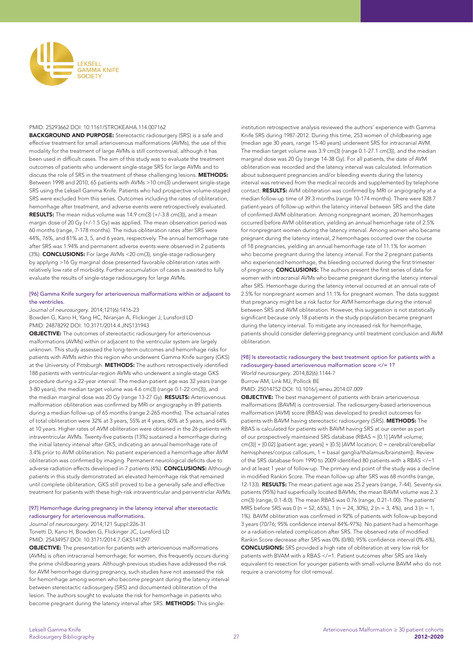

#### PMID: 25293662 DOI: 10.1161/STROKEAHA.114.007162

BACKGROUND AND PURPOSE: Stereotactic radiosurgery (SRS) is a safe and effective treatment for small arteriovenous malformations (AVMs), the use of this modality for the treatment of large AVMs is still controversial, although it has been used in difficult cases. The aim of this study was to evaluate the treatment outcomes of patients who underwent single-stage SRS for large AVMs and to discuss the role of SRS in the treatment of these challenging lesions. METHODS: Between 1998 and 2010, 65 patients with AVMs >10 cm(3) underwent single-stage SRS using the Leksell Gamma Knife. Patients who had prospective volume-staged SRS were excluded from this series. Outcomes including the rates of obliteration, hemorrhage after treatment, and adverse events were retrospectively evaluated. RESULTS: The mean nidus volume was 14.9 cm(3) (+/-3.8 cm(3)), and a mean margin dose of 20 Gy (+/-1.5 Gy) was applied. The mean observation period was 60 months (range, 7-178 months). The nidus obliteration rates after SRS were 44%, 76%, and 81% at 3, 5, and 6 years, respectively. The annual hemorrhage rate after SRS was 1.94% and permanent adverse events were observed in 2 patients (3%). CONCLUSIONS: For large AVMs <20 cm(3), single-stage radiosurgery by applying >16 Gy marginal dose presented favorable obliteration rates with relatively low rate of morbidity. Further accumulation of cases is awaited to fully evaluate the results of single-stage radiosurgery for large AVMs.

#### [96] Gamma Knife surgery for arteriovenous malformations within or adjacent to the ventricles.

*Journal of neurosurgery*. 2014;121(6):1416-23 Bowden G, Kano H, Yang HC, Niranjan A, Flickinger J, Lunsford LD PMID: 24878292 DOI: 10.3171/2014.4.JNS131943

OBJECTIVE: The outcomes of stereotactic radiosurgery for arteriovenous malformations (AVMs) within or adjacent to the ventricular system are largely unknown. This study assessed the long-term outcomes and hemorrhage risks for patients with AVMs within this region who underwent Gamma Knife surgery (GKS) at the University of Pittsburgh. METHODS: The authors retrospectively identified 188 patients with ventricular-region AVMs who underwent a single-stage GKS procedure during a 22-year interval. The median patient age was 32 years (range 3-80 years), the median target volume was 4.6 cm(3) (range 0.1-22 cm(3)), and the median marginal dose was 20 Gy (range 13-27 Gy). RESULTS: Arteriovenous malformation obliteration was confirmed by MRI or angiography in 89 patients during a median follow-up of 65 months (range 2-265 months). The actuarial rates of total obliteration were 32% at 3 years, 55% at 4 years, 60% at 5 years, and 64% at 10 years. Higher rates of AVM obliteration were obtained in the 26 patients with intraventricular AVMs. Twenty-five patients (13%) sustained a hemorrhage during the initial latency interval after GKS, indicating an annual hemorrhage rate of 3.4% prior to AVM obliteration. No patient experienced a hemorrhage after AVM obliteration was confirmed by imaging. Permanent neurological deficits due to adverse radiation effects developed in 7 patients (4%). **CONCLUSIONS:** Although patients in this study demonstrated an elevated hemorrhage risk that remained until complete obliteration, GKS still proved to be a generally safe and effective treatment for patients with these high-risk intraventricular and periventriclar AVMs.

# [97] Hemorrhage during pregnancy in the latency interval after stereotactic radiosurgery for arteriovenous malformations.

*Journal of neurosurgery*. 2014;121 Suppl:226-31 Tonetti D, Kano H, Bowden G, Flickinger JC, Lunsford LD PMID: 25434957 DOI: 10.3171/2014.7.GKS141297

OBJECTIVE: The presentation for patients with arteriovenous malformations (AVMs) is often intracranial hemorrhage; for women, this frequently occurs during the prime childbearing years. Although previous studies have addressed the risk for AVM hemorrhage during pregnancy, such studies have not assessed the risk for hemorrhage among women who become pregnant during the latency interval between stereotactic radiosurgery (SRS) and documented obliteration of the lesion. The authors sought to evaluate the risk for hemorrhage in patients who become pregnant during the latency interval after SRS. METHODS: This singleinstitution retrospective analysis reviewed the authors' experience with Gamma Knife SRS during 1987-2012. During this time, 253 women of childbearing age (median age 30 years, range 15-40 years) underwent SRS for intracranial AVM. The median target volume was 3.9 cm(3) (range 0.1-27.1 cm(3)), and the median marginal dose was 20 Gy (range 14-38 Gy). For all patients, the date of AVM obliteration was recorded and the latency interval was calculated. Information about subsequent pregnancies and/or bleeding events during the latency interval was retrieved from the medical records and supplemented by telephone contact. RESULTS: AVM obliteration was confirmed by MRI or angiography at a median follow-up time of 39.3 months (range 10-174 months). There were 828.7 patient-years of follow-up within the latency interval between SRS and the date of confirmed AVM obliteration. Among nonpregnant women, 20 hemorrhages occurred before AVM obliteration, yielding an annual hemorrhage rate of 2.5% for nonpregnant women during the latency interval. Among women who became pregnant during the latency interval, 2 hemorrhages occurred over the course of 18 pregnancies, yielding an annual hemorrhage rate of 11.1% for women who become pregnant during the latency interval. For the 2 pregnant patients who experienced hemorrhage, the bleeding occurred during the first trimester of pregnancy. **CONCLUSIONS:** The authors present the first series of data for women with intracranial AVMs who became pregnant during the latency interval after SRS. Hemorrhage during the latency interval occurred at an annual rate of 2.5% for nonpregnant women and 11.1% for pregnant women. The data suggest that pregnancy might be a risk factor for AVM hemorrhage during the interval between SRS and AVM obliteration. However, this suggestion is not statistically significant because only 18 patients in the study population became pregnant during the latency interval. To mitigate any increased risk for hemorrhage, patients should consider deferring pregnancy until treatment conclusion and AVM obliteration.

#### [98] Is stereotactic radiosurgery the best treatment option for patients with a radiosurgery-based arteriovenous malformation score </= 1?

*World neurosurgery*. 2014;82(6):1144-7 Burrow AM, Link MJ, Pollock BE PMID: 25014752 DOI: 10.1016/j.wneu.2014.07.009

OBJECTIVE: The best management of patients with brain arteriovenous malformations (BAVM) is controversial. The radiosurgery-based arteriovenous malformation (AVM) score (RBAS) was developed to predict outcomes for patients with BAVM having stereotactic radiosurgery (SRS). METHODS: The RBAS is calculated for patients with BAVM having SRS at our center as part of our prospectively maintained SRS database (RBAS = [0.1] [AVM volume; cm(3)] + [0.02] [patient age; years] + [0.5] [AVM location; 0 = cerebral/cerebellar hemispheres/corpus callosum, 1 = basal ganglia/thalamus/brainstem]). Review of the SRS database from 1990 to 2009 identified 80 patients with a RBAS </=1 and at least 1 year of follow-up. The primary end point of the study was a decline in modified Rankin Score. The mean follow-up after SRS was 68 months (range, 12-133). RESULTS: The mean patient age was 25.2 years (range, 7-44). Seventy-six patients (95%) had superficially located BAVMs; the mean BAVM volume was 2.3 cm(3) (range, 0.1-8.0). The mean RBAS was 0.76 (range, 0.21-1.00). The patients' MRS before SRS was 0 (n = 52, 65%), 1 (n = 24, 30%), 2 (n = 3, 4%), and 3 (n = 1, 1%). BAVM obliteration was confirmed in 92% of patients with follow-up beyond 3 years (70/76; 95% confidence interval 84%-97%). No patient had a hemorrhage or a radiation-related complication after SRS. The observed rate of modified Rankin Score decrease after SRS was 0% (0/80; 95% confidence interval 0%-6%). CONCLUSIONS: SRS provided a high rate of obliteration at very low risk for patients with BVAM with a RBAS </=1. Patient outcomes after SRS are likely equivalent to resection for younger patients with small-volume BAVM who do not require a craniotomy for clot removal.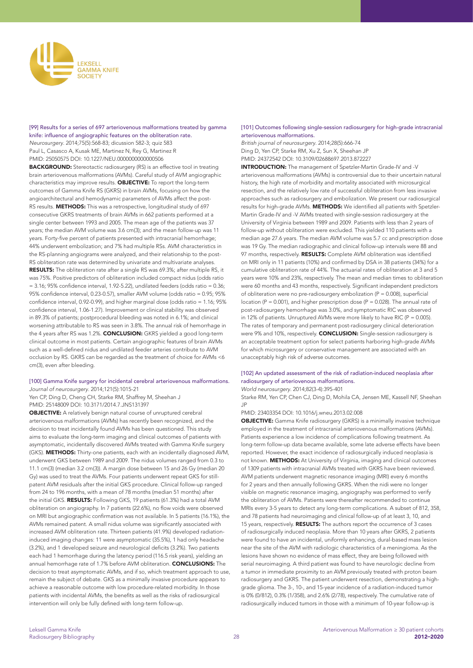

[99] Results for a series of 697 arteriovenous malformations treated by gamma knife: influence of angiographic features on the obliteration rate. *Neurosurgery*. 2014;75(5):568-83; dicussion 582-3; quiz 583 Paul L, Casasco A, Kusak ME, Martinez N, Rey G, Martinez R PMID: 25050575 DOI: 10.1227/NEU.0000000000000506 **BACKGROUND:** Stereotactic radiosurgery (RS) is an effective tool in treating brain arteriovenous malformations (AVMs). Careful study of AVM angiographic characteristics may improve results. OBJECTIVE: To report the long-term outcomes of Gamma Knife RS (GKRS) in brain AVMs, focusing on how the angioarchitectural and hemodynamic parameters of AVMs affect the post-RS results. METHODS: This was a retrospective, longitudinal study of 697 consecutive GKRS treatments of brain AVMs in 662 patients performed at a single center between 1993 and 2005. The mean age of the patients was 37 years; the median AVM volume was 3.6 cm(3); and the mean follow-up was 11 years. Forty-five percent of patients presented with intracranial hemorrhage; 44% underwent embolization; and 7% had multiple RSs. AVM characteristics in the RS-planning angiograms were analyzed, and their relationship to the post-RS obliteration rate was determined by univariate and multivariate analyses. RESULTS: The obliteration rate after a single RS was 69.3%; after multiple RS, it was 75%. Positive predictors of obliteration included compact nidus (odds ratio  $= 3.16$ ; 95% confidence interval, 1.92-5.22), undilated feeders (odds ratio = 0.36; 95% confidence interval, 0.23-0.57), smaller AVM volume (odds ratio = 0.95; 95% confidence interval, 0.92-0.99), and higher marginal dose (odds ratio = 1.16; 95% confidence interval, 1.06-1.27). Improvement or clinical stability was observed in 89.3% of patients; postprocedural bleeding was noted in 6.1%; and clinical worsening attributable to RS was seen in 3.8%. The annual risk of hemorrhage in the 4 years after RS was 1.2%. **CONCLUSION:** GKRS yielded a good long-term clinical outcome in most patients. Certain angiographic features of brain AVMs such as a well-defined nidus and undilated feeder arteries contribute to AVM occlusion by RS. GKRS can be regarded as the treatment of choice for AVMs <6 cm(3), even after bleeding.

#### [100] Gamma Knife surgery for incidental cerebral arteriovenous malformations. *Journal of neurosurgery*. 2014;121(5):1015-21

Yen CP, Ding D, Cheng CH, Starke RM, Shaffrey M, Sheehan J PMID: 25148009 DOI: 10.3171/2014.7.JNS131397

OBJECTIVE: A relatively benign natural course of unruptured cerebral arteriovenous malformations (AVMs) has recently been recognized, and the decision to treat incidentally found AVMs has been questioned. This study aims to evaluate the long-term imaging and clinical outcomes of patients with asymptomatic, incidentally discovered AVMs treated with Gamma Knife surgery (GKS). METHODS: Thirty-one patients, each with an incidentally diagnosed AVM, underwent GKS between 1989 and 2009. The nidus volumes ranged from 0.3 to 11.1 cm(3) (median 3.2 cm(3)). A margin dose between 15 and 26 Gy (median 20 Gy) was used to treat the AVMs. Four patients underwent repeat GKS for stillpatent AVM residuals after the initial GKS procedure. Clinical follow-up ranged from 24 to 196 months, with a mean of 78 months (median 51 months) after the initial GKS. RESULTS: Following GKS, 19 patients (61.3%) had a total AVM obliteration on angiography. In 7 patients (22.6%), no flow voids were observed on MRI but angiographic confirmation was not available. In 5 patients (16.1%), the AVMs remained patent. A small nidus volume was significantly associated with increased AVM obliteration rate. Thirteen patients (41.9%) developed radiationinduced imaging changes: 11 were asymptomatic (35.5%), 1 had only headache (3.2%), and 1 developed seizure and neurological deficits (3.2%). Two patients each had 1 hemorrhage during the latency period (116.5 risk years), yielding an annual hemorrhage rate of 1.7% before AVM obliteration. CONCLUSIONS: The decision to treat asymptomatic AVMs, and if so, which treatment approach to use, remain the subject of debate. GKS as a minimally invasive procedure appears to achieve a reasonable outcome with low procedure-related morbidity. In those patients with incidental AVMs, the benefits as well as the risks of radiosurgical intervention will only be fully defined with long-term follow-up.

#### [101] Outcomes following single-session radiosurgery for high-grade intracranial arteriovenous malformations.

*British journal of neurosurgery*. 2014;28(5):666-74 Ding D, Yen CP, Starke RM, Xu Z, Sun X, Sheehan JP PMID: 24372542 DOI: 10.3109/02688697.2013.872227

INTRODUCTION: The management of Spetzler-Martin Grade-IV and -V arteriovenous malformations (AVMs) is controversial due to their uncertain natural history, the high rate of morbidity and mortality associated with microsurgical resection, and the relatively low rate of successful obliteration from less invasive approaches such as radiosurgery and embolization. We present our radiosurgical results for high-grade AVMs. METHODS: We identified all patients with Spetzler-Martin Grade-IV and -V AVMs treated with single-session radiosurgery at the University of Virginia between 1989 and 2009. Patients with less than 2 years of follow-up without obliteration were excluded. This yielded 110 patients with a median age 27.6 years. The median AVM volume was 5.7 cc and prescription dose was 19 Gy. The median radiographic and clinical follow-up intervals were 88 and 97 months, respectively. RESULTS: Complete AVM obliteration was identified on MRI only in 11 patients (10%) and confirmed by DSA in 38 patients (34%) for a cumulative obliteration rate of 44%. The actuarial rates of obliteration at 3 and 5 years were 10% and 23%, respectively. The mean and median times to obliteration were 60 months and 43 months, respectively. Significant independent predictors of obliteration were no pre-radiosurgery embolization ( $P = 0.008$ ), superficial location ( $P = 0.001$ ), and higher prescription dose ( $P = 0.028$ ). The annual rate of post-radiosurgery hemorrhage was 3.0%, and symptomatic RIC was observed in 12% of patients. Unruptured AVMs were more likely to have RIC ( $P = 0.005$ ). The rates of temporary and permanent post-radiosurgery clinical deterioration were 9% and 10%, respectively. **CONCLUSION:** Single-session radiosurgery is an acceptable treatment option for select patients harboring high-grade AVMs for which microsurgery or conservative management are associated with an unacceptably high risk of adverse outcomes.

# [102] An updated assessment of the risk of radiation-induced neoplasia after radiosurgery of arteriovenous malformations.

*World neurosurgery*. 2014;82(3-4):395-401 Starke RM, Yen CP, Chen CJ, Ding D, Mohila CA, Jensen ME, Kassell NF, Sheehan JP

PMID: 23403354 DOI: 10.1016/j.wneu.2013.02.008

OBJECTIVE: Gamma Knife radiosurgery (GKRS) is a minimally invasive technique employed in the treatment of intracranial arteriovenous malformations (AVMs). Patients experience a low incidence of complications following treatment. As long-term follow-up data became available, some late adverse effects have been reported. However, the exact incidence of radiosurgically induced neoplasia is not known. METHODS: At University of Virginia, imaging and clinical outcomes of 1309 patients with intracranial AVMs treated with GKRS have been reviewed. AVM patients underwent magnetic resonance imaging (MRI) every 6 months for 2 years and then annually following GKRS. When the nidi were no longer visible on magnetic resonance imaging, angiography was performed to verify the obliteration of AVMs. Patients were thereafter recommended to continue MRIs every 3-5 years to detect any long-term complications. A subset of 812, 358, and 78 patients had neuroimaging and clinical follow-up of at least 3, 10, and 15 years, respectively. RESULTS: The authors report the occurrence of 3 cases of radiosurgically induced neoplasia. More than 10 years after GKRS, 2 patients were found to have an incidental, uniformly enhancing, dural-based mass lesion near the site of the AVM with radiologic characteristics of a meningioma. As the lesions have shown no evidence of mass effect, they are being followed with serial neuroimaging. A third patient was found to have neurologic decline from a tumor in immediate proximity to an AVM previously treated with proton beam radiosurgery and GKRS. The patient underwent resection, demonstrating a highgrade glioma. The 3-, 10-, and 15-year incidence of a radiation-induced tumor is 0% (0/812), 0.3% (1/358), and 2.6% (2/78), respectively. The cumulative rate of radiosurgically induced tumors in those with a minimum of 10-year follow-up is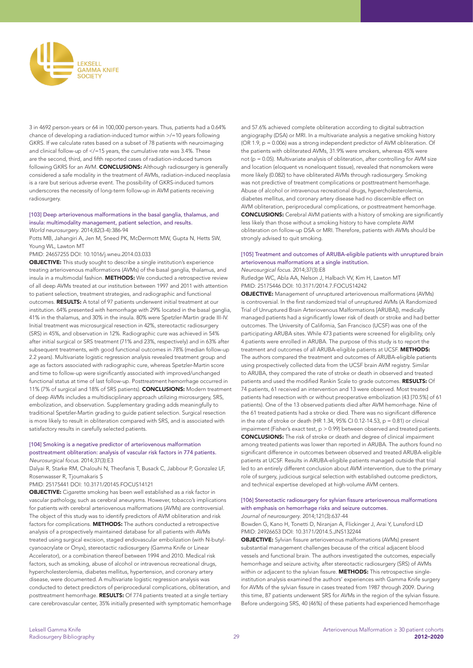

3 in 4692 person-years or 64 in 100,000 person-years. Thus, patients had a 0.64% chance of developing a radiation-induced tumor within >/=10 years following GKRS. If we calculate rates based on a subset of 78 patients with neuroimaging and clinical follow-up of  $\lt$ /=15 years, the cumulative rate was 3.4%. These are the second, third, and fifth reported cases of radiation-induced tumors following GKRS for an AVM. CONCLUSIONS: Although radiosurgery is generally considered a safe modality in the treatment of AVMs, radiation-induced neoplasia is a rare but serious adverse event. The possibility of GKRS-induced tumors underscores the necessity of long-term follow-up in AVM patients receiving radiosurgery.

# [103] Deep arteriovenous malformations in the basal ganglia, thalamus, and insula: multimodality management, patient selection, and results.

*World neurosurgery*. 2014;82(3-4):386-94

Potts MB, Jahangiri A, Jen M, Sneed PK, McDermott MW, Gupta N, Hetts SW, Young WL, Lawton MT

#### PMID: 24657255 DOI: 10.1016/j.wneu.2014.03.033

OBJECTIVE: This study sought to describe a single institution's experience treating arteriovenous malformations (AVMs) of the basal ganglia, thalamus, and insula in a multimodal fashion. METHODS: We conducted a retrospective review of all deep AVMs treated at our institution between 1997 and 2011 with attention to patient selection, treatment strategies, and radiographic and functional outcomes. RESULTS: A total of 97 patients underwent initial treatment at our institution. 64% presented with hemorrhage with 29% located in the basal ganglia, 41% in the thalamus, and 30% in the insula. 80% were Spetzler-Martin grade III-IV. Initial treatment was microsurgical resection in 42%, stereotactic radiosurgery (SRS) in 45%, and observation in 12%. Radiographic cure was achieved in 54% after initial surgical or SRS treatment (71% and 23%, respectively) and in 63% after subsequent treatments, with good functional outcomes in 78% (median follow-up 2.2 years). Multivariate logistic regression analysis revealed treatment group and age as factors associated with radiographic cure, whereas Spetzler-Martin score and time to follow-up were significantly associated with improved/unchanged functional status at time of last follow-up. Posttreatment hemorrhage occurred in 11% (7% of surgical and 18% of SRS patients). CONCLUSIONS: Modern treatment of deep AVMs includes a multidisciplinary approach utilizing microsurgery, SRS, embolization, and observation. Supplementary grading adds meaningfully to traditional Spetzler-Martin grading to guide patient selection. Surgical resection is more likely to result in obliteration compared with SRS, and is associated with satisfactory results in carefully selected patients.

#### [104] Smoking is a negative predictor of arteriovenous malformation posttreatment obliteration: analysis of vascular risk factors in 774 patients. *Neurosurgical focus*. 2014;37(3):E3

Dalyai R, Starke RM, Chalouhi N, Theofanis T, Busack C, Jabbour P, Gonzalez LF, Rosenwasser R, Tjoumakaris S

#### PMID: 25175441 DOI: 10.3171/20145.FOCUS14121

OBJECTIVE: Cigarette smoking has been well established as a risk factor in vascular pathology, such as cerebral aneurysms. However, tobacco's implications for patients with cerebral arteriovenous malformations (AVMs) are controversial. The object of this study was to identify predictors of AVM obliteration and risk factors for complications. **METHODS:** The authors conducted a retrospective analysis of a prospectively maintained database for all patients with AVMs treated using surgical excision, staged endovascular embolization (with N-butylcyanoacrylate or Onyx), stereotactic radiosurgery (Gamma Knife or Linear Accelerator), or a combination thereof between 1994 and 2010. Medical risk factors, such as smoking, abuse of alcohol or intravenous recreational drugs, hypercholesterolemia, diabetes mellitus, hypertension, and coronary artery disease, were documented. A multivariate logistic regression analysis was conducted to detect predictors of periprocedural complications, obliteration, and posttreatment hemorrhage. RESULTS: Of 774 patients treated at a single tertiary care cerebrovascular center, 35% initially presented with symptomatic hemorrhage and 57.6% achieved complete obliteration according to digital subtraction angiography (DSA) or MRI. In a multivariate analysis a negative smoking history (OR 1.9, p = 0.006) was a strong independent predictor of AVM obliteration. Of the patients with obliterated AVMs, 31.9% were smokers, whereas 45% were not ( $p = 0.05$ ). Multivariate analysis of obliteration, after controlling for AVM size and location (eloquent vs noneloquent tissue), revealed that nonsmokers were more likely (0.082) to have obliterated AVMs through radiosurgery. Smoking was not predictive of treatment complications or posttreatment hemorrhage. Abuse of alcohol or intravenous recreational drugs, hypercholesterolemia, diabetes mellitus, and coronary artery disease had no discernible effect on AVM obliteration, periprocedural complications, or posttreatment hemorrhage. CONCLUSIONS: Cerebral AVM patients with a history of smoking are significantly less likely than those without a smoking history to have complete AVM obliteration on follow-up DSA or MRI. Therefore, patients with AVMs should be strongly advised to quit smoking.

#### [105] Treatment and outcomes of ARUBA-eligible patients with unruptured brain arteriovenous malformations at a single institution. *Neurosurgical focus*. 2014;37(3):E8

Rutledge WC, Abla AA, Nelson J, Halbach VV, Kim H, Lawton MT

PMID: 25175446 DOI: 10.3171/2014.7.FOCUS14242 OBJECTIVE: Management of unruptured arteriovenous malformations (AVMs)

is controversial. In the first randomized trial of unruptured AVMs (A Randomized Trial of Unruptured Brain Arteriovenous Malformations [ARUBA]), medically managed patients had a significantly lower risk of death or stroke and had better outcomes. The University of California, San Francisco (UCSF) was one of the participating ARUBA sites. While 473 patients were screened for eligibility, only 4 patients were enrolled in ARUBA. The purpose of this study is to report the treatment and outcomes of all ARUBA-eligible patients at UCSF. METHODS: The authors compared the treatment and outcomes of ARUBA-eligible patients using prospectively collected data from the UCSF brain AVM registry. Similar to ARUBA, they compared the rate of stroke or death in observed and treated patients and used the modified Rankin Scale to grade outcomes. RESULTS: Of 74 patients, 61 received an intervention and 13 were observed. Most treated patients had resection with or without preoperative embolization (43 [70.5%] of 61 patients). One of the 13 observed patients died after AVM hemorrhage. Nine of the 61 treated patients had a stroke or died. There was no significant difference in the rate of stroke or death (HR 1.34, 95% CI 0.12-14.53,  $p = 0.81$ ) or clinical impairment (Fisher's exact test, p > 0.99) between observed and treated patients. CONCLUSIONS: The risk of stroke or death and degree of clinical impairment among treated patients was lower than reported in ARUBA. The authors found no significant difference in outcomes between observed and treated ARUBA-eligible patients at UCSF. Results in ARUBA-eligible patients managed outside that trial led to an entirely different conclusion about AVM intervention, due to the primary role of surgery, judicious surgical selection with established outcome predictors, and technical expertise developed at high-volume AVM centers.

# [106] Stereotactic radiosurgery for sylvian fissure arteriovenous malformations with emphasis on hemorrhage risks and seizure outcomes.

*Journal of neurosurgery*. 2014;121(3):637-44

Bowden G, Kano H, Tonetti D, Niranjan A, Flickinger J, Arai Y, Lunsford LD PMID: 24926653 DOI: 10.3171/2014.5.JNS132244

OBJECTIVE: Sylvian fissure arteriovenous malformations (AVMs) present substantial management challenges because of the critical adjacent blood vessels and functional brain. The authors investigated the outcomes, especially hemorrhage and seizure activity, after stereotactic radiosurgery (SRS) of AVMs within or adjacent to the sylvian fissure. METHODS: This retrospective singleinstitution analysis examined the authors' experiences with Gamma Knife surgery for AVMs of the sylvian fissure in cases treated from 1987 through 2009. During this time, 87 patients underwent SRS for AVMs in the region of the sylvian fissure. Before undergoing SRS, 40 (46%) of these patients had experienced hemorrhage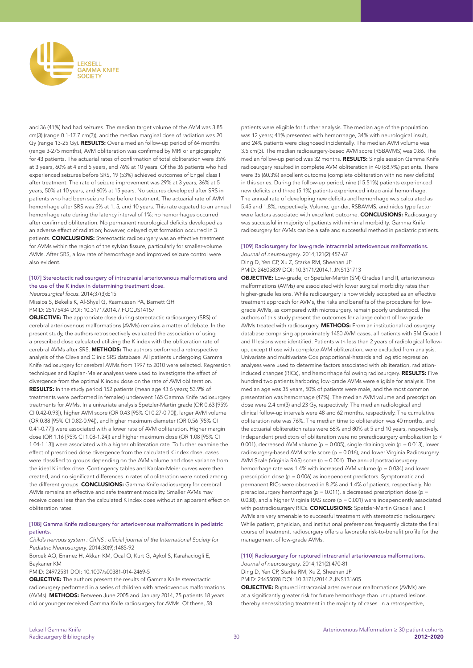

and 36 (41%) had had seizures. The median target volume of the AVM was 3.85 cm(3) (range 0.1-17.7 cm(3)), and the median marginal dose of radiation was 20 Gy (range 13-25 Gy). RESULTS: Over a median follow-up period of 64 months (range 3-275 months), AVM obliteration was confirmed by MRI or angiography for 43 patients. The actuarial rates of confirmation of total obliteration were 35% at 3 years, 60% at 4 and 5 years, and 76% at 10 years. Of the 36 patients who had experienced seizures before SRS, 19 (53%) achieved outcomes of Engel class I after treatment. The rate of seizure improvement was 29% at 3 years, 36% at 5 years, 50% at 10 years, and 60% at 15 years. No seizures developed after SRS in patients who had been seizure free before treatment. The actuarial rate of AVM hemorrhage after SRS was 5% at 1, 5, and 10 years. This rate equated to an annual hemorrhage rate during the latency interval of 1%; no hemorrhages occurred after confirmed obliteration. No permanent neurological deficits developed as an adverse effect of radiation; however, delayed cyst formation occurred in 3 patients. **CONCLUSIONS:** Stereotactic radiosurgery was an effective treatment for AVMs within the region of the sylvian fissure, particularly for smaller-volume AVMs. After SRS, a low rate of hemorrhage and improved seizure control were also evident.

# [107] Stereotactic radiosurgery of intracranial arteriovenous malformations and the use of the K index in determining treatment dose.

*Neurosurgical focus*. 2014;37(3):E15

Missios S, Bekelis K, Al-Shyal G, Rasmussen PA, Barnett GH PMID: 25175434 DOI: 10.3171/2014.7.FOCUS14157

OBJECTIVE: The appropriate dose during stereotactic radiosurgery (SRS) of cerebral arteriovenous malformations (AVMs) remains a matter of debate. In the present study, the authors retrospectively evaluated the association of using a prescribed dose calculated utilizing the K index with the obliteration rate of cerebral AVMs after SRS. METHODS: The authors performed a retrospective analysis of the Cleveland Clinic SRS database. All patients undergoing Gamma Knife radiosurgery for cerebral AVMs from 1997 to 2010 were selected. Regression techniques and Kaplan-Meier analyses were used to investigate the effect of divergence from the optimal K index dose on the rate of AVM obliteration. RESULTS: In the study period 152 patients (mean age 43.6 years; 53.9% of treatments were performed in females) underwent 165 Gamma Knife radiosurgery treatments for AVMs. In a univariate analysis Spetzler-Martin grade (OR 0.63 [95% CI 0.42-0.93]), higher AVM score (OR 0.43 [95% CI 0.27-0.70]), larger AVM volume (OR 0.88 [95% CI 0.82-0.94]), and higher maximum diameter (OR 0.56 [95% CI 0.41-0.77]) were associated with a lower rate of AVM obliteration. Higher margin dose (OR 1.16 [95% CI 1.08-1.24]) and higher maximum dose (OR 1.08 [95% CI 1.04-1.13]) were associated with a higher obliteration rate. To further examine the effect of prescribed dose divergence from the calculated K index dose, cases were classified to groups depending on the AVM volume and dose variance from the ideal K index dose. Contingency tables and Kaplan-Meier curves were then created, and no significant differences in rates of obliteration were noted among the different groups. CONCLUSIONS: Gamma Knife radiosurgery for cerebral AVMs remains an effective and safe treatment modality. Smaller AVMs may receive doses less than the calculated K index dose without an apparent effect on obliteration rates.

[108] Gamma Knife radiosurgery for arteriovenous malformations in pediatric patients.

Child's nervous system : ChNS : official journal of the International Society for *Pediatric Neurosurgery*. 2014;30(9):1485-92

Borcek AO, Emmez H, Akkan KM, Ocal O, Kurt G, Aykol S, Karahaciogli E, Baykaner KM

PMID: 24972531 DOI: 10.1007/s00381-014-2469-5

OBJECTIVE: The authors present the results of Gamma Knife stereotactic radiosurgery performed in a series of children with arteriovenous malformations (AVMs). METHODS: Between June 2005 and January 2014, 75 patients 18 years old or younger received Gamma Knife radiosurgery for AVMs. Of these, 58

patients were eligible for further analysis. The median age of the population was 12 years; 41% presented with hemorrhage, 34% with neurological insult, and 24% patients were diagnosed incidentally. The median AVM volume was 3.5 cm(3). The median radiosurgery-based AVM score (RSBAVMS) was 0.86. The median follow-up period was 32 months. RESULTS: Single session Gamma Knife radiosurgery resulted in complete AVM obliteration in 40 (68.9%) patients. There were 35 (60.3%) excellent outcome (complete obliteration with no new deficits) in this series. During the follow-up period, nine (15.51%) patients experienced new deficits and three (5.1%) patients experienced intracranial hemorrhage. The annual rate of developing new deficits and hemorrhage was calculated as 5.45 and 1.8%, respectively. Volume, gender, RSBAVMS, and nidus type factor were factors associated with excellent outcome. **CONCLUSIONS:** Radiosurgery was successful in majority of patients with minimal morbidity. Gamma Knife radiosurgery for AVMs can be a safe and successful method in pediatric patients.

#### [109] Radiosurgery for low-grade intracranial arteriovenous malformations.

*Journal of neurosurgery*. 2014;121(2):457-67 Ding D, Yen CP, Xu Z, Starke RM, Sheehan JP PMID: 24605839 DOI: 10.3171/2014.1.JNS131713

OBJECTIVE: Low-grade, or Spetzler-Martin (SM) Grades I and II, arteriovenous malformations (AVMs) are associated with lower surgical morbidity rates than higher-grade lesions. While radiosurgery is now widely accepted as an effective treatment approach for AVMs, the risks and benefits of the procedure for lowgrade AVMs, as compared with microsurgery, remain poorly understood. The authors of this study present the outcomes for a large cohort of low-grade AVMs treated with radiosurgery. METHODS: From an institutional radiosurgery database comprising approximately 1450 AVM cases, all patients with SM Grade I and II lesions were identified. Patients with less than 2 years of radiological followup, except those with complete AVM obliteration, were excluded from analysis. Univariate and multivariate Cox proportional-hazards and logistic regression analyses were used to determine factors associated with obliteration, radiationinduced changes (RICs), and hemorrhage following radiosurgery. RESULTS: Five hundred two patients harboring low-grade AVMs were eligible for analysis. The median age was 35 years, 50% of patients were male, and the most common presentation was hemorrhage (47%). The median AVM volume and prescription dose were 2.4 cm(3) and 23 Gy, respectively. The median radiological and clinical follow-up intervals were 48 and 62 months, respectively. The cumulative obliteration rate was 76%. The median time to obliteration was 40 months, and the actuarial obliteration rates were 66% and 80% at 5 and 10 years, respectively. Independent predictors of obliteration were no preradiosurgery embolization (p < 0.001), decreased AVM volume ( $p = 0.005$ ), single draining vein ( $p = 0.013$ ), lower radiosurgery-based AVM scale score ( $p = 0.016$ ), and lower Virginia Radiosurgery AVM Scale (Virginia RAS) score ( $p = 0.001$ ). The annual postradiosurgery hemorrhage rate was 1.4% with increased AVM volume (p = 0.034) and lower prescription dose (p = 0.006) as independent predictors. Symptomatic and permanent RICs were observed in 8.2% and 1.4% of patients, respectively. No preradiosurgery hemorrhage ( $p = 0.011$ ), a decreased prescription dose ( $p =$ 0.038), and a higher Virginia RAS score ( $p = 0.001$ ) were independently associated with postradiosurgery RICs. CONCLUSIONS: Spetzler-Martin Grade I and II AVMs are very amenable to successful treatment with stereotactic radiosurgery. While patient, physician, and institutional preferences frequently dictate the final course of treatment, radiosurgery offers a favorable risk-to-benefit profile for the management of low-grade AVMs.

#### [110] Radiosurgery for ruptured intracranial arteriovenous malformations. *Journal of neurosurgery*. 2014;121(2):470-81

Ding D, Yen CP, Starke RM, Xu Z, Sheehan JP PMID: 24655098 DOI: 10.3171/2014.2.JNS131605

OBJECTIVE: Ruptured intracranial arteriovenous malformations (AVMs) are at a significantly greater risk for future hemorrhage than unruptured lesions, thereby necessitating treatment in the majority of cases. In a retrospective,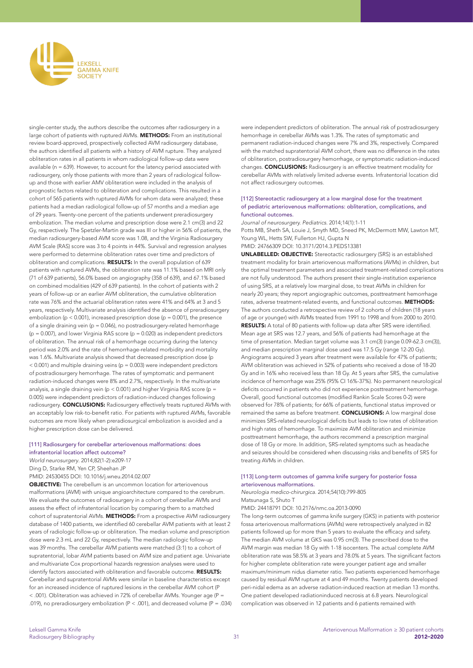

single-center study, the authors describe the outcomes after radiosurgery in a large cohort of patients with ruptured AVMs. METHODS: From an institutional review board-approved, prospectively collected AVM radiosurgery database, the authors identified all patients with a history of AVM rupture. They analyzed obliteration rates in all patients in whom radiological follow-up data were available (n = 639). However, to account for the latency period associated with radiosurgery, only those patients with more than 2 years of radiological followup and those with earlier AMV obliteration were included in the analysis of prognostic factors related to obliteration and complications. This resulted in a cohort of 565 patients with ruptured AVMs for whom data were analyzed; these patients had a median radiological follow-up of 57 months and a median age of 29 years. Twenty-one percent of the patients underwent preradiosurgery embolization. The median volume and prescription dose were 2.1 cm(3) and 22 Gy, respectively. The Spetzler-Martin grade was III or higher in 56% of patients, the median radiosurgery-based AVM score was 1.08, and the Virginia Radiosurgery AVM Scale (RAS) score was 3 to 4 points in 44%. Survival and regression analyses were performed to determine obliteration rates over time and predictors of obliteration and complications. RESULTS: In the overall population of 639 patients with ruptured AVMs, the obliteration rate was 11.1% based on MRI only (71 of 639 patients), 56.0% based on angiography (358 of 639), and 67.1% based on combined modalities (429 of 639 patients). In the cohort of patients with 2 years of follow-up or an earlier AVM obliteration, the cumulative obliteration rate was 76% and the actuarial obliteration rates were 41% and 64% at 3 and 5 years, respectively. Multivariate analysis identified the absence of preradiosurgery embolization ( $p < 0.001$ ), increased prescription dose ( $p = 0.001$ ), the presence of a single draining vein (p = 0.046), no postradiosurgery-related hemorrhage  $(p = 0.007)$ , and lower Virginia RAS score  $(p = 0.020)$  as independent predictors of obliteration. The annual risk of a hemorrhage occurring during the latency period was 2.0% and the rate of hemorrhage-related morbidity and mortality was 1.6%. Multivariate analysis showed that decreased prescription dose (p  $<$  0.001) and multiple draining veins (p = 0.003) were independent predictors of postradiosurgery hemorrhage. The rates of symptomatic and permanent radiation-induced changes were 8% and 2.7%, respectively. In the multivariate analysis, a single draining vein ( $p < 0.001$ ) and higher Virginia RAS score ( $p =$ 0.005) were independent predictors of radiation-induced changes following radiosurgery. **CONCLUSIONS:** Radiosurgery effectively treats ruptured AVMs with an acceptably low risk-to-benefit ratio. For patients with ruptured AVMs, favorable outcomes are more likely when preradiosurgical embolization is avoided and a higher prescription dose can be delivered.

#### [111] Radiosurgery for cerebellar arteriovenous malformations: does infratentorial location affect outcome?

*World neurosurgery*. 2014;82(1-2):e209-17 Ding D, Starke RM, Yen CP, Sheehan JP

PMID: 24530455 DOI: 10.1016/j.wneu.2014.02.007 OBJECTIVE: The cerebellum is an uncommon location for arteriovenous malformations (AVM) with unique angioarchitecture compared to the cerebrum. We evaluate the outcomes of radiosurgery in a cohort of cerebellar AVMs and assess the effect of infratentorial location by comparing them to a matched cohort of supratentorial AVMs. METHODS: From a prospective AVM radiosurgery database of 1400 patients, we identified 60 cerebellar AVM patients with at least 2 years of radiologic follow-up or obliteration. The median volume and prescription dose were 2.3 mL and 22 Gy, respectively. The median radiologic follow-up was 39 months. The cerebellar AVM patients were matched (3:1) to a cohort of supratentorial, lobar AVM patients based on AVM size and patient age. Univariate and multivariate Cox proportional hazards regression analyses were used to identify factors associated with obliteration and favorable outcome. RESULTS: Cerebellar and supratentorial AVMs were similar in baseline characteristics except for an increased incidence of ruptured lesions in the cerebellar AVM cohort (P < .001). Obliteration was achieved in 72% of cerebellar AVMs. Younger age (P = .019), no preradiosurgery embolization (P < .001), and decreased volume (P = .034) were independent predictors of obliteration. The annual risk of postradiosurgery hemorrhage in cerebellar AVMs was 1.3%. The rates of symptomatic and permanent radiation-induced changes were 7% and 3%, respectively. Compared with the matched supratentorial AVM cohort, there was no difference in the rates of obliteration, postradiosurgery hemorrhage, or symptomatic radiation-induced changes. **CONCLUSIONS:** Radiosurgery is an effective treatment modality for cerebellar AVMs with relatively limited adverse events. Infratentorial location did not affect radiosurgery outcomes.

#### [112] Stereotactic radiosurgery at a low marginal dose for the treatment of pediatric arteriovenous malformations: obliteration, complications, and functional outcomes.

*Journal of neurosurgery. Pediatrics*. 2014;14(1):1-11 Potts MB, Sheth SA, Louie J, Smyth MD, Sneed PK, McDermott MW, Lawton MT, Young WL, Hetts SW, Fullerton HJ, Gupta N PMID: 24766309 DOI: 10.3171/2014.3.PEDS13381

UNLABELLED: OBJECTIVE: Stereotactic radiosurgery (SRS) is an established treatment modality for brain arteriovenous malformations (AVMs) in children, but the optimal treatment parameters and associated treatment-related complications are not fully understood. The authors present their single-institution experience of using SRS, at a relatively low marginal dose, to treat AVMs in children for nearly 20 years; they report angiographic outcomes, posttreatment hemorrhage rates, adverse treatment-related events, and functional outcomes. METHODS: The authors conducted a retrospective review of 2 cohorts of children (18 years of age or younger) with AVMs treated from 1991 to 1998 and from 2000 to 2010. RESULTS: A total of 80 patients with follow-up data after SRS were identified. Mean age at SRS was 12.7 years, and 56% of patients had hemorrhage at the time of presentation. Median target volume was 3.1 cm(3) (range 0.09-62.3 cm(3)), and median prescription marginal dose used was 17.5 Gy (range 12-20 Gy). Angiograms acquired 3 years after treatment were available for 47% of patients; AVM obliteration was achieved in 52% of patients who received a dose of 18-20 Gy and in 16% who received less than 18 Gy. At 5 years after SRS, the cumulative incidence of hemorrhage was 25% (95% CI 16%-37%). No permanent neurological deficits occurred in patients who did not experience posttreatment hemorrhage. Overall, good functional outcomes (modified Rankin Scale Scores 0-2) were observed for 78% of patients; for 66% of patients, functional status improved or remained the same as before treatment. **CONCLUSIONS:** A low marginal dose minimizes SRS-related neurological deficits but leads to low rates of obliteration and high rates of hemorrhage. To maximize AVM obliteration and minimize posttreatment hemorrhage, the authors recommend a prescription marginal dose of 18 Gy or more. In addition, SRS-related symptoms such as headache and seizures should be considered when discussing risks and benefits of SRS for treating AVMs in children.

#### [113] Long-term outcomes of gamma knife surgery for posterior fossa arteriovenous malformations.

*Neurologia medico-chirurgica*. 2014;54(10):799-805 Matsunaga S, Shuto T

PMID: 24418791 DOI: 10.2176/nmc.oa.2013-0090

The long-term outcomes of gamma knife surgery (GKS) in patients with posterior fossa arteriovenous malformations (AVMs) were retrospectively analyzed in 82 patients followed up for more than 5 years to evaluate the efficacy and safety. The median AVM volume at GKS was 0.95 cm(3). The prescribed dose to the AVM margin was median 18 Gy with 1-18 isocenters. The actual complete AVM obliteration rate was 58.5% at 3 years and 78.0% at 5 years. The significant factors for higher complete obliteration rate were younger patient age and smaller maximum/minimum nidus diameter ratio. Two patients experienced hemorrhage caused by residual AVM rupture at 4 and 49 months. Twenty patients developed peri-nidal edema as an adverse radiation-induced reaction at median 13 months. One patient developed radiationinduced necrosis at 6.8 years. Neurological complication was observed in 12 patients and 6 patients remained with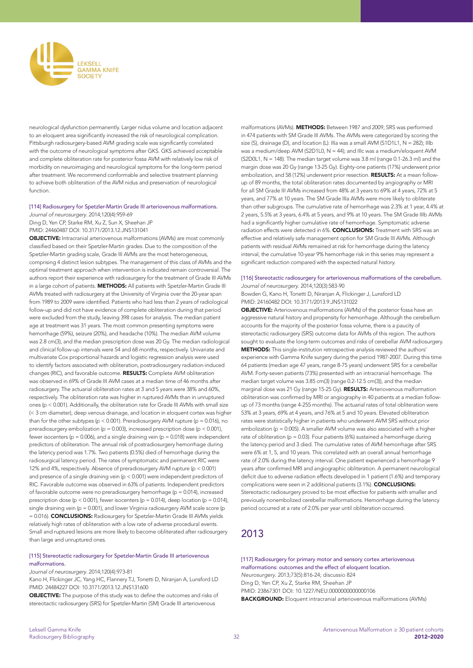

neurological dysfunction permanently. Larger nidus volume and location adjacent to an eloquent area significantly increased the risk of neurological complication. Pittsburgh radiosurgery-based AVM grading scale was significantly correlated with the outcome of neurological symptoms after GKS. GKS achieved acceptable and complete obliteration rate for posterior fossa AVM with relatively low risk of morbidity on neuroimaging and neurological symptoms for the long-term period after treatment. We recommend conformable and selective treatment planning to achieve both obliteration of the AVM nidus and preservation of neurological function.

# [114] Radiosurgery for Spetzler-Martin Grade III arteriovenous malformations.

*Journal of neurosurgery*. 2014;120(4):959-69

Ding D, Yen CP, Starke RM, Xu Z, Sun X, Sheehan JP

PMID: 24460487 DOI: 10.3171/2013.12.JNS131041

OBJECTIVE: Intracranial arteriovenous malformations (AVMs) are most commonly classified based on their Spetzler-Martin grades. Due to the composition of the Spetzler-Martin grading scale, Grade III AVMs are the most heterogeneous, comprising 4 distinct lesion subtypes. The management of this class of AVMs and the optimal treatment approach when intervention is indicated remain controversial. The authors report their experience with radiosurgery for the treatment of Grade III AVMs in a large cohort of patients. METHODS: All patients with Spetzler-Martin Grade III AVMs treated with radiosurgery at the University of Virginia over the 20-year span from 1989 to 2009 were identified. Patients who had less than 2 years of radiological follow-up and did not have evidence of complete obliteration during that period were excluded from the study, leaving 398 cases for analysis. The median patient age at treatment was 31 years. The most common presenting symptoms were hemorrhage (59%), seizure (20%), and headache (10%). The median AVM volume was 2.8 cm(3), and the median prescription dose was 20 Gy. The median radiological and clinical follow-up intervals were 54 and 68 months, respectively. Univariate and multivariate Cox proportional hazards and logistic regression analysis were used to identify factors associated with obliteration, postradiosurgery radiation-induced changes (RIC), and favorable outcome. RESULTS: Complete AVM obliteration was observed in 69% of Grade III AVM cases at a median time of 46 months after radiosurgery. The actuarial obliteration rates at 3 and 5 years were 38% and 60%, respectively. The obliteration rate was higher in ruptured AVMs than in unruptured ones (p < 0.001). Additionally, the obliteration rate for Grade III AVMs with small size (< 3 cm diameter), deep venous drainage, and location in eloquent cortex was higher than for the other subtypes (p < 0.001). Preradiosurgery AVM rupture (p = 0.016), no preradiosurgery embolization (p = 0.003), increased prescription dose (p < 0.001), fewer isocenters ( $p = 0.006$ ), and a single draining vein ( $p = 0.018$ ) were independent predictors of obliteration. The annual risk of postradiosurgery hemorrhage during the latency period was 1.7%. Two patients (0.5%) died of hemorrhage during the radiosurgical latency period. The rates of symptomatic and permanent RIC were 12% and 4%, respectively. Absence of preradiosurgery AVM rupture (p < 0.001) and presence of a single draining vein (p < 0.001) were independent predictors of RIC. Favorable outcome was observed in 63% of patients. Independent predictors of favorable outcome were no preradiosurgery hemorrhage ( $p = 0.014$ ), increased prescription dose (p < 0.001), fewer isocenters (p = 0.014), deep location (p = 0.014), single draining vein (p = 0.001), and lower Virginia radiosurgery AVM scale score (p = 0.016). CONCLUSIONS: Radiosurgery for Spetzler-Martin Grade III AVMs yields relatively high rates of obliteration with a low rate of adverse procedural events. Small and ruptured lesions are more likely to become obliterated after radiosurgery than large and unruptured ones.

# [115] Stereotactic radiosurgery for Spetzler-Martin Grade III arteriovenous malformations.

*Journal of neurosurgery*. 2014;120(4):973-81

Kano H, Flickinger JC, Yang HC, Flannery TJ, Tonetti D, Niranjan A, Lunsford LD PMID: 24484227 DOI: 10.3171/2013.12.JNS131600

OBJECTIVE: The purpose of this study was to define the outcomes and risks of stereotactic radiosurgery (SRS) for Spetzler-Martin (SM) Grade III arteriovenous

malformations (AVMs). METHODS: Between 1987 and 2009, SRS was performed in 474 patients with SM Grade III AVMs. The AVMs were categorized by scoring the size (S), drainage (D), and location (L): Illa was a small AVM (S1D1L1, N = 282): IIIb was a medium/deep AVM (S2D1L0, N = 44); and IIIc was a medium/eloquent AVM (S2D0L1, N = 148). The median target volume was 3.8 ml (range 0.1-26.3 ml) and the margin dose was 20 Gy (range 13-25 Gy). Eighty-one patients (17%) underwent prior embolization, and 58 (12%) underwent prior resection. RESULTS: At a mean followup of 89 months, the total obliteration rates documented by angiography or MRI for all SM Grade III AVMs increased from 48% at 3 years to 69% at 4 years, 72% at 5 years, and 77% at 10 years. The SM Grade IIIa AVMs were more likely to obliterate than other subgroups. The cumulative rate of hemorrhage was 2.3% at 1 year, 4.4% at 2 years, 5.5% at 3 years, 6.4% at 5 years, and 9% at 10 years. The SM Grade IIIb AVMs had a significantly higher cumulative rate of hemorrhage. Symptomatic adverse radiation effects were detected in 6%. **CONCLUSIONS:** Treatment with SRS was an effective and relatively safe management option for SM Grade III AVMs. Although patients with residual AVMs remained at risk for hemorrhage during the latency interval, the cumulative 10-year 9% hemorrhage risk in this series may represent a significant reduction compared with the expected natural history.

#### [116] Stereotactic radiosurgery for arteriovenous malformations of the cerebellum. *Journal of neurosurgery*. 2014;120(3):583-90

Bowden G, Kano H, Tonetti D, Niranjan A, Flickinger J, Lunsford LD PMID: 24160482 DOI: 10.3171/2013.9.JNS131022

OBJECTIVE: Arteriovenous malformations (AVMs) of the posterior fossa have an aggressive natural history and propensity for hemorrhage. Although the cerebellum accounts for the majority of the posterior fossa volume, there is a paucity of stereotactic radiosurgery (SRS) outcome data for AVMs of this region. The authors sought to evaluate the long-term outcomes and risks of cerebellar AVM radiosurgery. METHODS: This single-institution retrospective analysis reviewed the authors' experience with Gamma Knife surgery during the period 1987-2007. During this time 64 patients (median age 47 years, range 8-75 years) underwent SRS for a cerebellar AVM. Forty-seven patients (73%) presented with an intracranial hemorrhage. The median target volume was 3.85 cm(3) (range 0.2-12.5 cm(3)), and the median marginal dose was 21 Gy (range 15-25 Gy). RESULTS: Arteriovenous malformation obliteration was confirmed by MRI or angiography in 40 patients at a median followup of 73 months (range 4-255 months). The actuarial rates of total obliteration were 53% at 3 years, 69% at 4 years, and 76% at 5 and 10 years. Elevated obliteration rates were statistically higher in patients who underwent AVM SRS without prior embolization (p = 0.005). A smaller AVM volume was also associated with a higher rate of obliteration ( $p = 0.03$ ). Four patients (6%) sustained a hemorrhage during the latency period and 3 died. The cumulative rates of AVM hemorrhage after SRS were 6% at 1, 5, and 10 years. This correlated with an overall annual hemorrhage rate of 2.0% during the latency interval. One patient experienced a hemorrhage 9 years after confirmed MRI and angiographic obliteration. A permanent neurological deficit due to adverse radiation effects developed in 1 patient (1.6%) and temporary complications were seen in 2 additional patients (3.1%). CONCLUSIONS: Stereotactic radiosurgery proved to be most effective for patients with smaller and previously nonembolized cerebellar malformations. Hemorrhage during the latency period occurred at a rate of 2.0% per year until obliteration occurred.

# 2013

[117] Radiosurgery for primary motor and sensory cortex arteriovenous malformations: outcomes and the effect of eloquent location. *Neurosurgery*. 2013;73(5):816-24; discussio 824 Ding D, Yen CP, Xu Z, Starke RM, Sheehan JP PMID: 23867301 DOI: 10.1227/NEU.0000000000000106 BACKGROUND: Eloquent intracranial arteriovenous malformations (AVMs)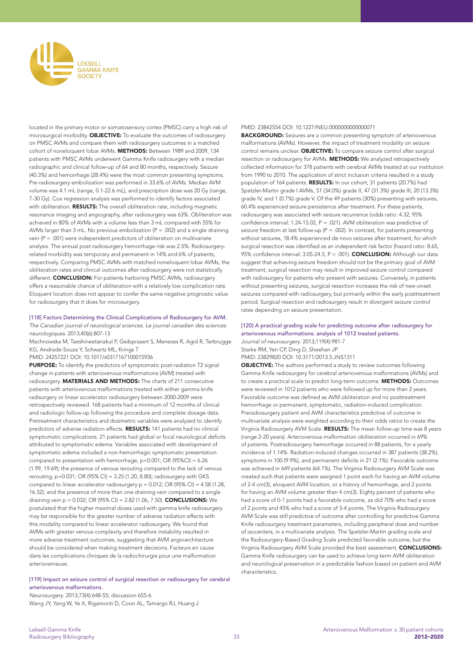

located in the primary motor or somatosensory cortex (PMSC) carry a high risk of microsurgical morbidity. **OBJECTIVE:** To evaluate the outcomes of radiosurgery on PMSC AVMs and compare them with radiosurgery outcomes in a matched cohort of noneloquent lobar AVMs. METHODS: Between 1989 and 2009, 134 patients with PMSC AVMs underwent Gamma Knife radiosurgery with a median radiographic and clinical follow-up of 64 and 80 months, respectively. Seizure (40.3%) and hemorrhage (28.4%) were the most common presenting symptoms. Pre-radiosurgery embolization was performed in 33.6% of AVMs. Median AVM volume was 4.1 mL (range, 0.1-22.6 mL), and prescription dose was 20 Gy (range, 7-30 Gy). Cox regression analysis was performed to identify factors associated with obliteration. **RESULTS:** The overall obliteration rate, including magnetic resonance imaging and angiography, after radiosurgery was 63%. Obliteration was achieved in 80% of AVMs with a volume less than 3 mL compared with 55% for AVMs larger than 3 mL. No previous embolization ( $P = .002$ ) and a single draining vein (P = .001) were independent predictors of obliteration on multivariate analysis. The annual post-radiosurgery hemorrhage risk was 2.5%. Radiosurgeryrelated morbidity was temporary and permanent in 14% and 6% of patients, respectively. Comparing PMSC AVMs with matched noneloquent lobar AVMs, the obliteration rates and clinical outcomes after radiosurgery were not statistically different. **CONCLUSION:** For patients harboring PMSC AVMs, radiosurgery offers a reasonable chance of obliteration with a relatively low complication rate. Eloquent location does not appear to confer the same negative prognostic value for radiosurgery that it does for microsurgery.

# [118] Factors Determining the Clinical Complications of Radiosurgery for AVM.

*The Canadian journal of neurological sciences. Le journal canadien des sciences neurologiques*. 2013;40(6):807-13

Machnowska M, Taeshineetanakul P, Geibprasert S, Menezes R, Agid R, Terbrugge KG, Andrade-Souza Y, Schwartz ML, Krings T

PMID: 24257221 DOI: 10.1017/s0317167100015936

PURPOSE: To identify the predictors of symptomatic post-radiation T2 signal change in patients with arteriovenous malformations (AVM) treated with radiosurgery. MATERIALS AND METHODS: The charts of 211 consecutive patients with arteriovenous malformations treated with either gamma knife radisurgery or linear accelerator radiosurgery between 2000-2009 were retrospectively reviewed. 168 patients had a minimum of 12 months of clinical and radiologic follow-up following the procedure and complete dosage data. Pretreatment characteristics and dosimetric variables were analyzed to identify predictors of adverse radiation effects. RESULTS: 141 patients had no clinical symptomatic complications. 21 patients had global or focal neurological deficits attributed to symptomatic edema. Variables associated with development of symptomatic edema included a non-hemorrhagic symptomatic presentation compared to presentation with hemorrhage, p=0.001; OR (95%CI) = 6.26 (1.99, 19.69); the presence of venous rerouting compared to the lack of venous rerouting, p=0.031; OR (95% CI) = 3.25 (1.20, 8.80); radiosurgery with GKS compared to linear accelerator radiosurgery  $p = 0.012$ ; OR (95% CI) = 4.58 (1.28, 16.32); and the presence of more than one draining vein compared to a single draining vein p = 0.032; OR (95% CI) = 2.82 (1.06, 7.50). CONCLUSIONS: We postulated that the higher maximal doses used with gamma knife radiosurgery may be responsible for the greater number of adverse radiation effects with this modality compared to linear accelerator radiosurgery. We found that AVMs with greater venous complexity and therefore instability resulted in more adverse treatment outcomes, suggesting that AVM angioarchitecture should be considered when making treatment decisions. Facteurs en cause dans les complications cliniques de la radiochirurgie pour une malformation arterioveineuse.

#### [119] Impact on seizure control of surgical resection or radiosurgery for cerebral arteriovenous malformations.

*Neurosurgery*. 2013;73(4):648-55; discussion 655-6 Wang JY, Yang W, Ye X, Rigamonti D, Coon AL, Tamargo RJ, Huang J

#### PMID: 23842554 DOI: 10.1227/NEU.0000000000000071

**BACKGROUND:** Seizures are a common presenting symptom of arteriovenous malformations (AVMs). However, the impact of treatment modality on seizure control remains unclear. **OBJECTIVE:** To compare seizure control after surgical resection or radiosurgery for AVMs. **METHODS:** We analyzed retrospectively collected information for 378 patients with cerebral AVMs treated at our institution from 1990 to 2010. The application of strict inclusion criteria resulted in a study population of 164 patients. RESULTS: In our cohort, 31 patients (20.7%) had Spetzler-Martin grade I AVMs, 51 (34.0%) grade II, 47 (31.3%) grade III, 20 (13.3%) grade IV, and 1 (0.7%) grade V. Of the 49 patients (30%) presenting with seizures, 60.4% experienced seizure persistence after treatment. For these patients, radiosurgery was associated with seizure recurrence (odds ratio: 4.32, 95% confidence interval: 1.24-15.02, P = .021). AVM obliteration was predictive of seizure freedom at last follow-up ( $P = .002$ ). In contrast, for patients presenting without seizures, 18.4% experienced de novo seizures after treatment, for which surgical resection was identified as an independent risk factor (hazard ratio: 8.65, 95% confidence interval: 3.05-24.5, P < .001). CONCLUSION: Although our data suggest that achieving seizure freedom should not be the primary goal of AVM treatment, surgical resection may result in improved seizure control compared with radiosurgery for patients who present with seizures. Conversely, in patients without presenting seizures, surgical resection increases the risk of new-onset seizures compared with radiosurgery, but primarily within the early posttreatment period. Surgical resection and radiosurgery result in divergent seizure control rates depending on seizure presentation.

[120] A practical grading scale for predicting outcome after radiosurgery for arteriovenous malformations: analysis of 1012 treated patients. *Journal of neurosurgery*. 2013;119(4):981-7 Starke RM, Yen CP, Ding D, Sheehan JP

PMID: 23829820 DOI: 10.3171/2013.5.JNS1311

OBJECTIVE: The authors performed a study to review outcomes following Gamma Knife radiosurgery for cerebral arteriovenous malformations (AVMs) and to create a practical scale to predict long-term outcome. METHODS: Outcomes were reviewed in 1012 patients who were followed up for more than 2 years. Favorable outcome was defined as AVM obliteration and no posttreatment hemorrhage or permanent, symptomatic, radiation-induced complication. Preradiosurgery patient and AVM characteristics predictive of outcome in multivariate analysis were weighted according to their odds ratios to create the Virginia Radiosurgery AVM Scale. RESULTS: The mean follow-up time was 8 years (range 2-20 years). Arteriovenous malformation obliteration occurred in 69% of patients. Postradiosurgery hemorrhage occurred in 88 patients, for a yearly incidence of 1.14%. Radiation-induced changes occurred in 387 patients (38.2%), symptoms in 100 (9.9%), and permanent deficits in 21 (2.1%). Favorable outcome was achieved in 649 patients (64.1%). The Virginia Radiosurgery AVM Scale was created such that patients were assigned 1 point each for having an AVM volume of 2-4 cm(3), eloquent AVM location, or a history of hemorrhage, and 2 points for having an AVM volume greater than 4 cm(3). Eighty percent of patients who had a score of 0-1 points had a favorable outcome, as did 70% who had a score of 2 points and 45% who had a score of 3-4 points. The Virginia Radiosurgery AVM Scale was still predictive of outcome after controlling for predictive Gamma Knife radiosurgery treatment parameters, including peripheral dose and number of isocenters, in a multivariate analysis. The Spetzler-Martin grading scale and the Radiosurgery-Based Grading Scale predicted favorable outcome, but the Virginia Radiosurgery AVM Scale provided the best assessment. CONCLUSIONS: Gamma Knife radiosurgery can be used to achieve long-term AVM obliteration and neurological preservation in a predictable fashion based on patient and AVM characteristics.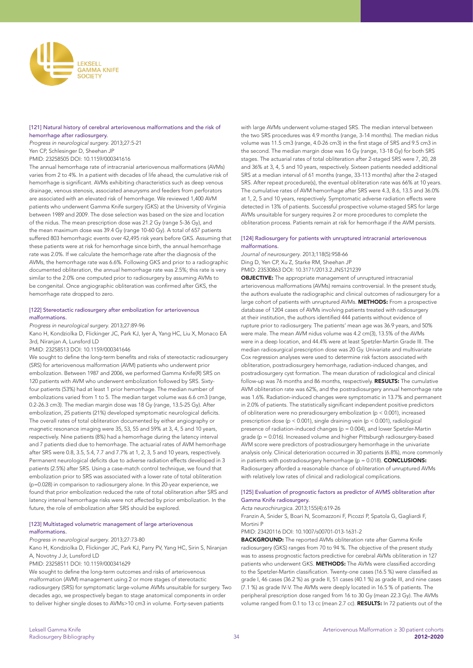

# [121] Natural history of cerebral arteriovenous malformations and the risk of hemorrhage after radiosurgery.

*Progress in neurological surgery*. 2013;27:5-21 Yen CP, Schlesinger D, Sheehan JP PMID: 23258505 DOI: 10.1159/000341616

The annual hemorrhage rate of intracranial arteriovenous malformations (AVMs) varies from 2 to 4%. In a patient with decades of life ahead, the cumulative risk of hemorrhage is significant. AVMs exhibiting characteristics such as deep venous drainage, venous stenosis, associated aneurysms and feeders from perforators are associated with an elevated risk of hemorrhage. We reviewed 1,400 AVM patients who underwent Gamma Knife surgery (GKS) at the University of Virginia between 1989 and 2009. The dose selection was based on the size and location of the nidus. The mean prescription dose was 21.2 Gy (range 5-36 Gy), and the mean maximum dose was 39.4 Gy (range 10-60 Gy). A total of 657 patients suffered 803 hemorrhagic events over 42,495 risk years before GKS. Assuming that these patients were at risk for hemorrhage since birth, the annual hemorrhage rate was 2.0%. If we calculate the hemorrhage rate after the diagnosis of the AVMs, the hemorrhage rate was 6.6%. Following GKS and prior to a radiographic documented obliteration, the annual hemorrhage rate was 2.5%; this rate is very similar to the 2.0% one computed prior to radiosurgery by assuming AVMs to be congenital. Once angiographic obliteration was confirmed after GKS, the hemorrhage rate dropped to zero.

#### [122] Stereotactic radiosurgery after embolization for arteriovenous malformations.

*Progress in neurological surgery*. 2013;27:89-96

Kano H, Kondziolka D, Flickinger JC, Park KJ, Iyer A, Yang HC, Liu X, Monaco EA 3rd, Niranjan A, Lunsford LD

PMID: 23258513 DOI: 10.1159/000341646

We sought to define the long-term benefits and risks of stereotactic radiosurgery (SRS) for arteriovenous malformation (AVM) patients who underwent prior embolization. Between 1987 and 2006, we performed Gamma Knife(R) SRS on 120 patients with AVM who underwent embolization followed by SRS. Sixtyfour patients (53%) had at least 1 prior hemorrhage. The median number of embolizations varied from 1 to 5. The median target volume was 6.6 cm3 (range, 0.2-26.3 cm3). The median margin dose was 18 Gy (range, 13.5-25 Gy). After embolization, 25 patients (21%) developed symptomatic neurological deficits. The overall rates of total obliteration documented by either angiography or magnetic resonance imaging were 35, 53, 55 and 59% at 3, 4, 5 and 10 years, respectively. Nine patients (8%) had a hemorrhage during the latency interval and 7 patients died due to hemorrhage. The actuarial rates of AVM hemorrhage after SRS were 0.8, 3.5, 5.4, 7.7 and 7.7% at 1, 2, 3, 5 and 10 years, respectively. Permanent neurological deficits due to adverse radiation effects developed in 3 patients (2.5%) after SRS. Using a case-match control technique, we found that embolization prior to SRS was associated with a lower rate of total obliteration (p=0.028) in comparison to radiosurgery alone. In this 20-year experience, we found that prior embolization reduced the rate of total obliteration after SRS and latency interval hemorrhage risks were not affected by prior embolization. In the future, the role of embolization after SRS should be explored.

#### [123] Multistaged volumetric management of large arteriovenous malformations.

*Progress in neurological surgery*. 2013;27:73-80

Kano H, Kondziolka D, Flickinger JC, Park KJ, Parry PV, Yang HC, Sirin S, Niranjan A, Novotny J Jr, Lunsford LD

PMID: 23258511 DOI: 10.1159/000341629

We sought to define the long-term outcomes and risks of arteriovenous malformation (AVM) management using 2 or more stages of stereotactic radiosurgery (SRS) for symptomatic large-volume AVMs unsuitable for surgery. Two decades ago, we prospectively began to stage anatomical components in order to deliver higher single doses to AVMs>10 cm3 in volume. Forty-seven patients

with large AVMs underwent volume-staged SRS. The median interval between the two SRS procedures was 4.9 months (range, 3-14 months). The median nidus volume was 11.5 cm3 (range, 4.0-26 cm3) in the first stage of SRS and 9.5 cm3 in the second. The median margin dose was 16 Gy (range, 13-18 Gy) for both SRS stages. The actuarial rates of total obliteration after 2-staged SRS were 7, 20, 28 and 36% at 3, 4, 5 and 10 years, respectively. Sixteen patients needed additional SRS at a median interval of 61 months (range, 33-113 months) after the 2-staged SRS. After repeat procedure(s), the eventual obliteration rate was 66% at 10 years. The cumulative rates of AVM hemorrhage after SRS were 4.3, 8.6, 13.5 and 36.0% at 1, 2, 5 and 10 years, respectively. Symptomatic adverse radiation effects were detected in 13% of patients. Successful prospective volume-staged SRS for large AVMs unsuitable for surgery requires 2 or more procedures to complete the obliteration process. Patients remain at risk for hemorrhage if the AVM persists.

#### [124] Radiosurgery for patients with unruptured intracranial arteriovenous malformations.

*Journal of neurosurgery*. 2013;118(5):958-66 Ding D, Yen CP, Xu Z, Starke RM, Sheehan JP PMID: 23530863 DOI: 10.3171/2013.2.JNS121239

OBJECTIVE: The appropriate management of unruptured intracranial arteriovenous malformations (AVMs) remains controversial. In the present study, the authors evaluate the radiographic and clinical outcomes of radiosurgery for a large cohort of patients with unruptured AVMs. METHODS: From a prospective database of 1204 cases of AVMs involving patients treated with radiosurgery at their institution, the authors identified 444 patients without evidence of rupture prior to radiosurgery. The patients' mean age was 36.9 years, and 50% were male. The mean AVM nidus volume was 4.2 cm(3), 13.5% of the AVMs were in a deep location, and 44.4% were at least Spetzler-Martin Grade III. The median radiosurgical prescription dose was 20 Gy. Univariate and multivariate Cox regression analyses were used to determine risk factors associated with obliteration, postradiosurgery hemorrhage, radiation-induced changes, and postradiosurgery cyst formation. The mean duration of radiological and clinical follow-up was 76 months and 86 months, respectively. RESULTS: The cumulative AVM obliteration rate was 62%, and the postradiosurgery annual hemorrhage rate was 1.6%. Radiation-induced changes were symptomatic in 13.7% and permanent in 2.0% of patients. The statistically significant independent positive predictors of obliteration were no preradiosurgery embolization (p < 0.001), increased prescription dose (p < 0.001), single draining vein (p < 0.001), radiological presence of radiation-induced changes (p = 0.004), and lower Spetzler-Martin grade (p = 0.016). Increased volume and higher Pittsburgh radiosurgery-based AVM score were predictors of postradiosurgery hemorrhage in the univariate analysis only. Clinical deterioration occurred in 30 patients (6.8%), more commonly in patients with postradiosurgery hemorrhage ( $p = 0.018$ ). **CONCLUSIONS:** Radiosurgery afforded a reasonable chance of obliteration of unruptured AVMs with relatively low rates of clinical and radiological complications.

#### [125] Evaluation of prognostic factors as predictor of AVMS obliteration after Gamma Knife radiosurgery.

*Acta neurochirurgica*. 2013;155(4):619-26

Franzin A, Snider S, Boari N, Scomazzoni F, Picozzi P, Spatola G, Gagliardi F, Mortini P

PMID: 23420116 DOI: 10.1007/s00701-013-1631-2

**BACKGROUND:** The reported AVMs obliteration rate after Gamma Knife radiosurgery (GKS) ranges from 70 to 94 %. The objective of the present study was to assess prognostic factors predictive for cerebral AVMs obliteration in 127 patients who underwent GKS. METHODS: The AVMs were classified according to the Spetzler-Martin classification. Twenty-one cases (16.5 %) were classified as grade I, 46 cases (36.2 %) as grade II, 51 cases (40.1 %) as grade III, and nine cases (7.1 %) as grade IV-V. The AVMs were deeply located in 16.5 % of patients. The peripheral prescription dose ranged from 16 to 30 Gy (mean 22.3 Gy). The AVMs volume ranged from 0.1 to 13 cc (mean 2.7 cc). RESULTS: In 72 patients out of the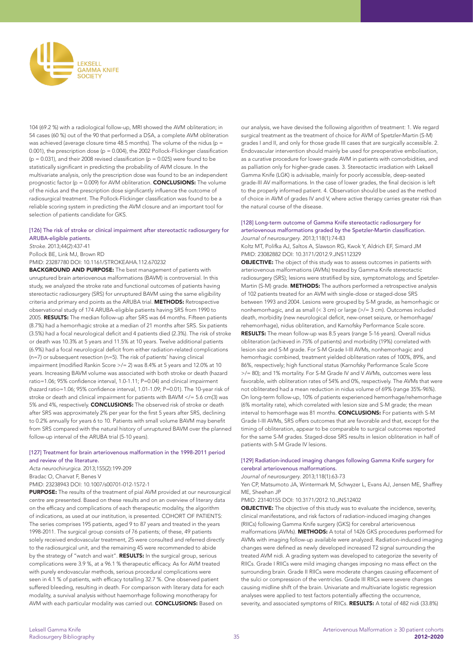

104 (69.2 %) with a radiological follow-up, MRI showed the AVM obliteration; in 54 cases (60 %) out of the 90 that performed a DSA, a complete AVM obliteration was achieved (average closure time 48.5 months). The volume of the nidus (p = 0.001), the prescription dose ( $p = 0.004$ ), the 2002 Pollock-Flickinger classification ( $p = 0.031$ ), and their 2008 revised classification ( $p = 0.025$ ) were found to be statistically significant in predicting the probability of AVM closure. In the multivariate analysis, only the prescription dose was found to be an independent prognostic factor ( $p = 0.009$ ) for AVM obliteration. **CONCLUSIONS:** The volume of the nidus and the prescription dose significantly influence the outcome of radiosurgical treatment. The Pollock-Flickinger classification was found to be a reliable scoring system in predicting the AVM closure and an important tool for selection of patients candidate for GKS.

### [126] The risk of stroke or clinical impairment after stereotactic radiosurgery for ARUBA-eligible patients.

*Stroke*. 2013;44(2):437-41 Pollock BE, Link MJ, Brown RD PMID: 23287780 DOI: 10.1161/STROKEAHA.112.670232 BACKGROUND AND PURPOSE: The best management of patients with

unruptured brain arteriovenous malformations (BAVM) is controversial. In this study, we analyzed the stroke rate and functional outcomes of patients having stereotactic radiosurgery (SRS) for unruptured BAVM using the same eligibility criteria and primary end points as the ARUBA trial. METHODS: Retrospective observational study of 174 ARUBA-eligible patients having SRS from 1990 to 2005. RESULTS: The median follow-up after SRS was 64 months. Fifteen patients (8.7%) had a hemorrhagic stroke at a median of 21 months after SRS. Six patients (3.5%) had a focal neurological deficit and 4 patients died (2.3%). The risk of stroke or death was 10.3% at 5 years and 11.5% at 10 years. Twelve additional patients (6.9%) had a focal neurological deficit from either radiation-related complications (n=7) or subsequent resection (n=5). The risk of patients' having clinical impairment (modified Rankin Score >/= 2) was 8.4% at 5 years and 12.0% at 10 years. Increasing BAVM volume was associated with both stroke or death (hazard ratio=1.06; 95% confidence interval, 1.0-1.11; P=0.04) and clinical impairment (hazard ratio=1.06; 95% confidence interval, 1.01-1.09; P=0.01). The 10-year risk of stroke or death and clinical impairment for patients with BAVM </= 5.6 cm(3) was 5% and 4%, respectively. **CONCLUSIONS:** The observed risk of stroke or death after SRS was approximately 2% per year for the first 5 years after SRS, declining to 0.2% annually for years 6 to 10. Patients with small volume BAVM may benefit from SRS compared with the natural history of unruptured BAVM over the planned follow-up interval of the ARUBA trial (5-10 years).

#### [127] Treatment for brain arteriovenous malformation in the 1998-2011 period and review of the literature.

*Acta neurochirurgica*. 2013;155(2):199-209

Bradac O, Charvat F, Benes V

PMID: 23238943 DOI: 10.1007/s00701-012-1572-1

PURPOSE: The results of the treatment of pial AVM provided at our neurosurgical centre are presented. Based on these results and on an overview of literary data on the efficacy and complications of each therapeutic modality, the algorithm of indications, as used at our institution, is presented. COHORT OF PATIENTS: The series comprises 195 patients, aged 9 to 87 years and treated in the years 1998-2011. The surgical group consists of 76 patients; of these, 49 patients solely received endovascular treatment, 25 were consulted and referred directly to the radiosurgical unit, and the remaining 45 were recommended to abide by the strategy of "watch and wait". RESULTS: In the surgical group, serious complications were 3.9 %, at a 96.1 % therapeutic efficacy. As for AVM treated with purely endovascular methods, serious procedural complications were seen in 4.1 % of patients, with efficacy totalling 32.7 %. One observed patient suffered bleeding, resulting in death. For comparison with literary data for each modality, a survival analysis without haemorrhage following monotherapy for AVM with each particular modality was carried out. **CONCLUSIONS:** Based on

our analysis, we have devised the following algorithm of treatment: 1. We regard surgical treatment as the treatment of choice for AVM of Spetzler-Martin (S-M) grades I and II, and only for those grade III cases that are surgically accessible. 2. Endovascular intervention should mainly be used for preoperative embolisation, as a curative procedure for lower-grade AVM in patients with comorbidities, and as palliation only for higher-grade cases. 3. Stereotactic irradiation with Leksell Gamma Knife (LGK) is advisable, mainly for poorly accessible, deep-seated grade-III AV malformations. In the case of lower grades, the final decision is left to the properly informed patient. 4. Observation should be used as the method of choice in AVM of grades IV and V, where active therapy carries greater risk than the natural course of the disease.

#### [128] Long-term outcome of Gamma Knife stereotactic radiosurgery for arteriovenous malformations graded by the Spetzler-Martin classification. *Journal of neurosurgery*. 2013;118(1):74-83

Koltz MT, Polifka AJ, Saltos A, Slawson RG, Kwok Y, Aldrich EF, Simard JM PMID: 23082882 DOI: 10.3171/2012.9.JNS112329

**OBJECTIVE:** The object of this study was to assess outcomes in patients with arteriovenous malformations (AVMs) treated by Gamma Knife stereotactic radiosurgery (SRS); lesions were stratified by size, symptomatology, and Spetzler-Martin (S-M) grade. **METHODS:** The authors performed a retrospective analysis of 102 patients treated for an AVM with single-dose or staged-dose SRS between 1993 and 2004. Lesions were grouped by S-M grade, as hemorrhagic or nonhemorrhagic, and as small (< 3 cm) or large (>/= 3 cm). Outcomes included death, morbidity (new neurological deficit, new-onset seizure, or hemorrhage/ rehemorrhage), nidus obliteration, and Karnofsky Performance Scale score. RESULTS: The mean follow-up was 8.5 years (range 5-16 years). Overall nidus obliteration (achieved in 75% of patients) and morbidity (19%) correlated with lesion size and S-M grade. For S-M Grade I-III AVMs, nonhemorrhagic and hemorrhagic combined, treatment yielded obliteration rates of 100%, 89%, and 86%, respectively; high functional status (Karnofsky Performance Scale Score >/= 80); and 1% mortality. For S-M Grade IV and V AVMs, outcomes were less favorable, with obliteration rates of 54% and 0%, respectively. The AVMs that were not obliterated had a mean reduction in nidus volume of 69% (range 35%-96%). On long-term follow-up, 10% of patients experienced hemorrhage/rehemorrhage (6% mortality rate), which correlated with lesion size and S-M grade; the mean interval to hemorrhage was 81 months. **CONCLUSIONS:** For patients with S-M Grade I-III AVMs, SRS offers outcomes that are favorable and that, except for the timing of obliteration, appear to be comparable to surgical outcomes reported for the same S-M grades. Staged-dose SRS results in lesion obliteration in half of patients with S-M Grade IV lesions.

## [129] Radiation-induced imaging changes following Gamma Knife surgery for cerebral arteriovenous malformations.

*Journal of neurosurgery*. 2013;118(1):63-73

Yen CP, Matsumoto JA, Wintermark M, Schwyzer L, Evans AJ, Jensen ME, Shaffrey ME, Sheehan JP

PMID: 23140155 DOI: 10.3171/2012.10.JNS12402

**OBJECTIVE:** The objective of this study was to evaluate the incidence, severity, clinical manifestations, and risk factors of radiation-induced imaging changes (RIICs) following Gamma Knife surgery (GKS) for cerebral arteriovenous malformations (AVMs). METHODS: A total of 1426 GKS procedures performed for AVMs with imaging follow-up available were analyzed. Radiation-induced imaging changes were defined as newly developed increased T2 signal surrounding the treated AVM nidi. A grading system was developed to categorize the severity of RIICs. Grade I RIICs were mild imaging changes imposing no mass effect on the surrounding brain. Grade II RIICs were moderate changes causing effacement of the sulci or compression of the ventricles. Grade III RIICs were severe changes causing midline shift of the brain. Univariate and multivariate logistic regression analyses were applied to test factors potentially affecting the occurrence, severity, and associated symptoms of RIICs. RESULTS: A total of 482 nidi (33.8%)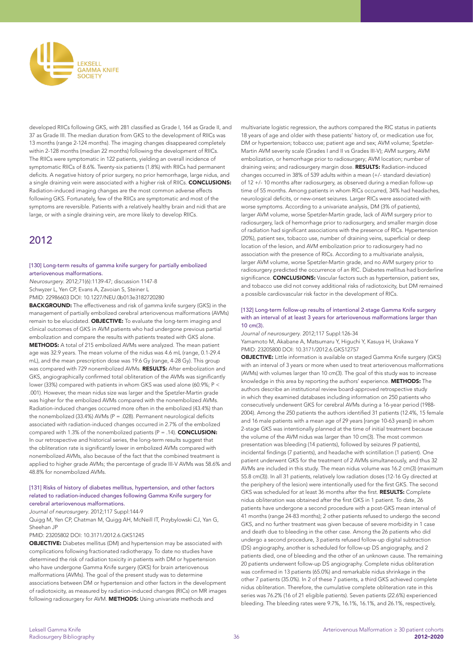

developed RIICs following GKS, with 281 classified as Grade I, 164 as Grade II, and 37 as Grade III. The median duration from GKS to the development of RIICs was 13 months (range 2-124 months). The imaging changes disappeared completely within 2-128 months (median 22 months) following the development of RIICs. The RIICs were symptomatic in 122 patients, yielding an overall incidence of symptomatic RIICs of 8.6%. Twenty-six patients (1.8%) with RIICs had permanent deficits. A negative history of prior surgery, no prior hemorrhage, large nidus, and a single draining vein were associated with a higher risk of RIICs. CONCLUSIONS: Radiation-induced imaging changes are the most common adverse effects following GKS. Fortunately, few of the RIICs are symptomatic and most of the symptoms are reversible. Patients with a relatively healthy brain and nidi that are large, or with a single draining vein, are more likely to develop RIICs.

# 2012

#### [130] Long-term results of gamma knife surgery for partially embolized arteriovenous malformations.

*Neurosurgery*. 2012;71(6):1139-47; discussion 1147-8 Schwyzer L, Yen CP, Evans A, Zavoian S, Steiner L PMID: 22986603 DOI: 10.1227/NEU.0b013e3182720280

BACKGROUND: The effectiveness and risk of gamma knife surgery (GKS) in the management of partially embolized cerebral arteriovenous malformations (AVMs) remain to be elucidated. **OBJECTIVE:** To evaluate the long-term imaging and clinical outcomes of GKS in AVM patients who had undergone previous partial embolization and compare the results with patients treated with GKS alone. METHODS: A total of 215 embolized AVMs were analyzed. The mean patient age was 32.9 years. The mean volume of the nidus was 4.6 mL (range, 0.1-29.4 mL), and the mean prescription dose was 19.6 Gy (range, 4-28 Gy). This group was compared with 729 nonembolized AVMs. RESULTS: After embolization and GKS, angiographically confirmed total obliteration of the AVMs was significantly lower (33%) compared with patients in whom GKS was used alone (60.9%; P < .001). However, the mean nidus size was larger and the Spetzler-Martin grade was higher for the embolized AVMs compared with the nonembolized AVMs. Radiation-induced changes occurred more often in the embolized (43.4%) than the nonembolized (33.4%) AVMs ( $P = 0.028$ ). Permanent neurological deficits associated with radiation-induced changes occurred in 2.7% of the embolized compared with 1.3% of the nonembolized patients  $(P = .14)$ . **CONCLUSION:** In our retrospective and historical series, the long-term results suggest that the obliteration rate is significantly lower in embolized AVMs compared with nonembolized AVMs, also because of the fact that the combined treatment is applied to higher grade AVMs; the percentage of grade III-V AVMs was 58.6% and 48.8% for nonembolized AVMs.

#### [131] Risks of history of diabetes mellitus, hypertension, and other factors related to radiation-induced changes following Gamma Knife surgery for cerebral arteriovenous malformations.

*Journal of neurosurgery*. 2012;117 Suppl:144-9

Quigg M, Yen CP, Chatman M, Quigg AH, McNeill IT, Przybylowski CJ, Yan G, Sheehan JP

PMID: 23205802 DOI: 10.3171/2012.6.GKS1245

OBJECTIVE: Diabetes mellitus (DM) and hypertension may be associated with complications following fractionated radiotherapy. To date no studies have determined the risk of radiation toxicity in patients with DM or hypertension who have undergone Gamma Knife surgery (GKS) for brain arteriovenous malformations (AVMs). The goal of the present study was to determine associations between DM or hypertension and other factors in the development of radiotoxicity, as measured by radiation-induced changes (RICs) on MR images following radiosurgery for AVM. METHODS: Using univariate methods and

multivariate logistic regression, the authors compared the RIC status in patients 18 years of age and older with these patients' history of, or medication use for, DM or hypertension; tobacco use; patient age and sex; AVM volume; Spetzler-Martin AVM severity scale (Grades I and II vs Grades III-V); AVM surgery, AVM embolization, or hemorrhage prior to radiosurgery; AVM location; number of draining veins; and radiosurgery margin dose. RESULTS: Radiation-induced changes occurred in 38% of 539 adults within a mean (+/- standard deviation) of 12 +/- 10 months after radiosurgery, as observed during a median follow-up time of 55 months. Among patients in whom RICs occurred, 34% had headaches, neurological deficits, or new-onset seizures. Larger RICs were associated with worse symptoms. According to a univariate analysis, DM (3% of patients), larger AVM volume, worse Spetzler-Martin grade, lack of AVM surgery prior to radiosurgery, lack of hemorrhage prior to radiosurgery, and smaller margin dose of radiation had significant associations with the presence of RICs. Hypertension (20%), patient sex, tobacco use, number of draining veins, superficial or deep location of the lesion, and AVM embolization prior to radiosurgery had no association with the presence of RICs. According to a multivariate analysis, larger AVM volume, worse Spetzler-Martin grade, and no AVM surgery prior to radiosurgery predicted the occurrence of an RIC. Diabetes mellitus had borderline significance. **CONCLUSIONS:** Vascular factors such as hypertension, patient sex, and tobacco use did not convey additional risks of radiotoxicity, but DM remained a possible cardiovascular risk factor in the development of RICs.

#### [132] Long-term follow-up results of intentional 2-stage Gamma Knife surgery with an interval of at least 3 years for arteriovenous malformations larger than 10 cm(3).

*Journal of neurosurgery*. 2012;117 Suppl:126-34 Yamamoto M, Akabane A, Matsumaru Y, Higuchi Y, Kasuya H, Urakawa Y PMID: 23205800 DOI: 10.3171/2012.6.GKS12757

OBJECTIVE: Little information is available on staged Gamma Knife surgery (GKS) with an interval of 3 years or more when used to treat arteriovenous malformations (AVMs) with volumes larger than 10 cm(3). The goal of this study was to increase knowledge in this area by reporting the authors' experience. METHODS: The authors describe an institutional review board-approved retrospective study in which they examined databases including information on 250 patients who consecutively underwent GKS for cerebral AVMs during a 16-year period (1988- 2004). Among the 250 patients the authors identified 31 patients (12.4%, 15 female and 16 male patients with a mean age of 29 years [range 10-63 years]) in whom 2-stage GKS was intentionally planned at the time of initial treatment because the volume of the AVM nidus was larger than 10 cm(3). The most common presentation was bleeding (14 patients), followed by seizures (9 patients), incidental findings (7 patients), and headache with scintillation (1 patient). One patient underwent GKS for the treatment of 2 AVMs simultaneously, and thus 32 AVMs are included in this study. The mean nidus volume was 16.2 cm(3) (maximum 55.8 cm(3)). In all 31 patients, relatively low radiation doses (12-16 Gy directed at the periphery of the lesion) were intentionally used for the first GKS. The second GKS was scheduled for at least 36 months after the first. RESULTS: Complete nidus obliteration was obtained after the first GKS in 1 patient. To date, 26 patients have undergone a second procedure with a post-GKS mean interval of 41 months (range 24-83 months); 2 other patients refused to undergo the second GKS, and no further treatment was given because of severe morbidity in 1 case and death due to bleeding in the other case. Among the 26 patients who did undergo a second procedure, 3 patients refused follow-up digital subtraction (DS) angiography, another is scheduled for follow-up DS angiography, and 2 patients died, one of bleeding and the other of an unknown cause. The remaining 20 patients underwent follow-up DS angiography. Complete nidus obliteration was confirmed in 13 patients (65.0%) and remarkable nidus shrinkage in the other 7 patients (35.0%). In 2 of these 7 patients, a third GKS achieved complete nidus obliteration. Therefore, the cumulative complete obliteration rate in this series was 76.2% (16 of 21 eligible patients). Seven patients (22.6%) experienced bleeding. The bleeding rates were 9.7%, 16.1%, 16.1%, and 26.1%, respectively,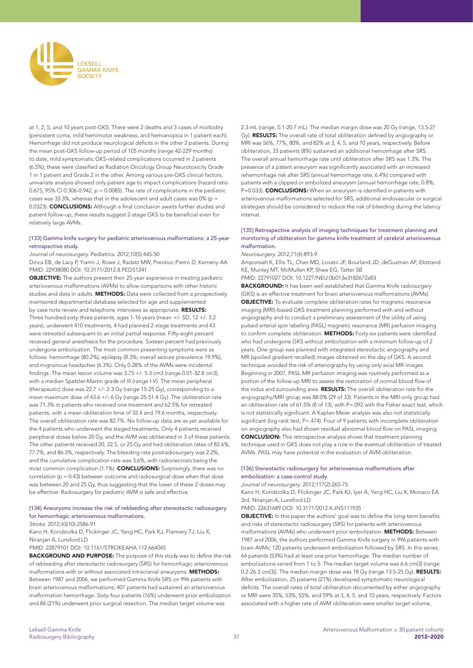

at 1, 2, 5, and 10 years post-GKS. There were 2 deaths and 3 cases of morbidity (persistent coma, mild hemimotor weakness, and hemianopsia in 1 patient each). Hemorrhage did not produce neurological deficits in the other 2 patients. During the mean post-GKS follow-up period of 105 months (range 42-229 months) to date, mild symptomatic GKS-related complications occurred in 2 patients (6.5%); these were classified as Radiation Oncology Group Neurotoxicity Grade 1 in 1 patient and Grade 2 in the other. Among various pre-GKS clinical factors, univariate analysis showed only patient age to impact complications (hazard ratio 0.675, 95% CI 0.306-0.942,  $p = 0.0085$ ). The rate of complications in the pediatric cases was 33.3%, whereas that in the adolescent and adult cases was 0% ( $p =$ 0.0323). **CONCLUSIONS:** Although a final conclusion awaits further studies and patient follow-up, these results suggest 2-stage GKS to be beneficial even for relatively large AVMs.

## [133] Gamma knife surgery for pediatric arteriovenous malformations: a 25-year retrospective study.

*Journal of neurosurgery. Pediatrics*. 2012;10(5):445-50

Dinca EB, de Lacy P, Yianni J, Rowe J, Radatz MW, Preotiuc-Pietro D, Kemeny AA PMID: 22938080 DOI: 10.3171/2012.8.PEDS1241

OBJECTIVE: The authors present their 25-year experience in treating pediatric arteriovenous malformations (AVMs) to allow comparisons with other historic studies and data in adults. **METHODS:** Data were collected from a prospectively maintained departmental database selected for age and supplemented by case note review and telephone interviews as appropriate. **RESULTS:** Three hundred sixty-three patients, ages 1-16 years (mean +/- SD, 12 +/- 3.2 years), underwent 410 treatments; 4 had planned 2-stage treatments and 43 were retreated subsequent to an initial partial response. Fifty-eight percent received general anesthesia for the procedure. Sixteen percent had previously undergone embolization. The most common presenting symptoms were as follows: hemorrhage (80.2%), epilepsy (8.3%; overall seizure prevalence 19.9%), and migrainous headaches (6.3%). Only 0.28% of the AVMs were incidental findings. The mean lesion volume was 3.75 +/- 5.3 cm3 (range 0.01-32.8 cm3), with a median Spetzler-Martin grade of III (range I-V). The mean peripheral (therapeutic) dose was 22.7 +/- 2.3 Gy (range 15-25 Gy), corresponding to a mean maximum dose of 43.6 +/- 6 Gy (range 25-51.4 Gy). The obliteration rate was 71.3% in patients who received one treatment and 62.5% for retreated patients, with a mean obliteration time of 32.4 and 79.6 months, respectively. The overall obliteration rate was 82.7%. No follow-up data are as yet available for the 4 patients who underwent the staged treatments. Only 4 patients received peripheral doses below 20 Gy, and the AVM was obliterated in 3 of these patients. The other patients received 20, 22.5, or 25 Gy and had obliteration rates of 82.6%, 77.7%, and 86.3%, respectively. The bleeding rate postradiosurgery was 2.2%, and the cumulative complication rate was 3.6%, with radionecrosis being the most common complication (1.1%). CONCLUSIONS: Surprisingly, there was no correlation (p = 0.43) between outcome and radiosurgical dose when that dose was between 20 and 25 Gy, thus suggesting that the lower of these 2 doses may be effective. Radiosurgery for pediatric AVM is safe and effective.

# [134] Aneurysms increase the risk of rebleeding after stereotactic radiosurgery for hemorrhagic arteriovenous malformations.

*Stroke*. 2012;43(10):2586-91

Kano H, Kondziolka D, Flickinger JC, Yang HC, Park KJ, Flannery TJ, Liu X, Niranjan A, Lunsford LD

#### PMID: 22879101 DOI: 10.1161/STROKEAHA.112.664045

BACKGROUND AND PURPOSE: The purpose of this study was to define the risk of rebleeding after stereotactic radiosurgery (SRS) for hemorrhagic arteriovenous malformations with or without associated intracranial aneurysms. METHODS: Between 1987 and 2006, we performed Gamma Knife SRS on 996 patients with brain arteriovenous malformations; 407 patients had sustained an arteriovenous malformation hemorrhage. Sixty-four patients (16%) underwent prior embolization and 84 (21%) underwent prior surgical resection. The median target volume was

2.3 mL (range, 0.1-20.7 mL). The median margin dose was 20 Gy (range, 13.5-27 Gy). RESULTS: The overall rate of total obliteration defined by angiography or MRI was 56%, 77%, 80%, and 82% at 3, 4, 5, and 10 years, respectively. Before obliteration, 33 patients (8%) sustained an additional hemorrhage after SRS. The overall annual hemorrhage rate until obliteration after SRS was 1.3%. The presence of a patent aneurysm was significantly associated with an increased rehemorrhage risk after SRS (annual hemorrhage rate, 6.4%) compared with patients with a clipped or embolized aneurysm (annual hemorrhage rate, 0.8%; P=0.033). **CONCLUSIONS:** When an aneurysm is identified in patients with arteriovenous malformations selected for SRS, additional endovascular or surgical strategies should be considered to reduce the risk of bleeding during the latency interval.

#### [135] Retrospective analysis of imaging techniques for treatment planning and monitoring of obliteration for gamma knife treatment of cerebral arteriovenous malformation.

# *Neurosurgery*. 2012;71(4):893-9

Amponsah K, Ellis TL, Chan MD, Lovato JF, Bourland JD, deGuzman AF, Ekstrand KE, Munley MT, McMullen KP, Shaw EG, Tatter SB

PMID: 22791027 DOI: 10.1227/NEU.0b013e3182672a83

**BACKGROUND:** It has been well established that Gamma Knife radiosurgery (GKS) is an effective treatment for brain arteriovenous malformations (AVMs). OBJECTIVE: To evaluate complete obliteration rates for magnetic resonance imaging (MRI)-based GKS treatment planning performed with and without angiography and to conduct a preliminary assessment of the utility of using pulsed arterial spin labeling (PASL) magnetic resonance (MR) perfusion imaging to confirm complete obliteration. METHODS: Forty-six patients were identified who had undergone GKS without embolization with a minimum follow-up of 2 years. One group was planned with integrated stereotactic angiography and MR (spoiled gradient recalled) images obtained on the day of GKS. A second technique avoided the risk of arteriography by using only axial MR images. Beginning in 2007, PASL MR perfusion imaging was routinely performed as a portion of the follow-up MRI to assess the restoration of normal blood flow of the nidus and surrounding area. RESULTS: The overall obliteration rate for the angiography/MRI group was 88.0% (29 of 33). Patients in the MRI-only group had an obliteration rate of 61.5% (8 of 13), with P=.092 with the Fisher exact test, which is not statistically significant. A Kaplan-Meier analysis was also not statistically significant (log rank test, P=.474). Four of 9 patients with incomplete obliteration on angiography also had shown residual abnormal blood flow on PASL imaging. CONCLUSION: This retrospective analysis shows that treatment planning technique used in GKS does not play a role in the eventual obliteration of treated AVMs. PASL may have potential in the evaluation of AVM obliteration.

#### [136] Stereotactic radiosurgery for arteriovenous malformations after embolization: a case-control study.

*Journal of neurosurgery*. 2012;117(2):265-75

Kano H, Kondziolka D, Flickinger JC, Park KJ, Iyer A, Yang HC, Liu X, Monaco EA 3rd, Niranjan A, Lunsford LD

PMID: 22631689 DOI: 10.3171/2012.4.JNS111935

OBJECTIVE: In this paper the authors' goal was to define the long-term benefits and risks of stereotactic radiosurgery (SRS) for patients with arteriovenous malformations (AVMs) who underwent prior embolization. METHODS: Between 1987 and 2006, the authors performed Gamma Knife surgery in 996 patients with brain AVMs; 120 patients underwent embolization followed by SRS. In this series, 64 patients (53%) had at least one prior hemorrhage. The median number of embolizations varied from 1 to 5. The median target volume was 6.6 cm(3) (range 0.2-26.3 cm(3)). The median margin dose was 18 Gy (range 13.5-25 Gy). RESULTS: After embolization, 25 patients (21%) developed symptomatic neurological deficits. The overall rates of total obliteration documented by either angiography or MRI were 35%, 53%, 55%, and 59% at 3, 4, 5, and 10 years, respectively. Factors associated with a higher rate of AVM obliteration were smaller target volume,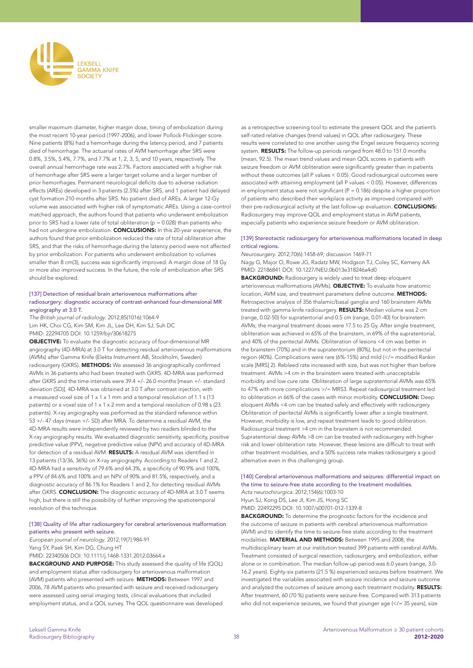

smaller maximum diameter, higher margin dose, timing of embolization during the most recent 10-year period (1997-2006), and lower Pollock-Flickinger score. Nine patients (8%) had a hemorrhage during the latency period, and 7 patients died of hemorrhage. The actuarial rates of AVM hemorrhage after SRS were 0.8%, 3.5%, 5.4%, 7.7%, and 7.7% at 1, 2, 3, 5, and 10 years, respectively. The overall annual hemorrhage rate was 2.7%. Factors associated with a higher risk of hemorrhage after SRS were a larger target volume and a larger number of prior hemorrhages. Permanent neurological deficits due to adverse radiation effects (AREs) developed in 3 patients (2.5%) after SRS, and 1 patient had delayed cyst formation 210 months after SRS. No patient died of AREs. A larger 12-Gy volume was associated with higher risk of symptomatic AREs. Using a case-control matched approach, the authors found that patients who underwent embolization prior to SRS had a lower rate of total obliteration ( $p = 0.028$ ) than patients who had not undergone embolization. CONCLUSIONS: In this 20-year experience, the authors found that prior embolization reduced the rate of total obliteration after SRS, and that the risks of hemorrhage during the latency period were not affected by prior embolization. For patients who underwent embolization to volumes smaller than 8 cm(3), success was significantly improved. A margin dose of 18 Gy or more also improved success. In the future, the role of embolization after SRS should be explored.

#### [137] Detection of residual brain arteriovenous malformations after radiosurgery: diagnostic accuracy of contrast-enhanced four-dimensional MR angiography at 3.0 T.

*The British journal of radiology*. 2012;85(1016):1064-9 Lim HK, Choi CG, Kim SM, Kim JL, Lee DH, Kim SJ, Suh DC PMID: 22294705 DOI: 10.1259/bjr/30618275

OBJECTIVE: To evaluate the diagnostic accuracy of four-dimensional MR angiography (4D-MRA) at 3.0 T for detecting residual arteriovenous malformations (AVMs) after Gamma Knife (Elekta Instrument AB, Stockholm, Sweden) radiosurgery (GKRS). METHODS: We assessed 36 angiographically confirmed AVMs in 36 patients who had been treated with GKRS. 4D-MRA was performed after GKRS and the time intervals were 39.4 +/- 26.0 months [mean +/- standard deviation (SD)]. 4D-MRA was obtained at 3.0 T after contrast injection, with a measured voxel size of 1 x 1 x 1 mm and a temporal resolution of 1.1 s (13 patients) or a voxel size of 1 x 1 x 2 mm and a temporal resolution of 0.98 s (23 patients). X-ray angiography was performed as the standard reference within 53 +/- 47 days (mean +/- SD) after MRA. To determine a residual AVM, the 4D-MRA results were independently reviewed by two readers blinded to the X-ray angiography results. We evaluated diagnostic sensitivity, specificity, positive predictive value (PPV), negative predictive value (NPV) and accuracy of 4D-MRA for detection of a residual AVM. RESULTS: A residual AVM was identified in 13 patients (13/36, 36%) on X-ray angiography. According to Readers 1 and 2, 4D-MRA had a sensitivity of 79.6% and 64.3%, a specificity of 90.9% and 100%, a PPV of 84.6% and 100% and an NPV of 90% and 81.5%, respectively, and a diagnostic accuracy of 86.1% for Readers 1 and 2, for detecting residual AVMs after GKRS. **CONCLUSION:** The diagnostic accuracy of 4D-MRA at 3.0 T seems high, but there is still the possibility of further improving the spatiotemporal resolution of this technique.

# [138] Quality of life after radiosurgery for cerebral arteriovenous malformation patients who present with seizure.

*European journal of neurology*. 2012;19(7):984-91 Yang SY, Paek SH, Kim DG, Chung HT

#### PMID: 22340506 DOI: 10.1111/j.1468-1331.2012.03664.x

BACKGROUND AND PURPOSE: This study assessed the quality of life (QOL) and employment status after radiosurgery for arteriovenous malformation (AVM) patients who presented with seizure. METHODS: Between 1997 and 2006, 78 AVM patients who presented with seizure and received radiosurgery were assessed using serial imaging tests, clinical evaluations that included employment status, and a QOL survey. The QOL questionnaire was developed as a retrospective screening tool to estimate the present QOL and the patient's self-rated relative changes (trend values) in QOL after radiosurgery. These results were correlated to one another using the Engel seizure frequency scoring system. RESULTS: The follow-up periods ranged from 48.0 to 151.0 months (mean, 92.5). The mean trend values and mean QOL scores in patients with seizure freedom or AVM obliteration were significantly greater than in patients without these outcomes (all P values < 0.05). Good radiosurgical outcomes were associated with attaining employment (all P values < 0.05). However, differences in employment status were not significant ( $P = 0.186$ ) despite a higher proportion of patients who described their workplace activity as improved compared with their pre-radiosurgical activity at the last follow-up evaluation. CONCLUSIONS: Radiosurgery may improve QOL and employment status in AVM patients, especially patients who experience seizure freedom or AVM obliteration.

#### [139] Stereotactic radiosurgery for arteriovenous malformations located in deep critical regions.

*Neurosurgery*. 2012;70(6):1458-69; discussion 1469-71 Nagy G, Major O, Rowe JG, Radatz MW, Hodgson TJ, Coley SC, Kemeny AA PMID: 22186841 DOI: 10.1227/NEU.0b013e318246a4d0 **BACKGROUND:** Radiosurgery is widely used to treat deep eloquent arteriovenous malformations (AVMs). **OBJECTIVE:** To evaluate how anatomic location, AVM size, and treatment parameters define outcome. METHODS: Retrospective analysis of 356 thalamic/basal ganglia and 160 brainstem AVMs treated with gamma knife radiosurgery. RESULTS: Median volume was 2 cm (range, 0.02-50) for supratentorial and 0.5 cm (range, 0.01-40) for brainstem AVMs; the marginal treatment doses were 17.5 to 25 Gy. After single treatment, obliteration was achieved in 65% of the brainstem, in 69% of the supratentorial, and 40% of the peritectal AVMs. Obliteration of lesions <4 cm was better in the brainstem (70%) and in the supratentorium (80%), but not in the peritectal region (40%). Complications were rare (6%-15%) and mild (</= modified Rankin scale [MRS] 2). Rebleed rate increased with size, but was not higher than before treatment. AVMs >4 cm in the brainstem were treated with unacceptable morbidity and low cure rate. Obliteration of large supratentorial AVMs was 65% to 47% with more complications >/= MRS3. Repeat radiosurgical treatment led to obliteration in 66% of the cases with minor morbidity. CONCLUSION: Deep eloquent AVMs <4 cm can be treated safely and effectively with radiosurgery. Obliteration of peritectal AVMs is significantly lower after a single treatment. However, morbidity is low, and repeat treatment leads to good obliteration. Radiosurgical treatment >4 cm in the brainstem is not recommended. Supratentorial deep AVMs >8 cm can be treated with radiosurgery with higher risk and lower obliteration rate. However, these lesions are difficult to treat with other treatment modalities, and a 50% success rate makes radiosurgery a good alternative even in this challenging group.

#### [140] Cerebral arteriovenous malformations and seizures: differential impact on the time to seizure-free state according to the treatment modalities. *Acta neurochirurgica*. 2012;154(6):1003-10

Hyun SJ, Kong DS, Lee JI, Kim JS, Hong SC PMID: 22492295 DOI: 10.1007/s00701-012-1339-8

**BACKGROUND:** To determine the prognostic factors for the incidence and the outcome of seizure in patients with cerebral arteriovenous malformation (AVM) and to identify the time to seizure-free state according to the treatment modalities. MATERIAL AND METHODS: Between 1995 and 2008, the multidisciplinary team at our institution treated 399 patients with cerebral AVMs. Treatment consisted of surgical resection, radiosurgery, and embolization, either alone or in combination. The median follow-up period was 6.0 years (range, 3.0- 16.2 years). Eighty-six patients (21.5 %) experienced seizures before treatment. We investigated the variables associated with seizure incidence and seizure outcome and analyzed the outcomes of seizure among each treatment modality. RESULTS: After treatment, 60 (70 %) patients were seizure-free. Compared with 313 patients who did not experience seizures, we found that younger age  $\left\langle \leq\right\rangle =35$  years), size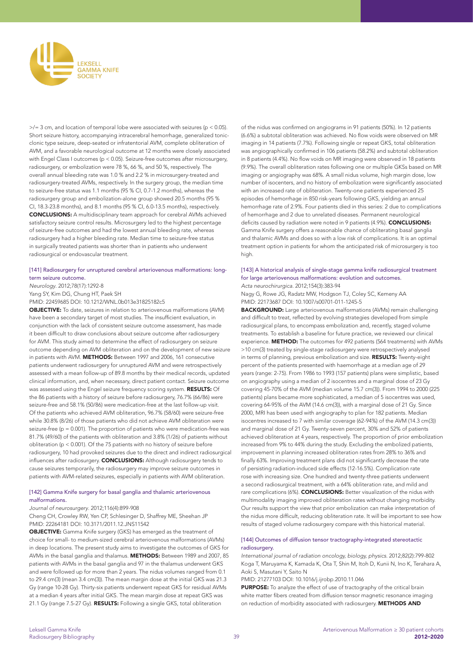

 $\ge$ /= 3 cm, and location of temporal lobe were associated with seizures (p < 0.05). Short seizure history, accompanying intracerebral hemorrhage, generalized tonicclonic type seizure, deep-seated or infratentorial AVM, complete obliteration of AVM, and a favorable neurological outcome at 12 months were closely associated with Engel Class I outcomes (p < 0.05). Seizure-free outcomes after microsurgery, radiosurgery, or embolization were 78 %, 66 %, and 50 %, respectively. The overall annual bleeding rate was 1.0 % and 2.2 % in microsurgery-treated and radiosurgery-treated AVMs, respectively. In the surgery group, the median time to seizure-free status was 1.1 months (95 % CI, 0.7-1.2 months), whereas the radiosurgery group and embolization-alone group showed 20.5 months (95 % CI, 18.3-23.8 months), and 8.1 months (95 % CI, 6.0-13.5 months), respectively. CONCLUSIONS: A multidisciplinary team approach for cerebral AVMs achieved satisfactory seizure control results. Microsurgery led to the highest percentage of seizure-free outcomes and had the lowest annual bleeding rate, whereas radiosurgery had a higher bleeding rate. Median time to seizure-free status in surgically treated patients was shorter than in patients who underwent radiosurgical or endovascular treatment.

# [141] Radiosurgery for unruptured cerebral arteriovenous malformations: longterm seizure outcome.

*Neurology*. 2012;78(17):1292-8 Yang SY, Kim DG, Chung HT, Paek SH

PMID: 22459685 DOI: 10.1212/WNL.0b013e31825182c5

OBJECTIVE: To date, seizures in relation to arteriovenous malformations (AVM) have been a secondary target of most studies. The insufficient evaluation, in conjunction with the lack of consistent seizure outcome assessment, has made it been difficult to draw conclusions about seizure outcome after radiosurgery for AVM. This study aimed to determine the effect of radiosurgery on seizure outcome depending on AVM obliteration and on the development of new seizure in patients with AVM. METHODS: Between 1997 and 2006, 161 consecutive patients underwent radiosurgery for unruptured AVM and were retrospectively assessed with a mean follow-up of 89.8 months by their medical records, updated clinical information, and, when necessary, direct patient contact. Seizure outcome was assessed using the Engel seizure frequency scoring system. RESULTS: Of the 86 patients with a history of seizure before radiosurgery, 76.7% (66/86) were seizure-free and 58.1% (50/86) were medication-free at the last follow-up visit. Of the patients who achieved AVM obliteration, 96.7% (58/60) were seizure-free while 30.8% (8/26) of those patients who did not achieve AVM obliteration were seizure-free (p = 0.001). The proportion of patients who were medication-free was 81.7% (49/60) of the patients with obliteration and 3.8% (1/26) of patients without obliteration (p < 0.001). Of the 75 patients with no history of seizure before radiosurgery, 10 had provoked seizures due to the direct and indirect radiosurgical influences after radiosurgery. CONCLUSIONS: Although radiosurgery tends to cause seizures temporarily, the radiosurgery may improve seizure outcomes in patients with AVM-related seizures, especially in patients with AVM obliteration.

#### [142] Gamma Knife surgery for basal ganglia and thalamic arteriovenous malformations.

*Journal of neurosurgery*. 2012;116(4):899-908

Cheng CH, Crowley RW, Yen CP, Schlesinger D, Shaffrey ME, Sheehan JP PMID: 22264181 DOI: 10.3171/2011.12.JNS11542

OBJECTIVE: Gamma Knife surgery (GKS) has emerged as the treatment of choice for small- to medium-sized cerebral arteriovenous malformations (AVMs) in deep locations. The present study aims to investigate the outcomes of GKS for AVMs in the basal ganglia and thalamus. METHODS: Between 1989 and 2007, 85 patients with AVMs in the basal ganglia and 97 in the thalamus underwent GKS and were followed up for more than 2 years. The nidus volumes ranged from 0.1 to 29.4 cm(3) (mean 3.4 cm(3)). The mean margin dose at the initial GKS was 21.3 Gy (range 10-28 Gy). Thirty-six patients underwent repeat GKS for residual AVMs at a median 4 years after initial GKS. The mean margin dose at repeat GKS was 21.1 Gy (range 7.5-27 Gy). RESULTS: Following a single GKS, total obliteration

of the nidus was confirmed on angiograms in 91 patients (50%). In 12 patients (6.6%) a subtotal obliteration was achieved. No flow voids were observed on MR imaging in 14 patients (7.7%). Following single or repeat GKS, total obliteration was angiographically confirmed in 106 patients (58.2%) and subtotal obliteration in 8 patients (4.4%). No flow voids on MR imaging were observed in 18 patients (9.9%). The overall obliteration rates following one or multiple GKSs based on MR imaging or angiography was 68%. A small nidus volume, high margin dose, low number of isocenters, and no history of embolization were significantly associated with an increased rate of obliteration. Twenty-one patients experienced 25 episodes of hemorrhage in 850 risk-years following GKS, yielding an annual hemorrhage rate of 2.9%. Four patients died in this series: 2 due to complications of hemorrhage and 2 due to unrelated diseases. Permanent neurological deficits caused by radiation were noted in 9 patients (4.9%). **CONCLUSIONS:** Gamma Knife surgery offers a reasonable chance of obliterating basal ganglia and thalamic AVMs and does so with a low risk of complications. It is an optimal treatment option in patients for whom the anticipated risk of microsurgery is too high.

#### [143] A historical analysis of single-stage gamma knife radiosurgical treatment for large arteriovenous malformations: evolution and outcomes. *Acta neurochirurgica*. 2012;154(3):383-94

Nagy G, Rowe JG, Radatz MW, Hodgson TJ, Coley SC, Kemeny AA PMID: 22173687 DOI: 10.1007/s00701-011-1245-5

BACKGROUND: Large arteriovenous malformations (AVMs) remain challenging and difficult to treat, reflected by evolving strategies developed from simple radiosurgical plans, to encompass embolization and, recently, staged volume treatments. To establish a baseline for future practice, we reviewed our clinical experience. METHOD: The outcomes for 492 patients (564 treatments) with AVMs >10 cm(3) treated by single-stage radiosurgery were retrospectively analysed in terms of planning, previous embolization and size. RESULTS: Twenty-eight percent of the patients presented with haemorrhage at a median age of 29 years (range: 2-75). From 1986 to 1993 (157 patients) plans were simplistic, based on angiography using a median of 2 isocentres and a marginal dose of 23 Gy covering 45-70% of the AVM (median volume 15.7 cm(3)). From 1994 to 2000 (225 patients) plans became more sophisticated, a median of 5 isocentres was used, covering 64-95% of the AVM (14.6 cm(3)), with a marginal dose of 21 Gy. Since 2000, MRI has been used with angiography to plan for 182 patients. Median isocentres increased to 7 with similar coverage (62-94%) of the AVM (14.3 cm(3)) and marginal dose of 21 Gy. Twenty-seven percent, 30% and 52% of patients achieved obliteration at 4 years, respectively. The proportion of prior embolization increased from 9% to 44% during the study. Excluding the embolized patients, improvement in planning increased obliteration rates from 28% to 36% and finally 63%. Improving treatment plans did not significantly decrease the rate of persisting radiation-induced side effects (12-16.5%). Complication rate rose with increasing size. One hundred and twenty-three patients underwent a second radiosurgical treatment, with a 64% obliteration rate, and mild and rare complications (6%). CONCLUSIONS: Better visualization of the nidus with multimodality imaging improved obliteration rates without changing morbidity. Our results support the view that prior embolization can make interpretation of the nidus more difficult, reducing obliteration rate. It will be important to see how results of staged volume radiosurgery compare with this historical material.

#### [144] Outcomes of diffusion tensor tractography-integrated stereotactic radiosurgery.

*International journal of radiation oncology, biology, physics*. 2012;82(2):799-802 Koga T, Maruyama K, Kamada K, Ota T, Shin M, Itoh D, Kunii N, Ino K, Terahara A, Aoki S, Masutani Y, Saito N

PMID: 21277103 DOI: 10.1016/j.ijrobp.2010.11.046

PURPOSE: To analyze the effect of use of tractography of the critical brain white matter fibers created from diffusion tensor magnetic resonance imaging on reduction of morbidity associated with radiosurgery. METHODS AND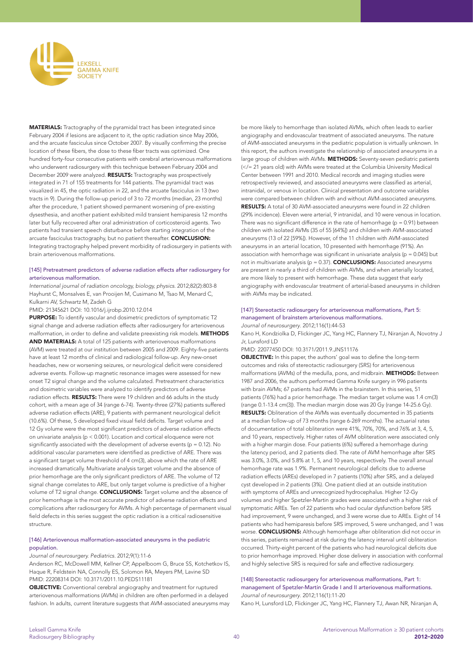

MATERIALS: Tractography of the pyramidal tract has been integrated since February 2004 if lesions are adjacent to it, the optic radiation since May 2006, and the arcuate fasciculus since October 2007. By visually confirming the precise location of these fibers, the dose to these fiber tracts was optimized. One hundred forty-four consecutive patients with cerebral arteriovenous malformations who underwent radiosurgery with this technique between February 2004 and December 2009 were analyzed. RESULTS: Tractography was prospectively integrated in 71 of 155 treatments for 144 patients. The pyramidal tract was visualized in 45, the optic radiation in 22, and the arcuate fasciculus in 13 (two tracts in 9). During the follow-up period of 3 to 72 months (median, 23 months) after the procedure, 1 patient showed permanent worsening of pre-existing dysesthesia, and another patient exhibited mild transient hemiparesis 12 months later but fully recovered after oral administration of corticosteroid agents. Two patients had transient speech disturbance before starting integration of the arcuate fasciculus tractography, but no patient thereafter. CONCLUSION: Integrating tractography helped prevent morbidity of radiosurgery in patients with brain arteriovenous malformations.

#### [145] Pretreatment predictors of adverse radiation effects after radiosurgery for arteriovenous malformation.

*International journal of radiation oncology, biology, physics*. 2012;82(2):803-8 Hayhurst C, Monsalves E, van Prooijen M, Cusimano M, Tsao M, Menard C, Kulkarni AV, Schwartz M, Zadeh G

PMID: 21345621 DOI: 10.1016/j.ijrobp.2010.12.014

PURPOSE: To identify vascular and dosimetric predictors of symptomatic T2 signal change and adverse radiation effects after radiosurgery for arteriovenous malformation, in order to define and validate preexisting risk models. METHODS AND MATERIALS: A total of 125 patients with arteriovenous malformations (AVM) were treated at our institution between 2005 and 2009. Eighty-five patients have at least 12 months of clinical and radiological follow-up. Any new-onset headaches, new or worsening seizures, or neurological deficit were considered adverse events. Follow-up magnetic resonance images were assessed for new onset T2 signal change and the volume calculated. Pretreatment characteristics and dosimetric variables were analyzed to identify predictors of adverse radiation effects. RESULTS: There were 19 children and 66 adults in the study cohort, with a mean age of 34 (range 6-74). Twenty-three (27%) patients suffered adverse radiation effects (ARE), 9 patients with permanent neurological deficit (10.6%). Of these, 5 developed fixed visual field deficits. Target volume and 12 Gy volume were the most significant predictors of adverse radiation effects on univariate analysis (p < 0.001). Location and cortical eloquence were not significantly associated with the development of adverse events ( $p = 0.12$ ). No additional vascular parameters were identified as predictive of ARE. There was a significant target volume threshold of 4 cm(3), above which the rate of ARE increased dramatically. Multivariate analysis target volume and the absence of prior hemorrhage are the only significant predictors of ARE. The volume of T2 signal change correlates to ARE, but only target volume is predictive of a higher volume of T2 signal change. **CONCLUSIONS:** Target volume and the absence of prior hemorrhage is the most accurate predictor of adverse radiation effects and complications after radiosurgery for AVMs. A high percentage of permanent visual field defects in this series suggest the optic radiation is a critical radiosensitive structure.

#### [146] Arteriovenous malformation-associated aneurysms in the pediatric population.

#### *Journal of neurosurgery. Pediatrics*. 2012;9(1):11-6

Anderson RC, McDowell MM, Kellner CP, Appelboom G, Bruce SS, Kotchetkov IS, Haque R, Feldstein NA, Connolly ES, Solomon RA, Meyers PM, Lavine SD PMID: 22208314 DOI: 10.3171/2011.10.PEDS11181

OBJECTIVE: Conventional cerebral angiography and treatment for ruptured arteriovenous malformations (AVMs) in children are often performed in a delayed fashion. In adults, current literature suggests that AVM-associated aneurysms may be more likely to hemorrhage than isolated AVMs, which often leads to earlier angiography and endovascular treatment of associated aneurysms. The nature of AVM-associated aneurysms in the pediatric population is virtually unknown. In this report, the authors investigate the relationship of associated aneurysms in a large group of children with AVMs. METHODS: Seventy-seven pediatric patients (</= 21 years old) with AVMs were treated at the Columbia University Medical Center between 1991 and 2010. Medical records and imaging studies were retrospectively reviewed, and associated aneurysms were classified as arterial, intranidal, or venous in location. Clinical presentation and outcome variables were compared between children with and without AVM-associated aneurysms. RESULTS: A total of 30 AVM-associated aneurysms were found in 22 children (29% incidence). Eleven were arterial, 9 intranidal, and 10 were venous in location. There was no significant difference in the rate of hemorrhage ( $p = 0.91$ ) between children with isolated AVMs (35 of 55 [64%]) and children with AVM-associated aneurysms (13 of 22 [59%]). However, of the 11 children with AVM-associated aneurysms in an arterial location, 10 presented with hemorrhage (91%). An association with hemorrhage was significant in univariate analysis ( $p = 0.045$ ) but not in multivariate analysis ( $p = 0.37$ ). **CONCLUSIONS:** Associated aneurysms are present in nearly a third of children with AVMs, and when arterially located, are more likely to present with hemorrhage. These data suggest that early angiography with endovascular treatment of arterial-based aneurysms in children with AVMs may be indicated.

#### [147] Stereotactic radiosurgery for arteriovenous malformations, Part 5: management of brainstem arteriovenous malformations. *Journal of neurosurgery*. 2012;116(1):44-53

Kano H, Kondziolka D, Flickinger JC, Yang HC, Flannery TJ, Niranjan A, Novotny J Jr, Lunsford LD

PMID: 22077450 DOI: 10.3171/2011.9.JNS11176

OBJECTIVE: In this paper, the authors' goal was to define the long-term outcomes and risks of stereotactic radiosurgery (SRS) for arteriovenous malformations (AVMs) of the medulla, pons, and midbrain. METHODS: Between 1987 and 2006, the authors performed Gamma Knife surgery in 996 patients with brain AVMs; 67 patients had AVMs in the brainstem. In this series, 51 patients (76%) had a prior hemorrhage. The median target volume was 1.4 cm(3) (range 0.1-13.4 cm(3)). The median margin dose was 20 Gy (range 14-25.6 Gy). RESULTS: Obliteration of the AVMs was eventually documented in 35 patients at a median follow-up of 73 months (range 6-269 months). The actuarial rates of documentation of total obliteration were 41%, 70%, 70%, and 76% at 3, 4, 5, and 10 years, respectively. Higher rates of AVM obliteration were associated only with a higher margin dose. Four patients (6%) suffered a hemorrhage during the latency period, and 2 patients died. The rate of AVM hemorrhage after SRS was 3.0%, 3.0%, and 5.8% at 1, 5, and 10 years, respectively. The overall annual hemorrhage rate was 1.9%. Permanent neurological deficits due to adverse radiation effects (AREs) developed in 7 patients (10%) after SRS, and a delayed cyst developed in 2 patients (3%). One patient died at an outside institution with symptoms of AREs and unrecognized hydrocephalus. Higher 12-Gy volumes and higher Spetzler-Martin grades were associated with a higher risk of symptomatic AREs. Ten of 22 patients who had ocular dysfunction before SRS had improvement, 9 were unchanged, and 3 were worse due to AREs. Eight of 14 patients who had hemiparesis before SRS improved, 5 were unchanged, and 1 was worse. CONCLUSIONS: Although hemorrhage after obliteration did not occur in this series, patients remained at risk during the latency interval until obliteration occurred. Thirty-eight percent of the patients who had neurological deficits due to prior hemorrhage improved. Higher dose delivery in association with conformal and highly selective SRS is required for safe and effective radiosurgery.

#### [148] Stereotactic radiosurgery for arteriovenous malformations, Part 1: management of Spetzler-Martin Grade I and II arteriovenous malformations. *Journal of neurosurgery*. 2012;116(1):11-20

Kano H, Lunsford LD, Flickinger JC, Yang HC, Flannery TJ, Awan NR, Niranjan A,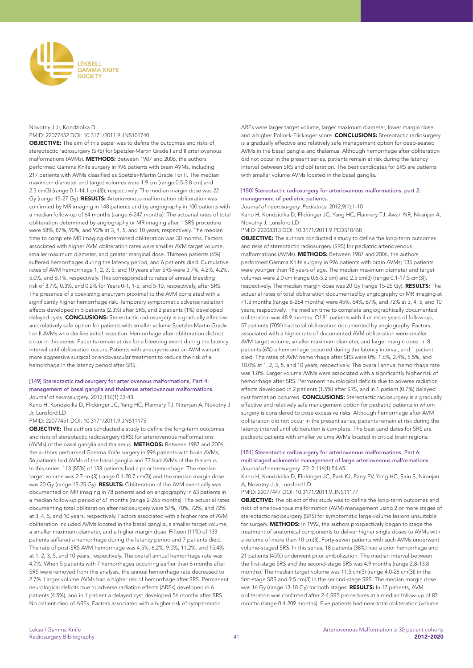

#### Novotny J Jr, Kondziolka D

PMID: 22077452 DOI: 10.3171/2011.9.JNS101740

OBJECTIVE: The aim of this paper was to define the outcomes and risks of stereotactic radiosurgery (SRS) for Spetzler-Martin Grade I and II arteriovenous malformations (AVMs). METHODS: Between 1987 and 2006, the authors performed Gamma Knife surgery in 996 patients with brain AVMs, including 217 patients with AVMs classified as Spetzler-Martin Grade I or II. The median maximum diameter and target volumes were 1.9 cm (range 0.5-3.8 cm) and 2.3 cm(3) (range 0.1-14.1 cm(3)), respectively. The median margin dose was 22 Gy (range 15-27 Gy). RESULTS: Arteriovenous malformation obliteration was confirmed by MR imaging in 148 patients and by angiography in 100 patients with a median follow-up of 64 months (range 6-247 months). The actuarial rates of total obliteration determined by angiography or MR imaging after 1 SRS procedure were 58%, 87%, 90%, and 93% at 3, 4, 5, and 10 years, respectively. The median time to complete MR imaging-determined obliteration was 30 months. Factors associated with higher AVM obliteration rates were smaller AVM target volume, smaller maximum diameter, and greater marginal dose. Thirteen patients (6%) suffered hemorrhages during the latency period, and 6 patients died. Cumulative rates of AVM hemorrhage 1, 2, 3, 5, and 10 years after SRS were 3.7%, 4.2%, 4.2%, 5.0%, and 6.1%, respectively. This corresponded to rates of annual bleeding risk of 3.7%, 0.3%, and 0.2% for Years 0-1, 1-5, and 5-10, respectively, after SRS. The presence of a coexisting aneurysm proximal to the AVM correlated with a significantly higher hemorrhage risk. Temporary symptomatic adverse radiation effects developed in 5 patients (2.3%) after SRS, and 2 patients (1%) developed delayed cysts. CONCLUSIONS: Stereotactic radiosurgery is a gradually effective and relatively safe option for patients with smaller volume Spetzler-Martin Grade I or II AVMs who decline initial resection. Hemorrhage after obliteration did not occur in this series. Patients remain at risk for a bleeding event during the latency interval until obliteration occurs. Patients with aneurysms and an AVM warrant more aggressive surgical or endovascular treatment to reduce the risk of a hemorrhage in the latency period after SRS.

#### [149] Stereotactic radiosurgery for arteriovenous malformations, Part 4: management of basal ganglia and thalamus arteriovenous malformations. *Journal of neurosurgery*. 2012;116(1):33-43

Kano H, Kondziolka D, Flickinger JC, Yang HC, Flannery TJ, Niranjan A, Novotny J Jr, Lunsford LD

#### PMID: 22077451 DOI: 10.3171/2011.9.JNS11175

OBJECTIVE: The authors conducted a study to define the long-term outcomes and risks of stereotactic radiosurgery (SRS) for arteriovenous malformations (AVMs) of the basal ganglia and thalamus. METHODS: Between 1987 and 2006, the authors performed Gamma Knife surgery in 996 patients with brain AVMs; 56 patients had AVMs of the basal ganglia and 77 had AVMs of the thalamus. In this series, 113 (85%) of 133 patients had a prior hemorrhage. The median target volume was 2.7 cm(3) (range 0.1-20.7 cm(3)) and the median margin dose was 20 Gy (range 15-25 Gy). RESULTS: Obliteration of the AVM eventually was documented on MR imaging in 78 patients and on angiography in 63 patients in a median follow-up period of 61 months (range 2-265 months). The actuarial rates documenting total obliteration after radiosurgery were 57%, 70%, 72%, and 72% at 3, 4, 5, and 10 years, respectively. Factors associated with a higher rate of AVM obliteration included AVMs located in the basal ganglia, a smaller target volume, a smaller maximum diameter, and a higher margin dose. Fifteen (11%) of 133 patients suffered a hemorrhage during the latency period and 7 patients died. The rate of post-SRS AVM hemorrhage was 4.5%, 6.2%, 9.0%, 11.2%, and 15.4% at 1, 2, 3, 5, and 10 years, respectively. The overall annual hemorrhage rate was 4.7%. When 5 patients with 7 hemorrhages occurring earlier than 6 months after SRS were removed from this analysis, the annual hemorrhage rate decreased to 2.7%. Larger volume AVMs had a higher risk of hemorrhage after SRS. Permanent neurological deficits due to adverse radiation effects (AREs) developed in 6 patients (4.5%), and in 1 patient a delayed cyst developed 56 months after SRS. No patient died of AREs. Factors associated with a higher risk of symptomatic

AREs were larger target volume, larger maximum diameter, lower margin dose, and a higher Pollock-Flickinger score. CONCLUSIONS: Stereotactic radiosurgery is a gradually effective and relatively safe management option for deep-seated AVMs in the basal ganglia and thalamus. Although hemorrhage after obliteration did not occur in the present series, patients remain at risk during the latency interval between SRS and obliteration. The best candidates for SRS are patients with smaller volume AVMs located in the basal ganglia.

#### [150] Stereotactic radiosurgery for arteriovenous malformations, part 2: management of pediatric patients.

*Journal of neurosurgery. Pediatrics*. 2012;9(1):1-10 Kano H, Kondziolka D, Flickinger JC, Yang HC, Flannery TJ, Awan NR, Niranjan A, Novotny J, Lunsford LD

PMID: 22208313 DOI: 10.3171/2011.9.PEDS10458

OBJECTIVE: The authors conducted a study to define the long-term outcomes and risks of stereotactic radiosurgery (SRS) for pediatric arteriovenous malformations (AVMs). METHODS: Between 1987 and 2006, the authors performed Gamma Knife surgery in 996 patients with brain AVMs; 135 patients were younger than 18 years of age. The median maximum diameter and target volumes were 2.0 cm (range 0.6-5.2 cm) and 2.5 cm(3) (range 0.1-17.5 cm(3)), respectively. The median margin dose was 20 Gy (range 15-25 Gy). RESULTS: The actuarial rates of total obliteration documented by angiography or MR imaging at 71.3 months (range 6-264 months) were 45%, 64%, 67%, and 72% at 3, 4, 5, and 10 years, respectively. The median time to complete angiographically documented obliteration was 48.9 months. Of 81 patients with 4 or more years of follow-up, 57 patients (70%) had total obliteration documented by angiography. Factors associated with a higher rate of documented AVM obliteration were smaller AVM target volume, smaller maximum diameter, and larger margin dose. In 8 patients (6%) a hemorrhage occurred during the latency interval, and 1 patient died. The rates of AVM hemorrhage after SRS were 0%, 1.6%, 2.4%, 5.5%, and 10.0% at 1, 2, 3, 5, and 10 years, respectively. The overall annual hemorrhage rate was 1.8%. Larger volume AVMs were associated with a significantly higher risk of hemorrhage after SRS. Permanent neurological deficits due to adverse radiation effects developed in 2 patients (1.5%) after SRS, and in 1 patient (0.7%) delayed cyst formation occurred. CONCLUSIONS: Stereotactic radiosurgery is a gradually effective and relatively safe management option for pediatric patients in whom surgery is considered to pose excessive risks. Although hemorrhage after AVM obliteration did not occur in the present series, patients remain at risk during the latency interval until obliteration is complete. The best candidates for SRS are pediatric patients with smaller volume AVMs located in critical brain regions.

#### [151] Stereotactic radiosurgery for arteriovenous malformations, Part 6: multistaged volumetric management of large arteriovenous malformations. *Journal of neurosurgery*. 2012;116(1):54-65

Kano H, Kondziolka D, Flickinger JC, Park KJ, Parry PV, Yang HC, Sirin S, Niranjan A, Novotny J Jr, Lunsford LD

#### PMID: 22077447 DOI: 10.3171/2011.9.JNS11177

OBJECTIVE: The object of this study was to define the long-term outcomes and risks of arteriovenous malformation (AVM) management using 2 or more stages of stereotactic radiosurgery (SRS) for symptomatic large-volume lesions unsuitable for surgery. **METHODS:** In 1992, the authors prospectively began to stage the treatment of anatomical components to deliver higher single doses to AVMs with a volume of more than 10 cm(3). Forty-seven patients with such AVMs underwent volume-staged SRS. In this series, 18 patients (38%) had a prior hemorrhage and 21 patients (45%) underwent prior embolization. The median interval between the first-stage SRS and the second-stage SRS was 4.9 months (range 2.8-13.8 months). The median target volume was 11.5 cm(3) (range 4.0-26 cm(3)) in the first-stage SRS and 9.5 cm(3) in the second-stage SRS. The median margin dose was 16 Gy (range 13-18 Gy) for both stages. RESULTS: In 17 patients, AVM obliteration was confirmed after 2-4 SRS procedures at a median follow-up of 87 months (range 0.4-209 months). Five patients had near-total obliteration (volume